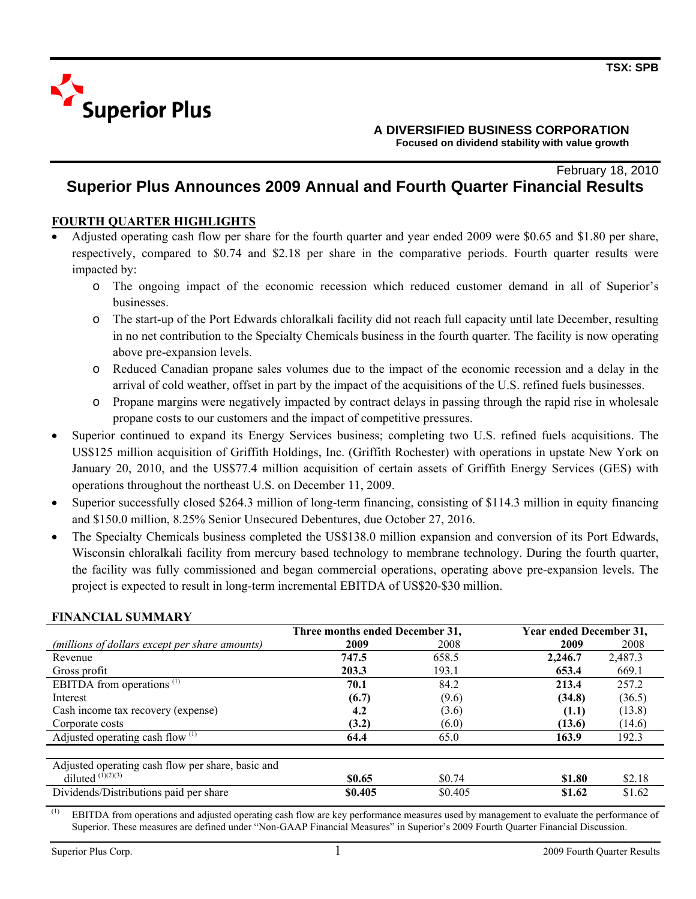

 **Focused on dividend stability with value growth** 

February 18, 2010

# **Superior Plus Announces 2009 Annual and Fourth Quarter Financial Results**

### **FOURTH QUARTER HIGHLIGHTS**

- Adjusted operating cash flow per share for the fourth quarter and year ended 2009 were \$0.65 and \$1.80 per share, respectively, compared to \$0.74 and \$2.18 per share in the comparative periods. Fourth quarter results were impacted by:
	- o The ongoing impact of the economic recession which reduced customer demand in all of Superior's businesses.
	- o The start-up of the Port Edwards chloralkali facility did not reach full capacity until late December, resulting in no net contribution to the Specialty Chemicals business in the fourth quarter. The facility is now operating above pre-expansion levels.
	- o Reduced Canadian propane sales volumes due to the impact of the economic recession and a delay in the arrival of cold weather, offset in part by the impact of the acquisitions of the U.S. refined fuels businesses.
	- o Propane margins were negatively impacted by contract delays in passing through the rapid rise in wholesale propane costs to our customers and the impact of competitive pressures.
- Superior continued to expand its Energy Services business; completing two U.S. refined fuels acquisitions. The US\$125 million acquisition of Griffith Holdings, Inc. (Griffith Rochester) with operations in upstate New York on January 20, 2010, and the US\$77.4 million acquisition of certain assets of Griffith Energy Services (GES) with operations throughout the northeast U.S. on December 11, 2009.
- Superior successfully closed \$264.3 million of long-term financing, consisting of \$114.3 million in equity financing and \$150.0 million, 8.25% Senior Unsecured Debentures, due October 27, 2016.
- The Specialty Chemicals business completed the US\$138.0 million expansion and conversion of its Port Edwards, Wisconsin chloralkali facility from mercury based technology to membrane technology. During the fourth quarter, the facility was fully commissioned and began commercial operations, operating above pre-expansion levels. The project is expected to result in long-term incremental EBITDA of US\$20-\$30 million.

|                                                   | Three months ended December 31, |         | Year ended December 31, |         |
|---------------------------------------------------|---------------------------------|---------|-------------------------|---------|
| (millions of dollars except per share amounts)    | 2009                            | 2008    | 2009                    | 2008    |
| Revenue                                           | 747.5                           | 658.5   | 2,246.7                 | 2,487.3 |
| Gross profit                                      | 203.3                           | 193.1   | 653.4                   | 669.1   |
| EBITDA from operations $(1)$                      | 70.1                            | 84.2    | 213.4                   | 257.2   |
| Interest                                          | (6.7)                           | (9.6)   | (34.8)                  | (36.5)  |
| Cash income tax recovery (expense)                | 4.2                             | (3.6)   | (1.1)                   | (13.8)  |
| Corporate costs                                   | (3.2)                           | (6.0)   | (13.6)                  | (14.6)  |
| Adjusted operating cash flow $(1)$                | 64.4                            | 65.0    | 163.9                   | 192.3   |
|                                                   |                                 |         |                         |         |
| Adjusted operating cash flow per share, basic and |                                 |         |                         |         |
| diluted $(1)(2)(3)$                               | \$0.65                          | \$0.74  | \$1.80                  | \$2.18  |
| Dividends/Distributions paid per share            | \$0.405                         | \$0.405 | \$1.62                  | \$1.62  |

#### **FINANCIAL SUMMARY**

(1) EBITDA from operations and adjusted operating cash flow are key performance measures used by management to evaluate the performance of Superior. These measures are defined under "Non-GAAP Financial Measures" in Superior's 2009 Fourth Quarter Financial Discussion.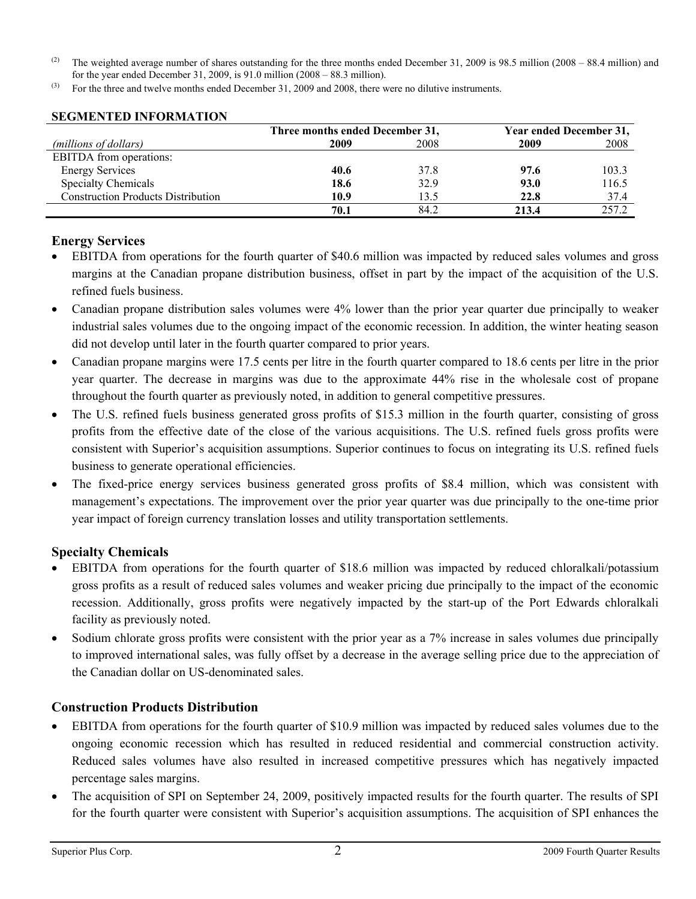- <sup>(2)</sup> The weighted average number of shares outstanding for the three months ended December 31, 2009 is 98.5 million (2008 88.4 million) and for the year ended December 31, 2009, is 91.0 million (2008 – 88.3 million).
- $^{(3)}$  For the three and twelve months ended December 31, 2009 and 2008, there were no dilutive instruments.

|                                           | Three months ended December 31, |      | <b>Year ended December 31,</b> |       |
|-------------------------------------------|---------------------------------|------|--------------------------------|-------|
| (millions of dollars)                     | 2009                            | 2008 | 2009                           | 2008  |
| <b>EBITDA</b> from operations:            |                                 |      |                                |       |
| <b>Energy Services</b>                    | 40.6                            | 37.8 | 97.6                           | 103.3 |
| <b>Specialty Chemicals</b>                | 18.6                            | 32.9 | 93.0                           | 116.5 |
| <b>Construction Products Distribution</b> | 10.9                            | 13.5 | 22.8                           | 37.4  |
|                                           | 70.1                            | 84.2 | 213.4                          | 257.2 |

#### **SEGMENTED INFORMATION**

# **Energy Services**

- EBITDA from operations for the fourth quarter of \$40.6 million was impacted by reduced sales volumes and gross margins at the Canadian propane distribution business, offset in part by the impact of the acquisition of the U.S. refined fuels business.
- Canadian propane distribution sales volumes were 4% lower than the prior year quarter due principally to weaker industrial sales volumes due to the ongoing impact of the economic recession. In addition, the winter heating season did not develop until later in the fourth quarter compared to prior years.
- Canadian propane margins were 17.5 cents per litre in the fourth quarter compared to 18.6 cents per litre in the prior year quarter. The decrease in margins was due to the approximate 44% rise in the wholesale cost of propane throughout the fourth quarter as previously noted, in addition to general competitive pressures.
- The U.S. refined fuels business generated gross profits of \$15.3 million in the fourth quarter, consisting of gross profits from the effective date of the close of the various acquisitions. The U.S. refined fuels gross profits were consistent with Superior's acquisition assumptions. Superior continues to focus on integrating its U.S. refined fuels business to generate operational efficiencies.
- The fixed-price energy services business generated gross profits of \$8.4 million, which was consistent with management's expectations. The improvement over the prior year quarter was due principally to the one-time prior year impact of foreign currency translation losses and utility transportation settlements.

# **Specialty Chemicals**

- EBITDA from operations for the fourth quarter of \$18.6 million was impacted by reduced chloralkali/potassium gross profits as a result of reduced sales volumes and weaker pricing due principally to the impact of the economic recession. Additionally, gross profits were negatively impacted by the start-up of the Port Edwards chloralkali facility as previously noted.
- Sodium chlorate gross profits were consistent with the prior year as a 7% increase in sales volumes due principally to improved international sales, was fully offset by a decrease in the average selling price due to the appreciation of the Canadian dollar on US-denominated sales.

# **Construction Products Distribution**

- EBITDA from operations for the fourth quarter of \$10.9 million was impacted by reduced sales volumes due to the ongoing economic recession which has resulted in reduced residential and commercial construction activity. Reduced sales volumes have also resulted in increased competitive pressures which has negatively impacted percentage sales margins.
- The acquisition of SPI on September 24, 2009, positively impacted results for the fourth quarter. The results of SPI for the fourth quarter were consistent with Superior's acquisition assumptions. The acquisition of SPI enhances the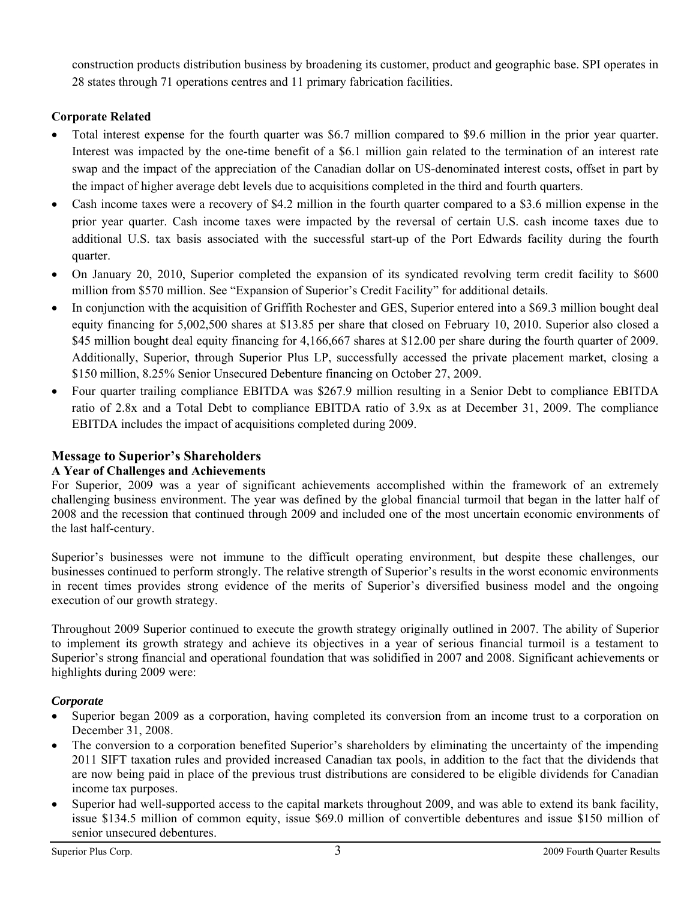construction products distribution business by broadening its customer, product and geographic base. SPI operates in 28 states through 71 operations centres and 11 primary fabrication facilities.

# **Corporate Related**

- Total interest expense for the fourth quarter was \$6.7 million compared to \$9.6 million in the prior year quarter. Interest was impacted by the one-time benefit of a \$6.1 million gain related to the termination of an interest rate swap and the impact of the appreciation of the Canadian dollar on US-denominated interest costs, offset in part by the impact of higher average debt levels due to acquisitions completed in the third and fourth quarters.
- Cash income taxes were a recovery of \$4.2 million in the fourth quarter compared to a \$3.6 million expense in the prior year quarter. Cash income taxes were impacted by the reversal of certain U.S. cash income taxes due to additional U.S. tax basis associated with the successful start-up of the Port Edwards facility during the fourth quarter.
- On January 20, 2010, Superior completed the expansion of its syndicated revolving term credit facility to \$600 million from \$570 million. See "Expansion of Superior's Credit Facility" for additional details.
- In conjunction with the acquisition of Griffith Rochester and GES, Superior entered into a \$69.3 million bought deal equity financing for 5,002,500 shares at \$13.85 per share that closed on February 10, 2010. Superior also closed a \$45 million bought deal equity financing for 4,166,667 shares at \$12.00 per share during the fourth quarter of 2009. Additionally, Superior, through Superior Plus LP, successfully accessed the private placement market, closing a \$150 million, 8.25% Senior Unsecured Debenture financing on October 27, 2009.
- Four quarter trailing compliance EBITDA was \$267.9 million resulting in a Senior Debt to compliance EBITDA ratio of 2.8x and a Total Debt to compliance EBITDA ratio of 3.9x as at December 31, 2009. The compliance EBITDA includes the impact of acquisitions completed during 2009.

# **Message to Superior's Shareholders**

# **A Year of Challenges and Achievements**

For Superior, 2009 was a year of significant achievements accomplished within the framework of an extremely challenging business environment. The year was defined by the global financial turmoil that began in the latter half of 2008 and the recession that continued through 2009 and included one of the most uncertain economic environments of the last half-century.

Superior's businesses were not immune to the difficult operating environment, but despite these challenges, our businesses continued to perform strongly. The relative strength of Superior's results in the worst economic environments in recent times provides strong evidence of the merits of Superior's diversified business model and the ongoing execution of our growth strategy.

Throughout 2009 Superior continued to execute the growth strategy originally outlined in 2007. The ability of Superior to implement its growth strategy and achieve its objectives in a year of serious financial turmoil is a testament to Superior's strong financial and operational foundation that was solidified in 2007 and 2008. Significant achievements or highlights during 2009 were:

### *Corporate*

- Superior began 2009 as a corporation, having completed its conversion from an income trust to a corporation on December 31, 2008.
- The conversion to a corporation benefited Superior's shareholders by eliminating the uncertainty of the impending 2011 SIFT taxation rules and provided increased Canadian tax pools, in addition to the fact that the dividends that are now being paid in place of the previous trust distributions are considered to be eligible dividends for Canadian income tax purposes.
- Superior had well-supported access to the capital markets throughout 2009, and was able to extend its bank facility, issue \$134.5 million of common equity, issue \$69.0 million of convertible debentures and issue \$150 million of senior unsecured debentures.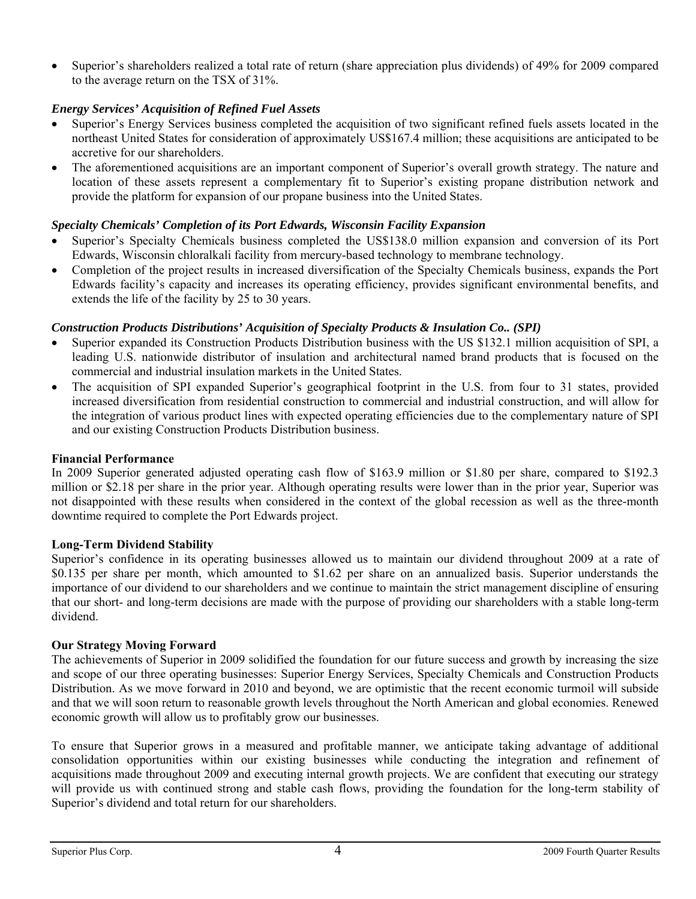• Superior's shareholders realized a total rate of return (share appreciation plus dividends) of 49% for 2009 compared to the average return on the TSX of 31%.

# *Energy Services' Acquisition of Refined Fuel Assets*

- Superior's Energy Services business completed the acquisition of two significant refined fuels assets located in the northeast United States for consideration of approximately US\$167.4 million; these acquisitions are anticipated to be accretive for our shareholders.
- The aforementioned acquisitions are an important component of Superior's overall growth strategy. The nature and location of these assets represent a complementary fit to Superior's existing propane distribution network and provide the platform for expansion of our propane business into the United States.

# *Specialty Chemicals' Completion of its Port Edwards, Wisconsin Facility Expansion*

- Superior's Specialty Chemicals business completed the US\$138.0 million expansion and conversion of its Port Edwards, Wisconsin chloralkali facility from mercury-based technology to membrane technology.
- Completion of the project results in increased diversification of the Specialty Chemicals business, expands the Port Edwards facility's capacity and increases its operating efficiency, provides significant environmental benefits, and extends the life of the facility by 25 to 30 years.

## *Construction Products Distributions' Acquisition of Specialty Products & Insulation Co.. (SPI)*

- Superior expanded its Construction Products Distribution business with the US \$132.1 million acquisition of SPI, a leading U.S. nationwide distributor of insulation and architectural named brand products that is focused on the commercial and industrial insulation markets in the United States.
- The acquisition of SPI expanded Superior's geographical footprint in the U.S. from four to 31 states, provided increased diversification from residential construction to commercial and industrial construction, and will allow for the integration of various product lines with expected operating efficiencies due to the complementary nature of SPI and our existing Construction Products Distribution business.

### **Financial Performance**

In 2009 Superior generated adjusted operating cash flow of \$163.9 million or \$1.80 per share, compared to \$192.3 million or \$2.18 per share in the prior year. Although operating results were lower than in the prior year, Superior was not disappointed with these results when considered in the context of the global recession as well as the three-month downtime required to complete the Port Edwards project.

### **Long-Term Dividend Stability**

Superior's confidence in its operating businesses allowed us to maintain our dividend throughout 2009 at a rate of \$0.135 per share per month, which amounted to \$1.62 per share on an annualized basis. Superior understands the importance of our dividend to our shareholders and we continue to maintain the strict management discipline of ensuring that our short- and long-term decisions are made with the purpose of providing our shareholders with a stable long-term dividend.

### **Our Strategy Moving Forward**

The achievements of Superior in 2009 solidified the foundation for our future success and growth by increasing the size and scope of our three operating businesses: Superior Energy Services, Specialty Chemicals and Construction Products Distribution. As we move forward in 2010 and beyond, we are optimistic that the recent economic turmoil will subside and that we will soon return to reasonable growth levels throughout the North American and global economies. Renewed economic growth will allow us to profitably grow our businesses.

To ensure that Superior grows in a measured and profitable manner, we anticipate taking advantage of additional consolidation opportunities within our existing businesses while conducting the integration and refinement of acquisitions made throughout 2009 and executing internal growth projects. We are confident that executing our strategy will provide us with continued strong and stable cash flows, providing the foundation for the long-term stability of Superior's dividend and total return for our shareholders.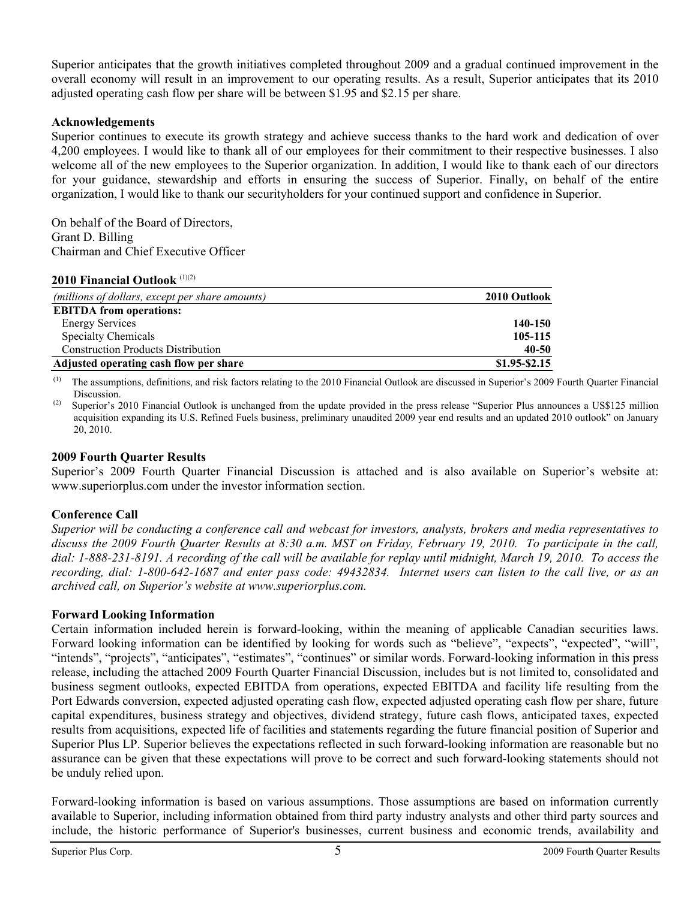Superior anticipates that the growth initiatives completed throughout 2009 and a gradual continued improvement in the overall economy will result in an improvement to our operating results. As a result, Superior anticipates that its 2010 adjusted operating cash flow per share will be between \$1.95 and \$2.15 per share.

#### **Acknowledgements**

Superior continues to execute its growth strategy and achieve success thanks to the hard work and dedication of over 4,200 employees. I would like to thank all of our employees for their commitment to their respective businesses. I also welcome all of the new employees to the Superior organization. In addition, I would like to thank each of our directors for your guidance, stewardship and efforts in ensuring the success of Superior. Finally, on behalf of the entire organization, I would like to thank our securityholders for your continued support and confidence in Superior.

On behalf of the Board of Directors, Grant D. Billing Chairman and Chief Executive Officer

#### **2010 Financial Outlook** (1)(2)

| (millions of dollars, except per share amounts) | 2010 Outlook    |
|-------------------------------------------------|-----------------|
| <b>EBITDA</b> from operations:                  |                 |
| <b>Energy Services</b>                          | 140-150         |
| Specialty Chemicals                             | 105-115         |
| <b>Construction Products Distribution</b>       | 40-50           |
| Adjusted operating cash flow per share          | $$1.95 - $2.15$ |

 $^{(1)}$  The assumptions, definitions, and risk factors relating to the 2010 Financial Outlook are discussed in Superior's 2009 Fourth Quarter Financial Discussion.

<sup>(2)</sup> Superior's 2010 Financial Outlook is unchanged from the update provided in the press release "Superior Plus announces a US\$125 million acquisition expanding its U.S. Refined Fuels business, preliminary unaudited 2009 year end results and an updated 2010 outlook" on January 20, 2010.

#### **2009 Fourth Quarter Results**

Superior's 2009 Fourth Quarter Financial Discussion is attached and is also available on Superior's website at: www.superiorplus.com under the investor information section.

### **Conference Call**

*Superior will be conducting a conference call and webcast for investors, analysts, brokers and media representatives to discuss the 2009 Fourth Quarter Results at 8:30 a.m. MST on Friday, February 19, 2010. To participate in the call, dial: 1-888-231-8191. A recording of the call will be available for replay until midnight, March 19, 2010. To access the recording, dial: 1-800-642-1687 and enter pass code: 49432834. Internet users can listen to the call live, or as an archived call, on Superior's website at www.superiorplus.com.* 

### **Forward Looking Information**

Certain information included herein is forward-looking, within the meaning of applicable Canadian securities laws. Forward looking information can be identified by looking for words such as "believe", "expects", "expected", "will", "intends", "projects", "anticipates", "estimates", "continues" or similar words. Forward-looking information in this press release, including the attached 2009 Fourth Quarter Financial Discussion, includes but is not limited to, consolidated and business segment outlooks, expected EBITDA from operations, expected EBITDA and facility life resulting from the Port Edwards conversion, expected adjusted operating cash flow, expected adjusted operating cash flow per share, future capital expenditures, business strategy and objectives, dividend strategy, future cash flows, anticipated taxes, expected results from acquisitions, expected life of facilities and statements regarding the future financial position of Superior and Superior Plus LP. Superior believes the expectations reflected in such forward-looking information are reasonable but no assurance can be given that these expectations will prove to be correct and such forward-looking statements should not be unduly relied upon.

Forward-looking information is based on various assumptions. Those assumptions are based on information currently available to Superior, including information obtained from third party industry analysts and other third party sources and include, the historic performance of Superior's businesses, current business and economic trends, availability and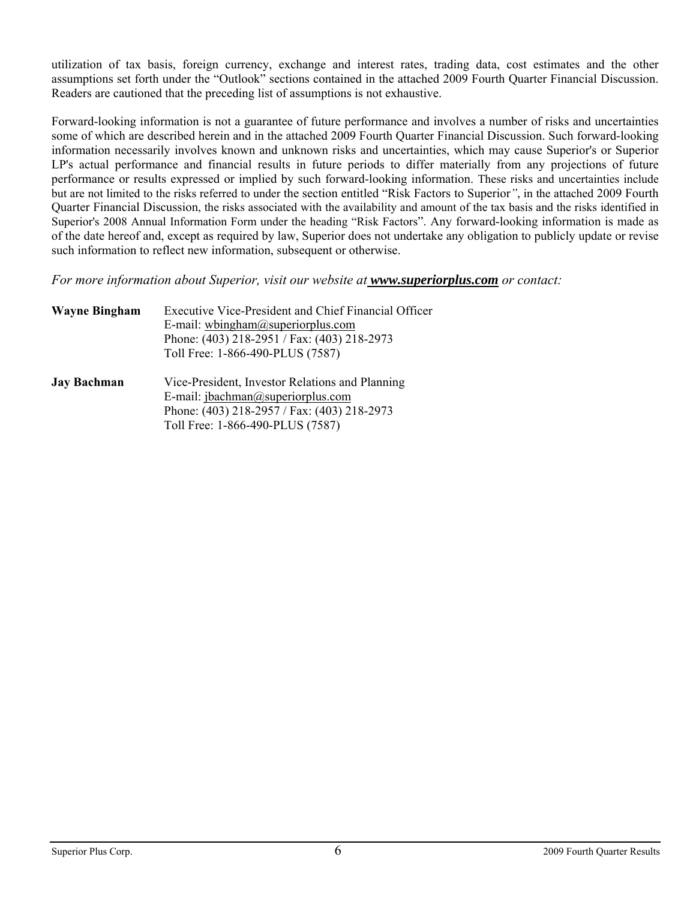utilization of tax basis, foreign currency, exchange and interest rates, trading data, cost estimates and the other assumptions set forth under the "Outlook" sections contained in the attached 2009 Fourth Quarter Financial Discussion. Readers are cautioned that the preceding list of assumptions is not exhaustive.

Forward-looking information is not a guarantee of future performance and involves a number of risks and uncertainties some of which are described herein and in the attached 2009 Fourth Quarter Financial Discussion. Such forward-looking information necessarily involves known and unknown risks and uncertainties, which may cause Superior's or Superior LP's actual performance and financial results in future periods to differ materially from any projections of future performance or results expressed or implied by such forward-looking information. These risks and uncertainties include but are not limited to the risks referred to under the section entitled "Risk Factors to Superior*"*, in the attached 2009 Fourth Quarter Financial Discussion, the risks associated with the availability and amount of the tax basis and the risks identified in Superior's 2008 Annual Information Form under the heading "Risk Factors". Any forward-looking information is made as of the date hereof and, except as required by law, Superior does not undertake any obligation to publicly update or revise such information to reflect new information, subsequent or otherwise.

*For more information about Superior, visit our website at www.superiorplus.com or contact:* 

| <b>Wayne Bingham</b> | <b>Executive Vice-President and Chief Financial Officer</b> |
|----------------------|-------------------------------------------------------------|
|                      | E-mail: whingham@superiorplus.com                           |
|                      | Phone: (403) 218-2951 / Fax: (403) 218-2973                 |
|                      | Toll Free: 1-866-490-PLUS (7587)                            |
| <b>Jay Bachman</b>   | Vice-President, Investor Relations and Planning             |
|                      | E-mail: jbachman@superiorplus.com                           |
|                      | Phone: (403) 218-2957 / Fax: (403) 218-2973                 |
|                      | Toll Free: 1-866-490-PLUS (7587)                            |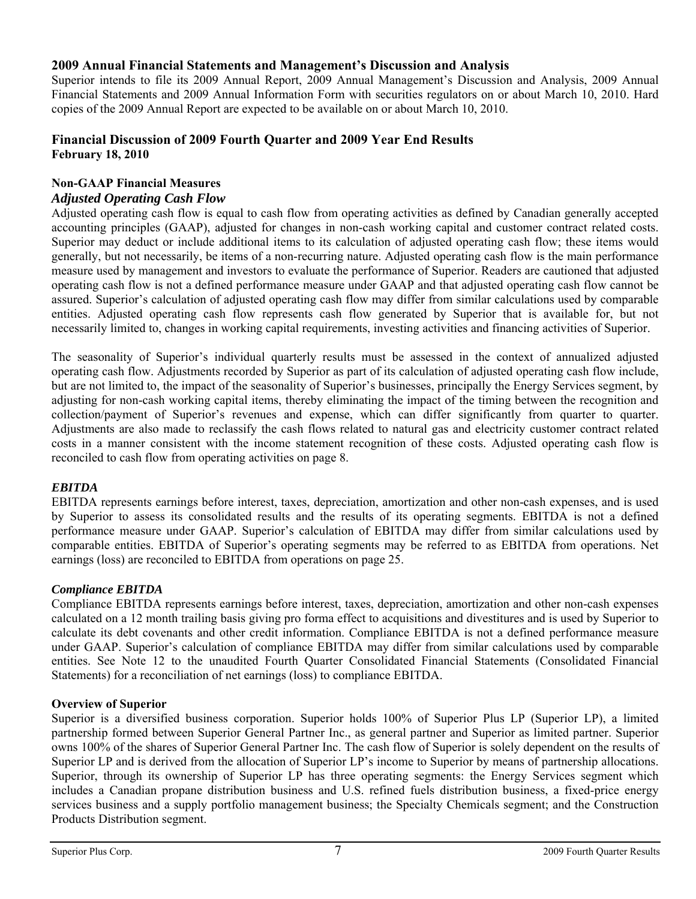# **2009 Annual Financial Statements and Management's Discussion and Analysis**

Superior intends to file its 2009 Annual Report, 2009 Annual Management's Discussion and Analysis, 2009 Annual Financial Statements and 2009 Annual Information Form with securities regulators on or about March 10, 2010. Hard copies of the 2009 Annual Report are expected to be available on or about March 10, 2010.

### **Financial Discussion of 2009 Fourth Quarter and 2009 Year End Results February 18, 2010**

# **Non-GAAP Financial Measures**

# *Adjusted Operating Cash Flow*

Adjusted operating cash flow is equal to cash flow from operating activities as defined by Canadian generally accepted accounting principles (GAAP), adjusted for changes in non-cash working capital and customer contract related costs. Superior may deduct or include additional items to its calculation of adjusted operating cash flow; these items would generally, but not necessarily, be items of a non-recurring nature. Adjusted operating cash flow is the main performance measure used by management and investors to evaluate the performance of Superior. Readers are cautioned that adjusted operating cash flow is not a defined performance measure under GAAP and that adjusted operating cash flow cannot be assured. Superior's calculation of adjusted operating cash flow may differ from similar calculations used by comparable entities. Adjusted operating cash flow represents cash flow generated by Superior that is available for, but not necessarily limited to, changes in working capital requirements, investing activities and financing activities of Superior.

The seasonality of Superior's individual quarterly results must be assessed in the context of annualized adjusted operating cash flow. Adjustments recorded by Superior as part of its calculation of adjusted operating cash flow include, but are not limited to, the impact of the seasonality of Superior's businesses, principally the Energy Services segment, by adjusting for non-cash working capital items, thereby eliminating the impact of the timing between the recognition and collection/payment of Superior's revenues and expense, which can differ significantly from quarter to quarter. Adjustments are also made to reclassify the cash flows related to natural gas and electricity customer contract related costs in a manner consistent with the income statement recognition of these costs. Adjusted operating cash flow is reconciled to cash flow from operating activities on page 8.

# *EBITDA*

EBITDA represents earnings before interest, taxes, depreciation, amortization and other non-cash expenses, and is used by Superior to assess its consolidated results and the results of its operating segments. EBITDA is not a defined performance measure under GAAP. Superior's calculation of EBITDA may differ from similar calculations used by comparable entities. EBITDA of Superior's operating segments may be referred to as EBITDA from operations. Net earnings (loss) are reconciled to EBITDA from operations on page 25.

# *Compliance EBITDA*

Compliance EBITDA represents earnings before interest, taxes, depreciation, amortization and other non-cash expenses calculated on a 12 month trailing basis giving pro forma effect to acquisitions and divestitures and is used by Superior to calculate its debt covenants and other credit information. Compliance EBITDA is not a defined performance measure under GAAP. Superior's calculation of compliance EBITDA may differ from similar calculations used by comparable entities. See Note 12 to the unaudited Fourth Quarter Consolidated Financial Statements (Consolidated Financial Statements) for a reconciliation of net earnings (loss) to compliance EBITDA.

# **Overview of Superior**

Superior is a diversified business corporation. Superior holds 100% of Superior Plus LP (Superior LP), a limited partnership formed between Superior General Partner Inc., as general partner and Superior as limited partner. Superior owns 100% of the shares of Superior General Partner Inc. The cash flow of Superior is solely dependent on the results of Superior LP and is derived from the allocation of Superior LP's income to Superior by means of partnership allocations. Superior, through its ownership of Superior LP has three operating segments: the Energy Services segment which includes a Canadian propane distribution business and U.S. refined fuels distribution business, a fixed-price energy services business and a supply portfolio management business; the Specialty Chemicals segment; and the Construction Products Distribution segment.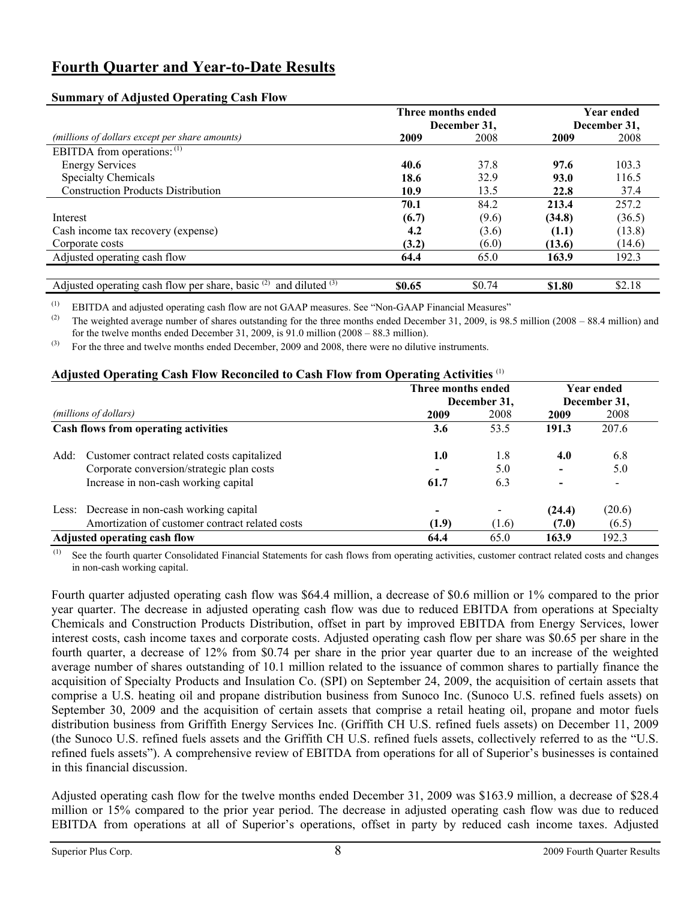# **Fourth Quarter and Year-to-Date Results**

## **Summary of Adjusted Operating Cash Flow**

|                                                                             | Three months ended |              | <b>Year ended</b> |              |
|-----------------------------------------------------------------------------|--------------------|--------------|-------------------|--------------|
|                                                                             |                    | December 31. |                   | December 31, |
| (millions of dollars except per share amounts)                              | 2009               | 2008         | 2009              | 2008         |
| EBITDA from operations: $(1)$                                               |                    |              |                   |              |
| <b>Energy Services</b>                                                      | 40.6               | 37.8         | 97.6              | 103.3        |
| <b>Specialty Chemicals</b>                                                  | 18.6               | 32.9         | 93.0              | 116.5        |
| <b>Construction Products Distribution</b>                                   | 10.9               | 13.5         | 22.8              | 37.4         |
|                                                                             | 70.1               | 84.2         | 213.4             | 257.2        |
| Interest                                                                    | (6.7)              | (9.6)        | (34.8)            | (36.5)       |
| Cash income tax recovery (expense)                                          | 4.2                | (3.6)        | (1.1)             | (13.8)       |
| Corporate costs                                                             | (3.2)              | (6.0)        | (13.6)            | (14.6)       |
| Adjusted operating cash flow                                                | 64.4               | 65.0         | 163.9             | 192.3        |
|                                                                             |                    |              |                   |              |
| Adjusted operating cash flow per share, basic $^{(2)}$ and diluted $^{(3)}$ | \$0.65             | \$0.74       | \$1.80            | \$2.18       |

(1) EBITDA and adjusted operating cash flow are not GAAP measures. See "Non-GAAP Financial Measures"  $\frac{12}{1000}$  The weighted average number of shares outstanding for the three months ended December 31, 2009, is 98

(2) The weighted average number of shares outstanding for the three months ended December 31, 2009, is 98.5 million (2008 – 88.4 million) and for the twelve months ended December 31, 2009, is 91.0 million (2008 – 88.3 million).

 $^{(3)}$  For the three and twelve months ended December, 2009 and 2008, there were no dilutive instruments.

#### **Adjusted Operating Cash Flow Reconciled to Cash Flow from Operating Activities** (1)

|                       |                                                 | Three months ended | Year ended   |                |              |
|-----------------------|-------------------------------------------------|--------------------|--------------|----------------|--------------|
|                       |                                                 |                    | December 31, |                | December 31, |
| (millions of dollars) |                                                 | 2009               | 2008         | 2009           | 2008         |
|                       | Cash flows from operating activities            | 3.6                | 53.5         | 191.3          | 207.6        |
| Add:                  | Customer contract related costs capitalized     | 1.0                | 1.8          | 4.0            | 6.8          |
|                       | Corporate conversion/strategic plan costs       |                    | 5.0          | $\blacksquare$ | 5.0          |
|                       | Increase in non-cash working capital            | 61.7               | 6.3          | ۰              | -            |
|                       | Less: Decrease in non-cash working capital      | -                  |              | (24.4)         | (20.6)       |
|                       | Amortization of customer contract related costs | (1.9)              | (1.6)        | (7.0)          | (6.5)        |
|                       | Adjusted operating cash flow                    | 64.4               | 65.0         | 163.9          | 192.3        |

 (1) See the fourth quarter Consolidated Financial Statements for cash flows from operating activities, customer contract related costs and changes in non-cash working capital.

Fourth quarter adjusted operating cash flow was \$64.4 million, a decrease of \$0.6 million or 1% compared to the prior year quarter. The decrease in adjusted operating cash flow was due to reduced EBITDA from operations at Specialty Chemicals and Construction Products Distribution, offset in part by improved EBITDA from Energy Services, lower interest costs, cash income taxes and corporate costs. Adjusted operating cash flow per share was \$0.65 per share in the fourth quarter, a decrease of 12% from \$0.74 per share in the prior year quarter due to an increase of the weighted average number of shares outstanding of 10.1 million related to the issuance of common shares to partially finance the acquisition of Specialty Products and Insulation Co. (SPI) on September 24, 2009, the acquisition of certain assets that comprise a U.S. heating oil and propane distribution business from Sunoco Inc. (Sunoco U.S. refined fuels assets) on September 30, 2009 and the acquisition of certain assets that comprise a retail heating oil, propane and motor fuels distribution business from Griffith Energy Services Inc. (Griffith CH U.S. refined fuels assets) on December 11, 2009 (the Sunoco U.S. refined fuels assets and the Griffith CH U.S. refined fuels assets, collectively referred to as the "U.S. refined fuels assets"). A comprehensive review of EBITDA from operations for all of Superior's businesses is contained in this financial discussion.

Adjusted operating cash flow for the twelve months ended December 31, 2009 was \$163.9 million, a decrease of \$28.4 million or 15% compared to the prior year period. The decrease in adjusted operating cash flow was due to reduced EBITDA from operations at all of Superior's operations, offset in party by reduced cash income taxes. Adjusted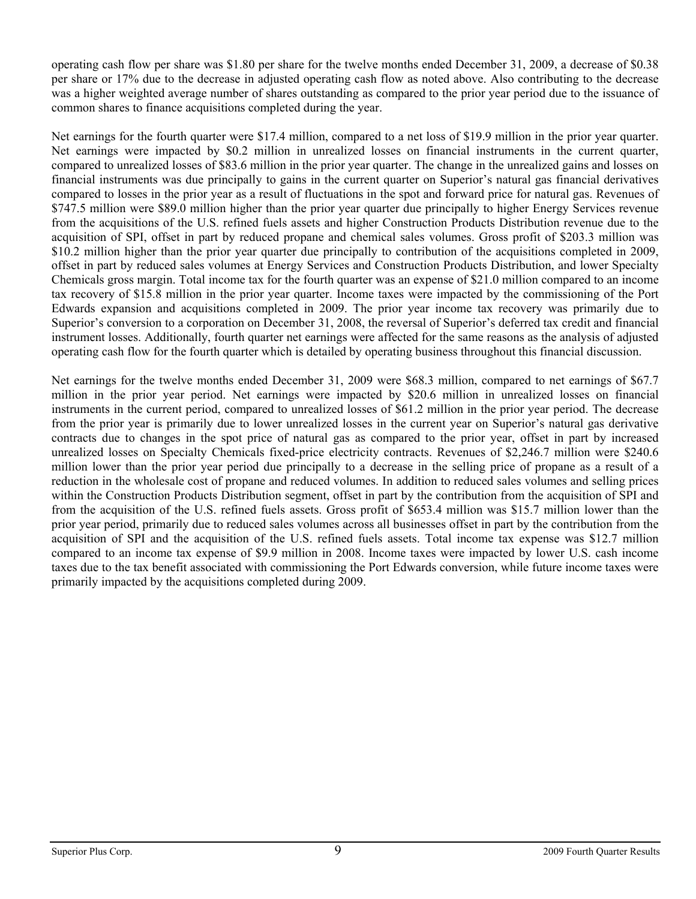operating cash flow per share was \$1.80 per share for the twelve months ended December 31, 2009, a decrease of \$0.38 per share or 17% due to the decrease in adjusted operating cash flow as noted above. Also contributing to the decrease was a higher weighted average number of shares outstanding as compared to the prior year period due to the issuance of common shares to finance acquisitions completed during the year.

Net earnings for the fourth quarter were \$17.4 million, compared to a net loss of \$19.9 million in the prior year quarter. Net earnings were impacted by \$0.2 million in unrealized losses on financial instruments in the current quarter, compared to unrealized losses of \$83.6 million in the prior year quarter. The change in the unrealized gains and losses on financial instruments was due principally to gains in the current quarter on Superior's natural gas financial derivatives compared to losses in the prior year as a result of fluctuations in the spot and forward price for natural gas. Revenues of \$747.5 million were \$89.0 million higher than the prior year quarter due principally to higher Energy Services revenue from the acquisitions of the U.S. refined fuels assets and higher Construction Products Distribution revenue due to the acquisition of SPI, offset in part by reduced propane and chemical sales volumes. Gross profit of \$203.3 million was \$10.2 million higher than the prior year quarter due principally to contribution of the acquisitions completed in 2009, offset in part by reduced sales volumes at Energy Services and Construction Products Distribution, and lower Specialty Chemicals gross margin. Total income tax for the fourth quarter was an expense of \$21.0 million compared to an income tax recovery of \$15.8 million in the prior year quarter. Income taxes were impacted by the commissioning of the Port Edwards expansion and acquisitions completed in 2009. The prior year income tax recovery was primarily due to Superior's conversion to a corporation on December 31, 2008, the reversal of Superior's deferred tax credit and financial instrument losses. Additionally, fourth quarter net earnings were affected for the same reasons as the analysis of adjusted operating cash flow for the fourth quarter which is detailed by operating business throughout this financial discussion.

Net earnings for the twelve months ended December 31, 2009 were \$68.3 million, compared to net earnings of \$67.7 million in the prior year period. Net earnings were impacted by \$20.6 million in unrealized losses on financial instruments in the current period, compared to unrealized losses of \$61.2 million in the prior year period. The decrease from the prior year is primarily due to lower unrealized losses in the current year on Superior's natural gas derivative contracts due to changes in the spot price of natural gas as compared to the prior year, offset in part by increased unrealized losses on Specialty Chemicals fixed-price electricity contracts. Revenues of \$2,246.7 million were \$240.6 million lower than the prior year period due principally to a decrease in the selling price of propane as a result of a reduction in the wholesale cost of propane and reduced volumes. In addition to reduced sales volumes and selling prices within the Construction Products Distribution segment, offset in part by the contribution from the acquisition of SPI and from the acquisition of the U.S. refined fuels assets. Gross profit of \$653.4 million was \$15.7 million lower than the prior year period, primarily due to reduced sales volumes across all businesses offset in part by the contribution from the acquisition of SPI and the acquisition of the U.S. refined fuels assets. Total income tax expense was \$12.7 million compared to an income tax expense of \$9.9 million in 2008. Income taxes were impacted by lower U.S. cash income taxes due to the tax benefit associated with commissioning the Port Edwards conversion, while future income taxes were primarily impacted by the acquisitions completed during 2009.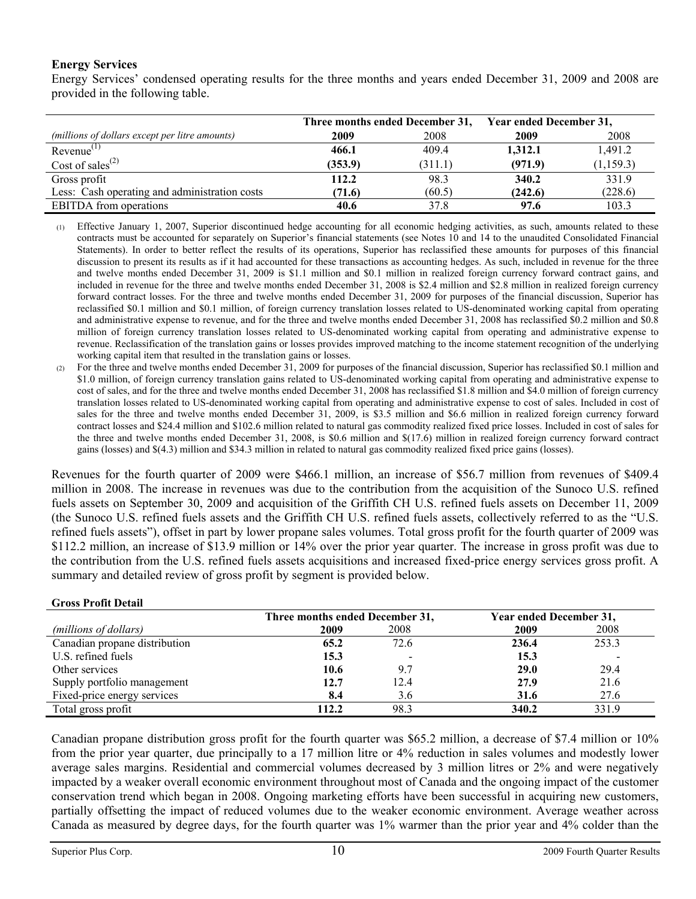### **Energy Services**

Energy Services' condensed operating results for the three months and years ended December 31, 2009 and 2008 are provided in the following table.

|                                                |         | Three months ended December 31, | Year ended December 31, |            |
|------------------------------------------------|---------|---------------------------------|-------------------------|------------|
| (millions of dollars except per litre amounts) | 2009    | 2008                            | 2009                    | 2008       |
| $Revenue$ <sup>(1)</sup>                       | 466.1   | 409.4                           | 1.312.1                 | 1,491.2    |
| Cost of sales <sup><math>(2)</math></sup>      | (353.9) | (311.1)                         | (971.9)                 | (1, 159.3) |
| Gross profit                                   | 112.2   | 98.3                            | 340.2                   | 331.9      |
| Less: Cash operating and administration costs  | (71.6)  | (60.5)                          | (242.6)                 | (228.6)    |
| <b>EBITDA</b> from operations                  | 40.6    | 37.8                            | 97.6                    | 103.3      |

Effective January 1, 2007, Superior discontinued hedge accounting for all economic hedging activities, as such, amounts related to these contracts must be accounted for separately on Superior's financial statements (see Notes 10 and 14 to the unaudited Consolidated Financial Statements). In order to better reflect the results of its operations, Superior has reclassified these amounts for purposes of this financial discussion to present its results as if it had accounted for these transactions as accounting hedges. As such, included in revenue for the three and twelve months ended December 31, 2009 is \$1.1 million and \$0.1 million in realized foreign currency forward contract gains, and included in revenue for the three and twelve months ended December 31, 2008 is \$2.4 million and \$2.8 million in realized foreign currency forward contract losses. For the three and twelve months ended December 31, 2009 for purposes of the financial discussion, Superior has reclassified \$0.1 million and \$0.1 million, of foreign currency translation losses related to US-denominated working capital from operating and administrative expense to revenue, and for the three and twelve months ended December 31, 2008 has reclassified \$0.2 million and \$0.8 million of foreign currency translation losses related to US-denominated working capital from operating and administrative expense to revenue. Reclassification of the translation gains or losses provides improved matching to the income statement recognition of the underlying working capital item that resulted in the translation gains or losses.

For the three and twelve months ended December 31, 2009 for purposes of the financial discussion, Superior has reclassified \$0.1 million and \$1.0 million, of foreign currency translation gains related to US-denominated working capital from operating and administrative expense to cost of sales, and for the three and twelve months ended December 31, 2008 has reclassified \$1.8 million and \$4.0 million of foreign currency translation losses related to US-denominated working capital from operating and administrative expense to cost of sales. Included in cost of sales for the three and twelve months ended December 31, 2009, is \$3.5 million and \$6.6 million in realized foreign currency forward contract losses and \$24.4 million and \$102.6 million related to natural gas commodity realized fixed price losses. Included in cost of sales for the three and twelve months ended December 31, 2008, is \$0.6 million and \$(17.6) million in realized foreign currency forward contract gains (losses) and \$(4.3) million and \$34.3 million in related to natural gas commodity realized fixed price gains (losses).

Revenues for the fourth quarter of 2009 were \$466.1 million, an increase of \$56.7 million from revenues of \$409.4 million in 2008. The increase in revenues was due to the contribution from the acquisition of the Sunoco U.S. refined fuels assets on September 30, 2009 and acquisition of the Griffith CH U.S. refined fuels assets on December 11, 2009 (the Sunoco U.S. refined fuels assets and the Griffith CH U.S. refined fuels assets, collectively referred to as the "U.S. refined fuels assets"), offset in part by lower propane sales volumes. Total gross profit for the fourth quarter of 2009 was \$112.2 million, an increase of \$13.9 million or 14% over the prior year quarter. The increase in gross profit was due to the contribution from the U.S. refined fuels assets acquisitions and increased fixed-price energy services gross profit. A summary and detailed review of gross profit by segment is provided below.

#### **Gross Profit Detail**

|                               | Three months ended December 31, |                | Year ended December 31, |       |
|-------------------------------|---------------------------------|----------------|-------------------------|-------|
| (millions of dollars)         | 2009                            | 2008           | 2009                    | 2008  |
| Canadian propane distribution | 65.2                            | 72.6           | 236.4                   | 253.3 |
| U.S. refined fuels            | 15.3                            | $\blacksquare$ | 15.3                    |       |
| Other services                | 10.6                            | 9.7            | <b>29.0</b>             | 29.4  |
| Supply portfolio management   | 12.7                            | 12.4           | 27.9                    | 21.6  |
| Fixed-price energy services   | 8.4                             | 3.6            | 31.6                    | 27.6  |
| Total gross profit            | 112.2                           | 98.3           | 340.2                   | 331.9 |

Canadian propane distribution gross profit for the fourth quarter was \$65.2 million, a decrease of \$7.4 million or 10% from the prior year quarter, due principally to a 17 million litre or 4% reduction in sales volumes and modestly lower average sales margins. Residential and commercial volumes decreased by 3 million litres or 2% and were negatively impacted by a weaker overall economic environment throughout most of Canada and the ongoing impact of the customer conservation trend which began in 2008. Ongoing marketing efforts have been successful in acquiring new customers, partially offsetting the impact of reduced volumes due to the weaker economic environment. Average weather across Canada as measured by degree days, for the fourth quarter was 1% warmer than the prior year and 4% colder than the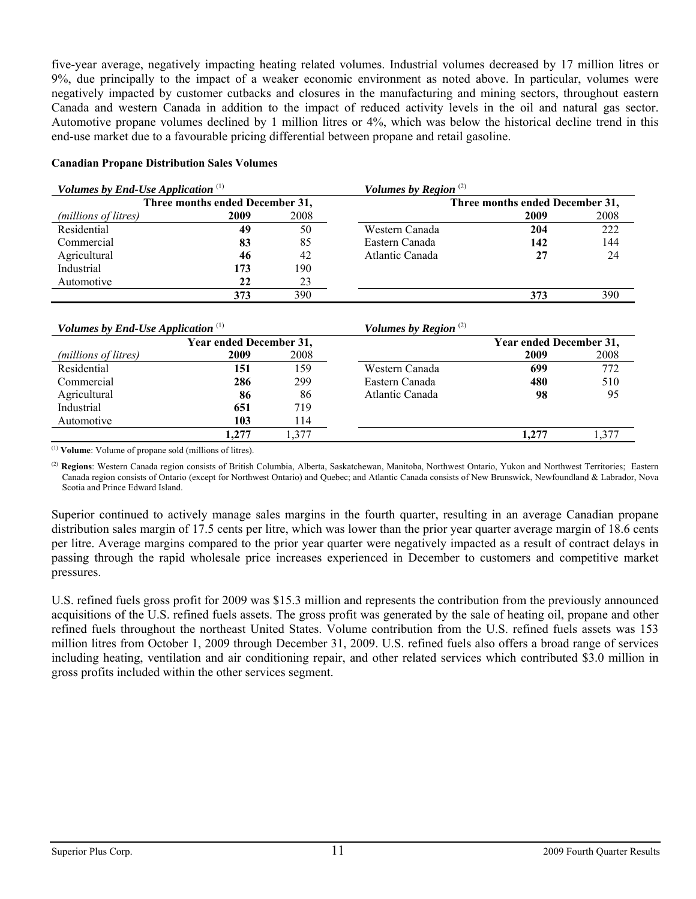five-year average, negatively impacting heating related volumes. Industrial volumes decreased by 17 million litres or 9%, due principally to the impact of a weaker economic environment as noted above. In particular, volumes were negatively impacted by customer cutbacks and closures in the manufacturing and mining sectors, throughout eastern Canada and western Canada in addition to the impact of reduced activity levels in the oil and natural gas sector. Automotive propane volumes declined by 1 million litres or 4%, which was below the historical decline trend in this end-use market due to a favourable pricing differential between propane and retail gasoline.

#### **Canadian Propane Distribution Sales Volumes**

| Volumes by End-Use Application $(1)$ |      |      | Volumes by Region $(2)$         |      |      |
|--------------------------------------|------|------|---------------------------------|------|------|
| Three months ended December 31,      |      |      | Three months ended December 31, |      |      |
| (millions of litres)                 | 2009 | 2008 |                                 | 2009 | 2008 |
| Residential                          | 49   | 50   | Western Canada                  | 204  | 222  |
| Commercial                           | 83   | 85   | Eastern Canada                  | 142  | 144  |
| Agricultural                         | 46   | 42   | Atlantic Canada                 |      | 24   |
| Industrial                           | 173  | 190  |                                 |      |      |
| Automotive                           | 22   | 23   |                                 |      |      |
|                                      | 373  | 390  |                                 | 373  | 390  |

| Volumes by End-Use Application $(1)$ |                         |      | Volumes by Region $(2)$ |                                |      |
|--------------------------------------|-------------------------|------|-------------------------|--------------------------------|------|
|                                      | Year ended December 31, |      |                         | <b>Year ended December 31,</b> |      |
| (millions of litres)                 | 2009                    | 2008 |                         | 2009                           | 2008 |
| Residential                          | 151                     | 159  | Western Canada          | 699                            | 772  |
| Commercial                           | 286                     | 299  | Eastern Canada          | 480                            | 510  |
| Agricultural                         | 86                      | 86   | Atlantic Canada         | 98                             | 95   |
| Industrial                           | 651                     | 719  |                         |                                |      |
| Automotive                           | 103                     | 114  |                         |                                |      |
|                                      | 1.277                   | .377 |                         | 1.277                          |      |

(1) **Volume**: Volume of propane sold (millions of litres).

(2) **Regions**: Western Canada region consists of British Columbia, Alberta, Saskatchewan, Manitoba, Northwest Ontario, Yukon and Northwest Territories; Eastern Canada region consists of Ontario (except for Northwest Ontario) and Quebec; and Atlantic Canada consists of New Brunswick, Newfoundland & Labrador, Nova Scotia and Prince Edward Island.

Superior continued to actively manage sales margins in the fourth quarter, resulting in an average Canadian propane distribution sales margin of 17.5 cents per litre, which was lower than the prior year quarter average margin of 18.6 cents per litre. Average margins compared to the prior year quarter were negatively impacted as a result of contract delays in passing through the rapid wholesale price increases experienced in December to customers and competitive market pressures.

U.S. refined fuels gross profit for 2009 was \$15.3 million and represents the contribution from the previously announced acquisitions of the U.S. refined fuels assets. The gross profit was generated by the sale of heating oil, propane and other refined fuels throughout the northeast United States. Volume contribution from the U.S. refined fuels assets was 153 million litres from October 1, 2009 through December 31, 2009. U.S. refined fuels also offers a broad range of services including heating, ventilation and air conditioning repair, and other related services which contributed \$3.0 million in gross profits included within the other services segment.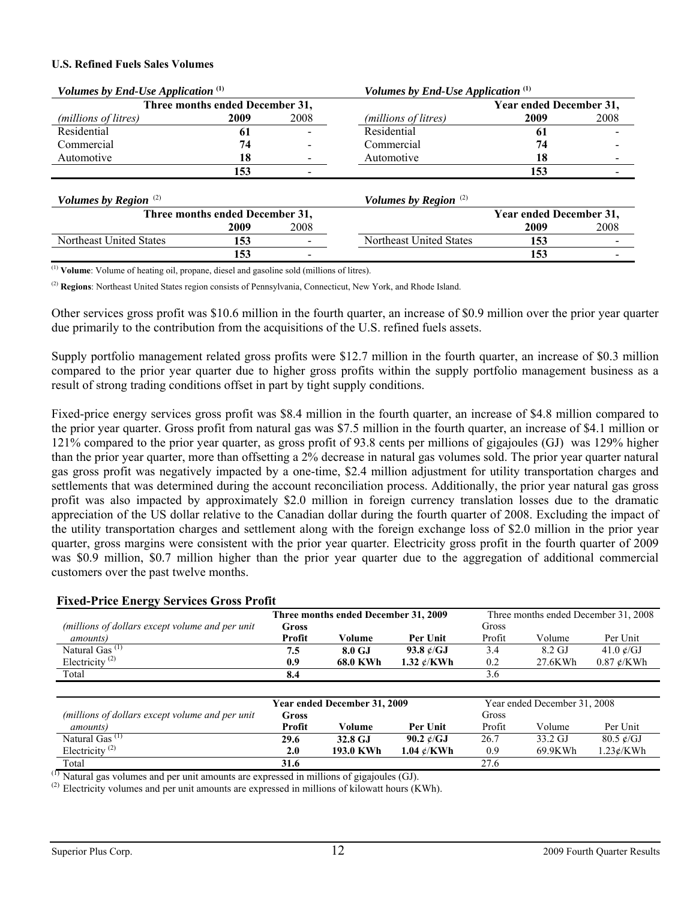#### **U.S. Refined Fuels Sales Volumes**

| Volumes by End-Use Application $(1)$ |                                 |      | Volumes by End-Use Application $(1)$ |                                |      |
|--------------------------------------|---------------------------------|------|--------------------------------------|--------------------------------|------|
|                                      | Three months ended December 31, |      |                                      | <b>Year ended December 31,</b> |      |
| (millions of litres)                 | 2009                            | 2008 | (millions of litres)                 | 2009                           | 2008 |
| Residential                          | 61                              |      | Residential                          | 61                             |      |
| Commercial                           | 74                              |      | Commercial                           | 74                             |      |
| Automotive                           | 18                              |      | Automotive                           | 18                             |      |
|                                      | 153                             |      |                                      | 153                            |      |
|                                      |                                 |      |                                      |                                |      |
| Volumes by Region $(2)$              |                                 |      | Volumes by Region $(2)$              |                                |      |
|                                      | Three months ended December 31, |      |                                      | <b>Year ended December 31,</b> |      |
|                                      | 2009                            | 2008 |                                      | 2009                           | 2008 |
| Northeast United States              | 153                             |      | Northeast United States              | 153                            |      |
|                                      | 153                             |      |                                      | 153                            |      |

**<sup>153</sup>**- **153** - (1) **Volume**: Volume of heating oil, propane, diesel and gasoline sold (millions of litres).

(2) **Regions**: Northeast United States region consists of Pennsylvania, Connecticut, New York, and Rhode Island.

Other services gross profit was \$10.6 million in the fourth quarter, an increase of \$0.9 million over the prior year quarter due primarily to the contribution from the acquisitions of the U.S. refined fuels assets.

Supply portfolio management related gross profits were \$12.7 million in the fourth quarter, an increase of \$0.3 million compared to the prior year quarter due to higher gross profits within the supply portfolio management business as a result of strong trading conditions offset in part by tight supply conditions.

Fixed-price energy services gross profit was \$8.4 million in the fourth quarter, an increase of \$4.8 million compared to the prior year quarter. Gross profit from natural gas was \$7.5 million in the fourth quarter, an increase of \$4.1 million or 121% compared to the prior year quarter, as gross profit of 93.8 cents per millions of gigajoules (GJ) was 129% higher than the prior year quarter, more than offsetting a 2% decrease in natural gas volumes sold. The prior year quarter natural gas gross profit was negatively impacted by a one-time, \$2.4 million adjustment for utility transportation charges and settlements that was determined during the account reconciliation process. Additionally, the prior year natural gas gross profit was also impacted by approximately \$2.0 million in foreign currency translation losses due to the dramatic appreciation of the US dollar relative to the Canadian dollar during the fourth quarter of 2008. Excluding the impact of the utility transportation charges and settlement along with the foreign exchange loss of \$2.0 million in the prior year quarter, gross margins were consistent with the prior year quarter. Electricity gross profit in the fourth quarter of 2009 was \$0.9 million, \$0.7 million higher than the prior year quarter due to the aggregation of additional commercial customers over the past twelve months.

| <b>Fixed-Price Energy Services Gross Profit</b> |  |
|-------------------------------------------------|--|
|-------------------------------------------------|--|

| ⊷                                                | Three months ended December 31, 2009 |                                     |                     |        |                              | Three months ended December 31, 2008 |
|--------------------------------------------------|--------------------------------------|-------------------------------------|---------------------|--------|------------------------------|--------------------------------------|
| (millions of dollars except volume and per unit) | Gross                                |                                     |                     | Gross  |                              |                                      |
| <i>amounts</i> )                                 | Profit                               | Volume                              | Per Unit            | Profit | Volume                       | Per Unit                             |
| Natural Gas <sup>(1)</sup>                       | 7.5                                  | 8.0 GJ                              | 93.8 $\epsilon$ /GJ | 3.4    | 8.2 GJ                       | 41.0 $\epsilon$ /GJ                  |
| Electricity <sup>(2)</sup>                       | 0.9                                  | <b>68.0 KWh</b>                     | 1.32 $\ell$ /KWh    | 0.2    | 27.6KWh                      | $0.87 \, \epsilon$ /KWh              |
| Total                                            | 8.4                                  |                                     |                     | 3.6    |                              |                                      |
|                                                  |                                      |                                     |                     |        |                              |                                      |
|                                                  |                                      | <b>Year ended December 31, 2009</b> |                     |        | Year ended December 31, 2008 |                                      |
| (millions of dollars except volume and per unit) | Gross                                |                                     |                     | Gross  |                              |                                      |
| <i>amounts</i> )                                 | Profit                               | Volume                              | Per Unit            | Profit | Volume                       | Per Unit                             |
| Natural Gas $(1)$                                | 29.6                                 | 32.8 GJ                             | 90.2 $\phi$ /GJ     | 26.7   | 33.2 GJ                      | $80.5 \ \text{\eC/GJ}$               |
| Electricity <sup><math>(2)</math></sup>          | 2.0                                  | 193.0 KWh                           | 1.04 $\ell$ /KWh    | 0.9    | 69.9KWh                      | $1.23 \times$ /KWh                   |
| Total                                            | 31.6                                 |                                     |                     | 27.6   |                              |                                      |

 $\overline{10}$  Natural gas volumes and per unit amounts are expressed in millions of gigajoules (GJ).

 $^{(2)}$  Electricity volumes and per unit amounts are expressed in millions of kilowatt hours (KWh).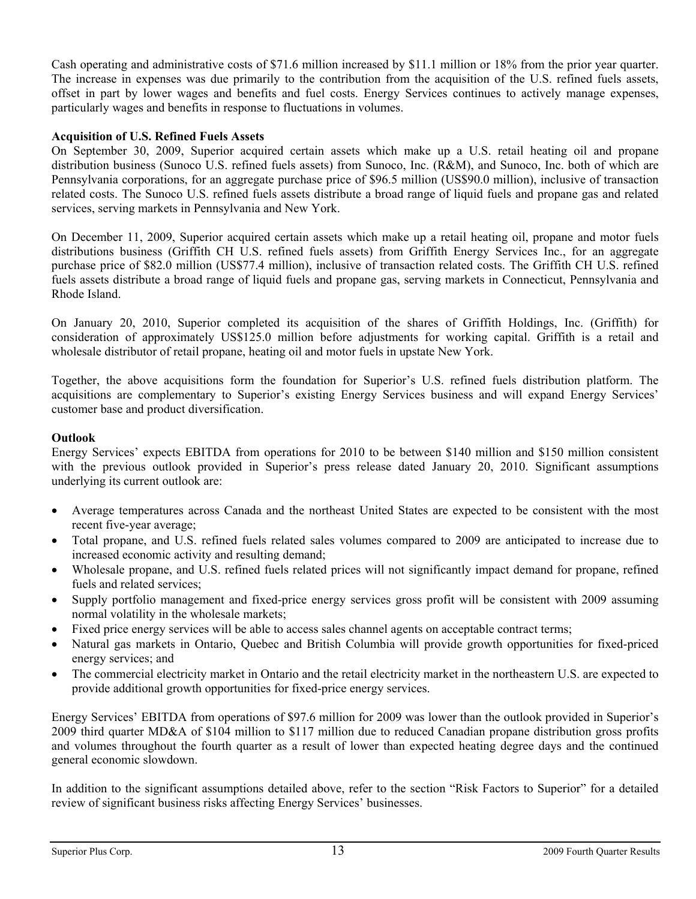Cash operating and administrative costs of \$71.6 million increased by \$11.1 million or 18% from the prior year quarter. The increase in expenses was due primarily to the contribution from the acquisition of the U.S. refined fuels assets, offset in part by lower wages and benefits and fuel costs. Energy Services continues to actively manage expenses, particularly wages and benefits in response to fluctuations in volumes.

### **Acquisition of U.S. Refined Fuels Assets**

On September 30, 2009, Superior acquired certain assets which make up a U.S. retail heating oil and propane distribution business (Sunoco U.S. refined fuels assets) from Sunoco, Inc. (R&M), and Sunoco, Inc. both of which are Pennsylvania corporations, for an aggregate purchase price of \$96.5 million (US\$90.0 million), inclusive of transaction related costs. The Sunoco U.S. refined fuels assets distribute a broad range of liquid fuels and propane gas and related services, serving markets in Pennsylvania and New York.

On December 11, 2009, Superior acquired certain assets which make up a retail heating oil, propane and motor fuels distributions business (Griffith CH U.S. refined fuels assets) from Griffith Energy Services Inc., for an aggregate purchase price of \$82.0 million (US\$77.4 million), inclusive of transaction related costs. The Griffith CH U.S. refined fuels assets distribute a broad range of liquid fuels and propane gas, serving markets in Connecticut, Pennsylvania and Rhode Island.

On January 20, 2010, Superior completed its acquisition of the shares of Griffith Holdings, Inc. (Griffith) for consideration of approximately US\$125.0 million before adjustments for working capital. Griffith is a retail and wholesale distributor of retail propane, heating oil and motor fuels in upstate New York.

Together, the above acquisitions form the foundation for Superior's U.S. refined fuels distribution platform. The acquisitions are complementary to Superior's existing Energy Services business and will expand Energy Services' customer base and product diversification.

# **Outlook**

Energy Services' expects EBITDA from operations for 2010 to be between \$140 million and \$150 million consistent with the previous outlook provided in Superior's press release dated January 20, 2010. Significant assumptions underlying its current outlook are:

- Average temperatures across Canada and the northeast United States are expected to be consistent with the most recent five-year average;
- Total propane, and U.S. refined fuels related sales volumes compared to 2009 are anticipated to increase due to increased economic activity and resulting demand;
- Wholesale propane, and U.S. refined fuels related prices will not significantly impact demand for propane, refined fuels and related services;
- Supply portfolio management and fixed-price energy services gross profit will be consistent with 2009 assuming normal volatility in the wholesale markets;
- Fixed price energy services will be able to access sales channel agents on acceptable contract terms;
- Natural gas markets in Ontario, Quebec and British Columbia will provide growth opportunities for fixed-priced energy services; and
- The commercial electricity market in Ontario and the retail electricity market in the northeastern U.S. are expected to provide additional growth opportunities for fixed-price energy services.

Energy Services' EBITDA from operations of \$97.6 million for 2009 was lower than the outlook provided in Superior's 2009 third quarter MD&A of \$104 million to \$117 million due to reduced Canadian propane distribution gross profits and volumes throughout the fourth quarter as a result of lower than expected heating degree days and the continued general economic slowdown.

In addition to the significant assumptions detailed above, refer to the section "Risk Factors to Superior" for a detailed review of significant business risks affecting Energy Services' businesses.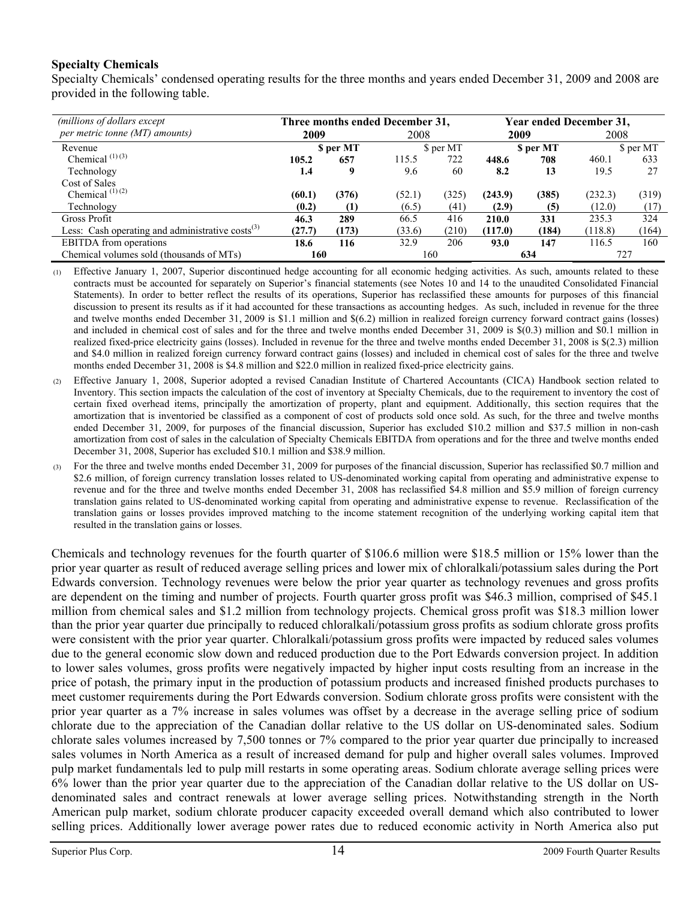#### **Specialty Chemicals**

Specialty Chemicals' condensed operating results for the three months and years ended December 31, 2009 and 2008 are provided in the following table.

| (millions of dollars except                           | Year ended December 31,<br>Three months ended December 31, |          |        |           |         |           |         |           |  |  |  |
|-------------------------------------------------------|------------------------------------------------------------|----------|--------|-----------|---------|-----------|---------|-----------|--|--|--|
| per metric tonne (MT) amounts)                        | 2009                                                       |          | 2008   |           |         | 2009      |         | 2008      |  |  |  |
| Revenue                                               |                                                            | S per MT |        | \$ per MT |         | \$ per MT |         | \$ per MT |  |  |  |
| Chemical <sup><math>(1)(3)</math></sup>               | 105.2                                                      | 657      | 115.5  | 722       | 448.6   | 708       | 460.1   | 633       |  |  |  |
| Technology                                            | 1.4                                                        | 9        | 9.6    | 60        | 8.2     | 13        | 19.5    | 27        |  |  |  |
| Cost of Sales                                         |                                                            |          |        |           |         |           |         |           |  |  |  |
| Chemical $(1)(2)$                                     | (60.1)                                                     | (376)    | (52.1) | (325)     | (243.9) | (385)     | (232.3) | (319)     |  |  |  |
| Technology                                            | (0.2)                                                      | (1)      | (6.5)  | (41)      | (2.9)   | (5)       | (12.0)  | (17)      |  |  |  |
| Gross Profit                                          | 46.3                                                       | 289      | 66.5   | 416       | 210.0   | 331       | 235.3   | 324       |  |  |  |
| Less: Cash operating and administrative $costs^{(3)}$ | (27.7)                                                     | (173)    | (33.6) | (210)     | (117.0) | (184)     | (118.8) | (164)     |  |  |  |
| EBITDA from operations                                | 18.6                                                       | 116      | 32.9   | 206       | 93.0    | 147       | 116.5   | 160       |  |  |  |
| Chemical volumes sold (thousands of MTs)              | 160                                                        |          | 160    |           |         | 634       | 727     |           |  |  |  |

(1) Effective January 1, 2007, Superior discontinued hedge accounting for all economic hedging activities. As such, amounts related to these contracts must be accounted for separately on Superior's financial statements (see Notes 10 and 14 to the unaudited Consolidated Financial Statements). In order to better reflect the results of its operations, Superior has reclassified these amounts for purposes of this financial discussion to present its results as if it had accounted for these transactions as accounting hedges. As such, included in revenue for the three and twelve months ended December 31, 2009 is \$1.1 million and \$(6.2) million in realized foreign currency forward contract gains (losses) and included in chemical cost of sales and for the three and twelve months ended December 31, 2009 is \$(0.3) million and \$0.1 million in realized fixed-price electricity gains (losses). Included in revenue for the three and twelve months ended December 31, 2008 is \$(2.3) million and \$4.0 million in realized foreign currency forward contract gains (losses) and included in chemical cost of sales for the three and twelve months ended December 31, 2008 is \$4.8 million and \$22.0 million in realized fixed-price electricity gains.

- (2) Effective January 1, 2008, Superior adopted a revised Canadian Institute of Chartered Accountants (CICA) Handbook section related to Inventory. This section impacts the calculation of the cost of inventory at Specialty Chemicals, due to the requirement to inventory the cost of certain fixed overhead items, principally the amortization of property, plant and equipment. Additionally, this section requires that the amortization that is inventoried be classified as a component of cost of products sold once sold. As such, for the three and twelve months ended December 31, 2009, for purposes of the financial discussion, Superior has excluded \$10.2 million and \$37.5 million in non-cash amortization from cost of sales in the calculation of Specialty Chemicals EBITDA from operations and for the three and twelve months ended December 31, 2008, Superior has excluded \$10.1 million and \$38.9 million.
- (3) For the three and twelve months ended December 31, 2009 for purposes of the financial discussion, Superior has reclassified \$0.7 million and \$2.6 million, of foreign currency translation losses related to US-denominated working capital from operating and administrative expense to revenue and for the three and twelve months ended December 31, 2008 has reclassified \$4.8 million and \$5.9 million of foreign currency translation gains related to US-denominated working capital from operating and administrative expense to revenue. Reclassification of the translation gains or losses provides improved matching to the income statement recognition of the underlying working capital item that resulted in the translation gains or losses.

Chemicals and technology revenues for the fourth quarter of \$106.6 million were \$18.5 million or 15% lower than the prior year quarter as result of reduced average selling prices and lower mix of chloralkali/potassium sales during the Port Edwards conversion. Technology revenues were below the prior year quarter as technology revenues and gross profits are dependent on the timing and number of projects. Fourth quarter gross profit was \$46.3 million, comprised of \$45.1 million from chemical sales and \$1.2 million from technology projects. Chemical gross profit was \$18.3 million lower than the prior year quarter due principally to reduced chloralkali/potassium gross profits as sodium chlorate gross profits were consistent with the prior year quarter. Chloralkali/potassium gross profits were impacted by reduced sales volumes due to the general economic slow down and reduced production due to the Port Edwards conversion project. In addition to lower sales volumes, gross profits were negatively impacted by higher input costs resulting from an increase in the price of potash, the primary input in the production of potassium products and increased finished products purchases to meet customer requirements during the Port Edwards conversion. Sodium chlorate gross profits were consistent with the prior year quarter as a 7% increase in sales volumes was offset by a decrease in the average selling price of sodium chlorate due to the appreciation of the Canadian dollar relative to the US dollar on US-denominated sales. Sodium chlorate sales volumes increased by 7,500 tonnes or 7% compared to the prior year quarter due principally to increased sales volumes in North America as a result of increased demand for pulp and higher overall sales volumes. Improved pulp market fundamentals led to pulp mill restarts in some operating areas. Sodium chlorate average selling prices were 6% lower than the prior year quarter due to the appreciation of the Canadian dollar relative to the US dollar on USdenominated sales and contract renewals at lower average selling prices. Notwithstanding strength in the North American pulp market, sodium chlorate producer capacity exceeded overall demand which also contributed to lower selling prices. Additionally lower average power rates due to reduced economic activity in North America also put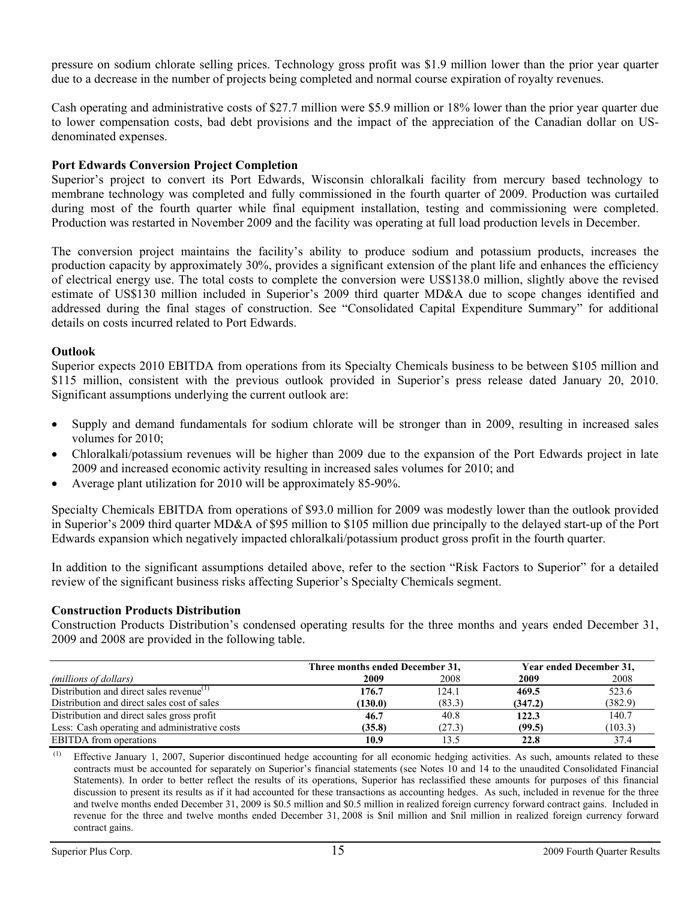pressure on sodium chlorate selling prices. Technology gross profit was \$1.9 million lower than the prior year quarter due to a decrease in the number of projects being completed and normal course expiration of royalty revenues.

Cash operating and administrative costs of \$27.7 million were \$5.9 million or 18% lower than the prior year quarter due to lower compensation costs, bad debt provisions and the impact of the appreciation of the Canadian dollar on USdenominated expenses.

#### **Port Edwards Conversion Project Completion**

Superior's project to convert its Port Edwards, Wisconsin chloralkali facility from mercury based technology to membrane technology was completed and fully commissioned in the fourth quarter of 2009. Production was curtailed during most of the fourth quarter while final equipment installation, testing and commissioning were completed. Production was restarted in November 2009 and the facility was operating at full load production levels in December.

The conversion project maintains the facility's ability to produce sodium and potassium products, increases the production capacity by approximately 30%, provides a significant extension of the plant life and enhances the efficiency of electrical energy use. The total costs to complete the conversion were US\$138.0 million, slightly above the revised estimate of US\$130 million included in Superior's 2009 third quarter MD&A due to scope changes identified and addressed during the final stages of construction. See "Consolidated Capital Expenditure Summary" for additional details on costs incurred related to Port Edwards.

#### **Outlook**

Superior expects 2010 EBITDA from operations from its Specialty Chemicals business to be between \$105 million and \$115 million, consistent with the previous outlook provided in Superior's press release dated January 20, 2010. Significant assumptions underlying the current outlook are:

- Supply and demand fundamentals for sodium chlorate will be stronger than in 2009, resulting in increased sales volumes for 2010;
- Chloralkali/potassium revenues will be higher than 2009 due to the expansion of the Port Edwards project in late 2009 and increased economic activity resulting in increased sales volumes for 2010; and
- Average plant utilization for 2010 will be approximately 85-90%.

Specialty Chemicals EBITDA from operations of \$93.0 million for 2009 was modestly lower than the outlook provided in Superior's 2009 third quarter MD&A of \$95 million to \$105 million due principally to the delayed start-up of the Port Edwards expansion which negatively impacted chloralkali/potassium product gross profit in the fourth quarter.

In addition to the significant assumptions detailed above, refer to the section "Risk Factors to Superior" for a detailed review of the significant business risks affecting Superior's Specialty Chemicals segment.

#### **Construction Products Distribution**

Construction Products Distribution's condensed operating results for the three months and years ended December 31, 2009 and 2008 are provided in the following table.

|                                               | Three months ended December 31, |        |         | Year ended December 31, |
|-----------------------------------------------|---------------------------------|--------|---------|-------------------------|
| (millions of dollars)                         | 2009                            | 2008   | 2009    | 2008                    |
| Distribution and direct sales revenue $(1)$   | 176.7                           | 124.1  | 469.5   | 523.6                   |
| Distribution and direct sales cost of sales   | (130.0)                         | (83.3) | (347.2) | (382.9)                 |
| Distribution and direct sales gross profit    | 46.7                            | 40.8   | 122.3   | 140.7                   |
| Less: Cash operating and administrative costs | (35.8)                          | (27.3) | (99.5)  | (103.3)                 |
| <b>EBITDA</b> from operations                 | 10.9                            | 3.5    | 22.8    | 37.4                    |

(1) Effective January 1, 2007, Superior discontinued hedge accounting for all economic hedging activities. As such, amounts related to these contracts must be accounted for separately on Superior's financial statements (see Notes 10 and 14 to the unaudited Consolidated Financial Statements). In order to better reflect the results of its operations, Superior has reclassified these amounts for purposes of this financial discussion to present its results as if it had accounted for these transactions as accounting hedges. As such, included in revenue for the three and twelve months ended December 31, 2009 is \$0.5 million and \$0.5 million in realized foreign currency forward contract gains. Included in revenue for the three and twelve months ended December 31, 2008 is \$nil million and \$nil million in realized foreign currency forward contract gains.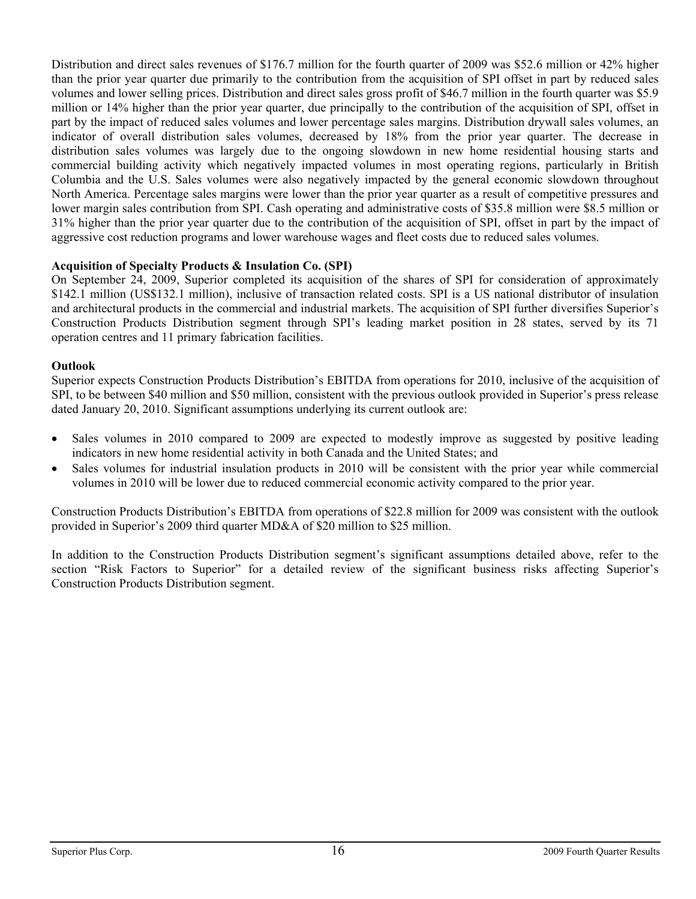Distribution and direct sales revenues of \$176.7 million for the fourth quarter of 2009 was \$52.6 million or 42% higher than the prior year quarter due primarily to the contribution from the acquisition of SPI offset in part by reduced sales volumes and lower selling prices. Distribution and direct sales gross profit of \$46.7 million in the fourth quarter was \$5.9 million or 14% higher than the prior year quarter, due principally to the contribution of the acquisition of SPI, offset in part by the impact of reduced sales volumes and lower percentage sales margins. Distribution drywall sales volumes, an indicator of overall distribution sales volumes, decreased by 18% from the prior year quarter. The decrease in distribution sales volumes was largely due to the ongoing slowdown in new home residential housing starts and commercial building activity which negatively impacted volumes in most operating regions, particularly in British Columbia and the U.S. Sales volumes were also negatively impacted by the general economic slowdown throughout North America. Percentage sales margins were lower than the prior year quarter as a result of competitive pressures and lower margin sales contribution from SPI. Cash operating and administrative costs of \$35.8 million were \$8.5 million or 31% higher than the prior year quarter due to the contribution of the acquisition of SPI, offset in part by the impact of aggressive cost reduction programs and lower warehouse wages and fleet costs due to reduced sales volumes.

### **Acquisition of Specialty Products & Insulation Co. (SPI)**

On September 24, 2009, Superior completed its acquisition of the shares of SPI for consideration of approximately \$142.1 million (US\$132.1 million), inclusive of transaction related costs. SPI is a US national distributor of insulation and architectural products in the commercial and industrial markets. The acquisition of SPI further diversifies Superior's Construction Products Distribution segment through SPI's leading market position in 28 states, served by its 71 operation centres and 11 primary fabrication facilities.

### **Outlook**

Superior expects Construction Products Distribution's EBITDA from operations for 2010, inclusive of the acquisition of SPI, to be between \$40 million and \$50 million, consistent with the previous outlook provided in Superior's press release dated January 20, 2010. Significant assumptions underlying its current outlook are:

- Sales volumes in 2010 compared to 2009 are expected to modestly improve as suggested by positive leading indicators in new home residential activity in both Canada and the United States; and
- Sales volumes for industrial insulation products in 2010 will be consistent with the prior year while commercial volumes in 2010 will be lower due to reduced commercial economic activity compared to the prior year.

Construction Products Distribution's EBITDA from operations of \$22.8 million for 2009 was consistent with the outlook provided in Superior's 2009 third quarter MD&A of \$20 million to \$25 million.

In addition to the Construction Products Distribution segment's significant assumptions detailed above, refer to the section "Risk Factors to Superior" for a detailed review of the significant business risks affecting Superior's Construction Products Distribution segment.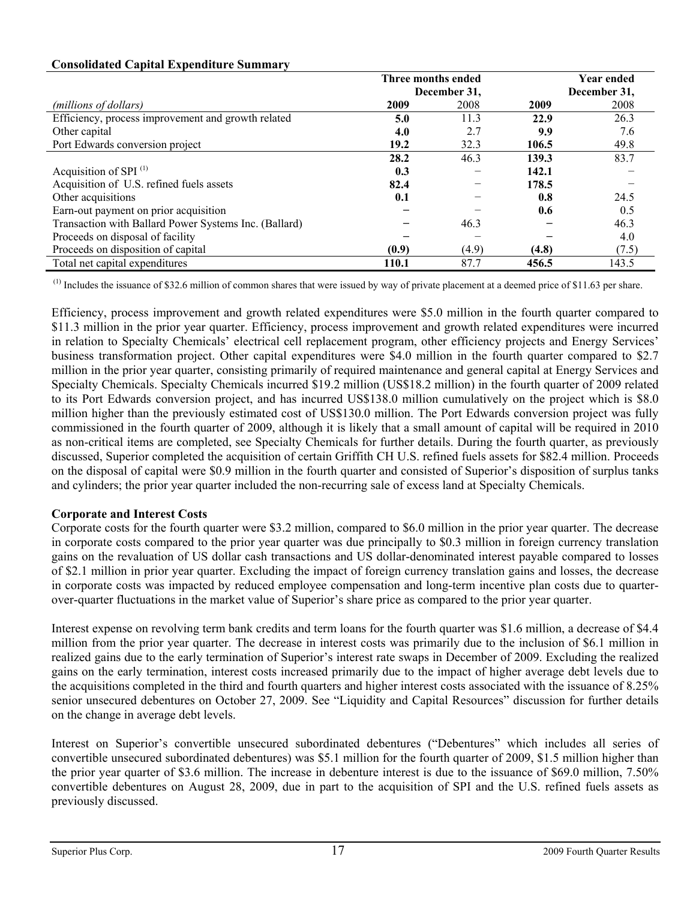### **Consolidated Capital Expenditure Summary**

|                                                       | Three months ended |              |       | <b>Year ended</b> |
|-------------------------------------------------------|--------------------|--------------|-------|-------------------|
|                                                       |                    | December 31, |       | December 31,      |
| (millions of dollars)                                 | 2009               | 2008         | 2009  | 2008              |
| Efficiency, process improvement and growth related    | 5.0                | 11.3         | 22.9  | 26.3              |
| Other capital                                         | 4.0                | 2.7          | 9.9   | 7.6               |
| Port Edwards conversion project                       | 19.2               | 32.3         | 106.5 | 49.8              |
|                                                       | 28.2               | 46.3         | 139.3 | 83.7              |
| Acquisition of SPI <sup>(1)</sup>                     | 0.3                |              | 142.1 |                   |
| Acquisition of U.S. refined fuels assets              | 82.4               |              | 178.5 |                   |
| Other acquisitions                                    | 0.1                |              | 0.8   | 24.5              |
| Earn-out payment on prior acquisition                 |                    |              | 0.6   | 0.5               |
| Transaction with Ballard Power Systems Inc. (Ballard) |                    | 46.3         |       | 46.3              |
| Proceeds on disposal of facility                      |                    |              |       | 4.0               |
| Proceeds on disposition of capital                    | (0.9)              | (4.9)        | (4.8) | (7.5)             |
| Total net capital expenditures                        | 110.1              | 87.7         | 456.5 | 143.5             |

 $<sup>(1)</sup>$  Includes the issuance of \$32.6 million of common shares that were issued by way of private placement at a deemed price of \$11.63 per share.</sup>

Efficiency, process improvement and growth related expenditures were \$5.0 million in the fourth quarter compared to \$11.3 million in the prior year quarter. Efficiency, process improvement and growth related expenditures were incurred in relation to Specialty Chemicals' electrical cell replacement program, other efficiency projects and Energy Services' business transformation project. Other capital expenditures were \$4.0 million in the fourth quarter compared to \$2.7 million in the prior year quarter, consisting primarily of required maintenance and general capital at Energy Services and Specialty Chemicals. Specialty Chemicals incurred \$19.2 million (US\$18.2 million) in the fourth quarter of 2009 related to its Port Edwards conversion project, and has incurred US\$138.0 million cumulatively on the project which is \$8.0 million higher than the previously estimated cost of US\$130.0 million. The Port Edwards conversion project was fully commissioned in the fourth quarter of 2009, although it is likely that a small amount of capital will be required in 2010 as non-critical items are completed, see Specialty Chemicals for further details. During the fourth quarter, as previously discussed, Superior completed the acquisition of certain Griffith CH U.S. refined fuels assets for \$82.4 million. Proceeds on the disposal of capital were \$0.9 million in the fourth quarter and consisted of Superior's disposition of surplus tanks and cylinders; the prior year quarter included the non-recurring sale of excess land at Specialty Chemicals.

### **Corporate and Interest Costs**

Corporate costs for the fourth quarter were \$3.2 million, compared to \$6.0 million in the prior year quarter. The decrease in corporate costs compared to the prior year quarter was due principally to \$0.3 million in foreign currency translation gains on the revaluation of US dollar cash transactions and US dollar-denominated interest payable compared to losses of \$2.1 million in prior year quarter. Excluding the impact of foreign currency translation gains and losses, the decrease in corporate costs was impacted by reduced employee compensation and long-term incentive plan costs due to quarterover-quarter fluctuations in the market value of Superior's share price as compared to the prior year quarter.

Interest expense on revolving term bank credits and term loans for the fourth quarter was \$1.6 million, a decrease of \$4.4 million from the prior year quarter. The decrease in interest costs was primarily due to the inclusion of \$6.1 million in realized gains due to the early termination of Superior's interest rate swaps in December of 2009. Excluding the realized gains on the early termination, interest costs increased primarily due to the impact of higher average debt levels due to the acquisitions completed in the third and fourth quarters and higher interest costs associated with the issuance of 8.25% senior unsecured debentures on October 27, 2009. See "Liquidity and Capital Resources" discussion for further details on the change in average debt levels.

Interest on Superior's convertible unsecured subordinated debentures ("Debentures" which includes all series of convertible unsecured subordinated debentures) was \$5.1 million for the fourth quarter of 2009, \$1.5 million higher than the prior year quarter of \$3.6 million. The increase in debenture interest is due to the issuance of \$69.0 million, 7.50% convertible debentures on August 28, 2009, due in part to the acquisition of SPI and the U.S. refined fuels assets as previously discussed.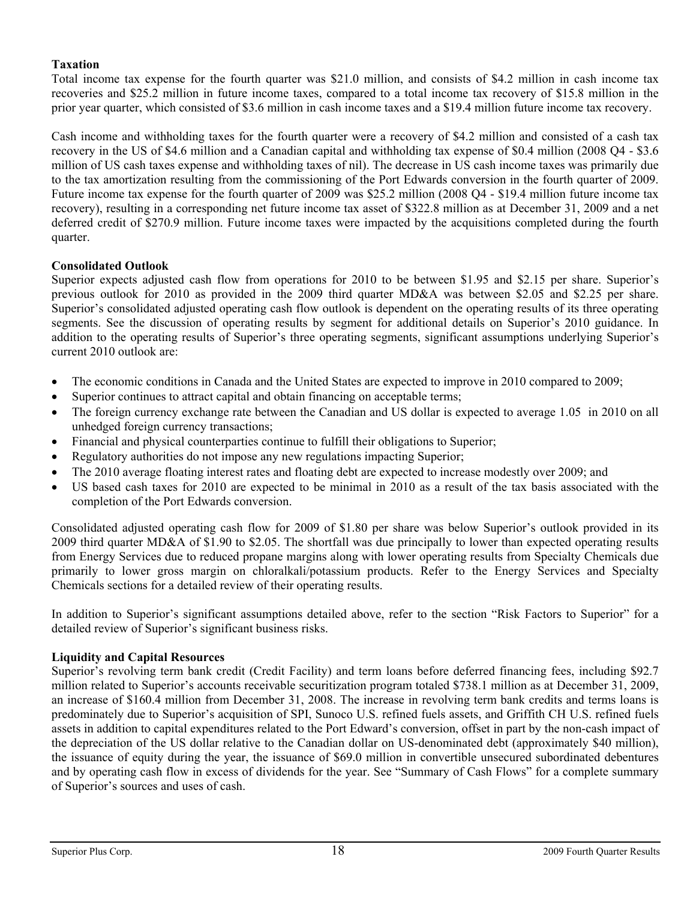### **Taxation**

Total income tax expense for the fourth quarter was \$21.0 million, and consists of \$4.2 million in cash income tax recoveries and \$25.2 million in future income taxes, compared to a total income tax recovery of \$15.8 million in the prior year quarter, which consisted of \$3.6 million in cash income taxes and a \$19.4 million future income tax recovery.

Cash income and withholding taxes for the fourth quarter were a recovery of \$4.2 million and consisted of a cash tax recovery in the US of \$4.6 million and a Canadian capital and withholding tax expense of \$0.4 million (2008 Q4 - \$3.6 million of US cash taxes expense and withholding taxes of nil). The decrease in US cash income taxes was primarily due to the tax amortization resulting from the commissioning of the Port Edwards conversion in the fourth quarter of 2009. Future income tax expense for the fourth quarter of 2009 was \$25.2 million (2008 Q4 - \$19.4 million future income tax recovery), resulting in a corresponding net future income tax asset of \$322.8 million as at December 31, 2009 and a net deferred credit of \$270.9 million. Future income taxes were impacted by the acquisitions completed during the fourth quarter.

## **Consolidated Outlook**

Superior expects adjusted cash flow from operations for 2010 to be between \$1.95 and \$2.15 per share. Superior's previous outlook for 2010 as provided in the 2009 third quarter MD&A was between \$2.05 and \$2.25 per share. Superior's consolidated adjusted operating cash flow outlook is dependent on the operating results of its three operating segments. See the discussion of operating results by segment for additional details on Superior's 2010 guidance. In addition to the operating results of Superior's three operating segments, significant assumptions underlying Superior's current 2010 outlook are:

- The economic conditions in Canada and the United States are expected to improve in 2010 compared to 2009;
- Superior continues to attract capital and obtain financing on acceptable terms;
- The foreign currency exchange rate between the Canadian and US dollar is expected to average 1.05 in 2010 on all unhedged foreign currency transactions;
- Financial and physical counterparties continue to fulfill their obligations to Superior;
- Regulatory authorities do not impose any new regulations impacting Superior;
- The 2010 average floating interest rates and floating debt are expected to increase modestly over 2009; and
- US based cash taxes for 2010 are expected to be minimal in 2010 as a result of the tax basis associated with the completion of the Port Edwards conversion.

Consolidated adjusted operating cash flow for 2009 of \$1.80 per share was below Superior's outlook provided in its 2009 third quarter MD&A of \$1.90 to \$2.05. The shortfall was due principally to lower than expected operating results from Energy Services due to reduced propane margins along with lower operating results from Specialty Chemicals due primarily to lower gross margin on chloralkali/potassium products. Refer to the Energy Services and Specialty Chemicals sections for a detailed review of their operating results.

In addition to Superior's significant assumptions detailed above, refer to the section "Risk Factors to Superior" for a detailed review of Superior's significant business risks.

### **Liquidity and Capital Resources**

Superior's revolving term bank credit (Credit Facility) and term loans before deferred financing fees, including \$92.7 million related to Superior's accounts receivable securitization program totaled \$738.1 million as at December 31, 2009, an increase of \$160.4 million from December 31, 2008. The increase in revolving term bank credits and terms loans is predominately due to Superior's acquisition of SPI, Sunoco U.S. refined fuels assets, and Griffith CH U.S. refined fuels assets in addition to capital expenditures related to the Port Edward's conversion, offset in part by the non-cash impact of the depreciation of the US dollar relative to the Canadian dollar on US-denominated debt (approximately \$40 million), the issuance of equity during the year, the issuance of \$69.0 million in convertible unsecured subordinated debentures and by operating cash flow in excess of dividends for the year. See "Summary of Cash Flows" for a complete summary of Superior's sources and uses of cash.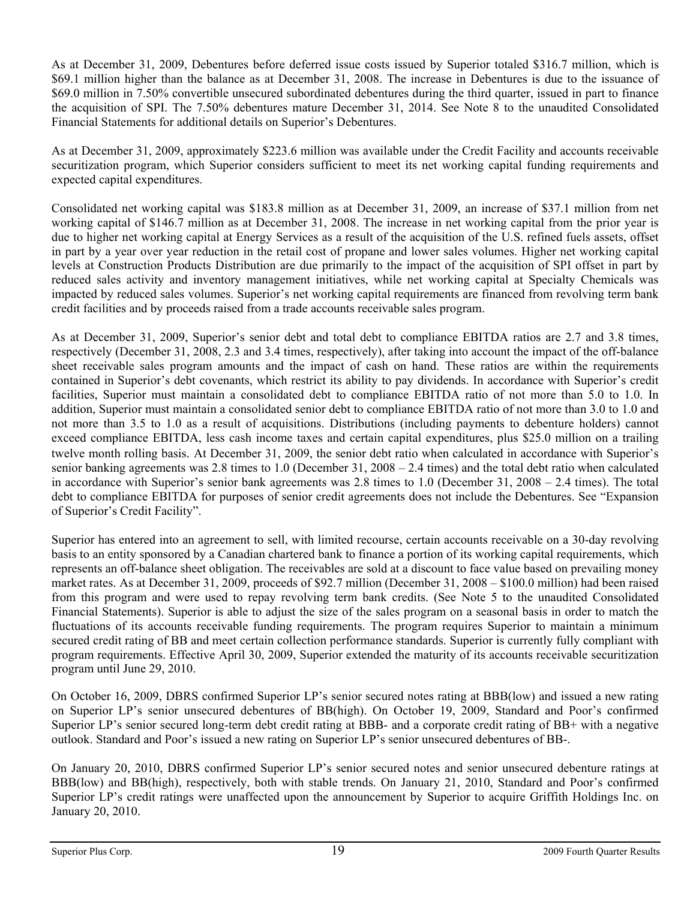As at December 31, 2009, Debentures before deferred issue costs issued by Superior totaled \$316.7 million, which is \$69.1 million higher than the balance as at December 31, 2008. The increase in Debentures is due to the issuance of \$69.0 million in 7.50% convertible unsecured subordinated debentures during the third quarter, issued in part to finance the acquisition of SPI. The 7.50% debentures mature December 31, 2014. See Note 8 to the unaudited Consolidated Financial Statements for additional details on Superior's Debentures.

As at December 31, 2009, approximately \$223.6 million was available under the Credit Facility and accounts receivable securitization program, which Superior considers sufficient to meet its net working capital funding requirements and expected capital expenditures.

Consolidated net working capital was \$183.8 million as at December 31, 2009, an increase of \$37.1 million from net working capital of \$146.7 million as at December 31, 2008. The increase in net working capital from the prior year is due to higher net working capital at Energy Services as a result of the acquisition of the U.S. refined fuels assets, offset in part by a year over year reduction in the retail cost of propane and lower sales volumes. Higher net working capital levels at Construction Products Distribution are due primarily to the impact of the acquisition of SPI offset in part by reduced sales activity and inventory management initiatives, while net working capital at Specialty Chemicals was impacted by reduced sales volumes. Superior's net working capital requirements are financed from revolving term bank credit facilities and by proceeds raised from a trade accounts receivable sales program.

As at December 31, 2009, Superior's senior debt and total debt to compliance EBITDA ratios are 2.7 and 3.8 times, respectively (December 31, 2008, 2.3 and 3.4 times, respectively), after taking into account the impact of the off-balance sheet receivable sales program amounts and the impact of cash on hand. These ratios are within the requirements contained in Superior's debt covenants, which restrict its ability to pay dividends. In accordance with Superior's credit facilities, Superior must maintain a consolidated debt to compliance EBITDA ratio of not more than 5.0 to 1.0. In addition, Superior must maintain a consolidated senior debt to compliance EBITDA ratio of not more than 3.0 to 1.0 and not more than 3.5 to 1.0 as a result of acquisitions. Distributions (including payments to debenture holders) cannot exceed compliance EBITDA, less cash income taxes and certain capital expenditures, plus \$25.0 million on a trailing twelve month rolling basis. At December 31, 2009, the senior debt ratio when calculated in accordance with Superior's senior banking agreements was 2.8 times to 1.0 (December 31, 2008 – 2.4 times) and the total debt ratio when calculated in accordance with Superior's senior bank agreements was 2.8 times to 1.0 (December 31, 2008 – 2.4 times). The total debt to compliance EBITDA for purposes of senior credit agreements does not include the Debentures. See "Expansion of Superior's Credit Facility".

Superior has entered into an agreement to sell, with limited recourse, certain accounts receivable on a 30-day revolving basis to an entity sponsored by a Canadian chartered bank to finance a portion of its working capital requirements, which represents an off-balance sheet obligation. The receivables are sold at a discount to face value based on prevailing money market rates. As at December 31, 2009, proceeds of \$92.7 million (December 31, 2008 – \$100.0 million) had been raised from this program and were used to repay revolving term bank credits. (See Note 5 to the unaudited Consolidated Financial Statements). Superior is able to adjust the size of the sales program on a seasonal basis in order to match the fluctuations of its accounts receivable funding requirements. The program requires Superior to maintain a minimum secured credit rating of BB and meet certain collection performance standards. Superior is currently fully compliant with program requirements. Effective April 30, 2009, Superior extended the maturity of its accounts receivable securitization program until June 29, 2010.

On October 16, 2009, DBRS confirmed Superior LP's senior secured notes rating at BBB(low) and issued a new rating on Superior LP's senior unsecured debentures of BB(high). On October 19, 2009, Standard and Poor's confirmed Superior LP's senior secured long-term debt credit rating at BBB- and a corporate credit rating of BB+ with a negative outlook. Standard and Poor's issued a new rating on Superior LP's senior unsecured debentures of BB-.

On January 20, 2010, DBRS confirmed Superior LP's senior secured notes and senior unsecured debenture ratings at BBB(low) and BB(high), respectively, both with stable trends. On January 21, 2010, Standard and Poor's confirmed Superior LP's credit ratings were unaffected upon the announcement by Superior to acquire Griffith Holdings Inc. on January 20, 2010.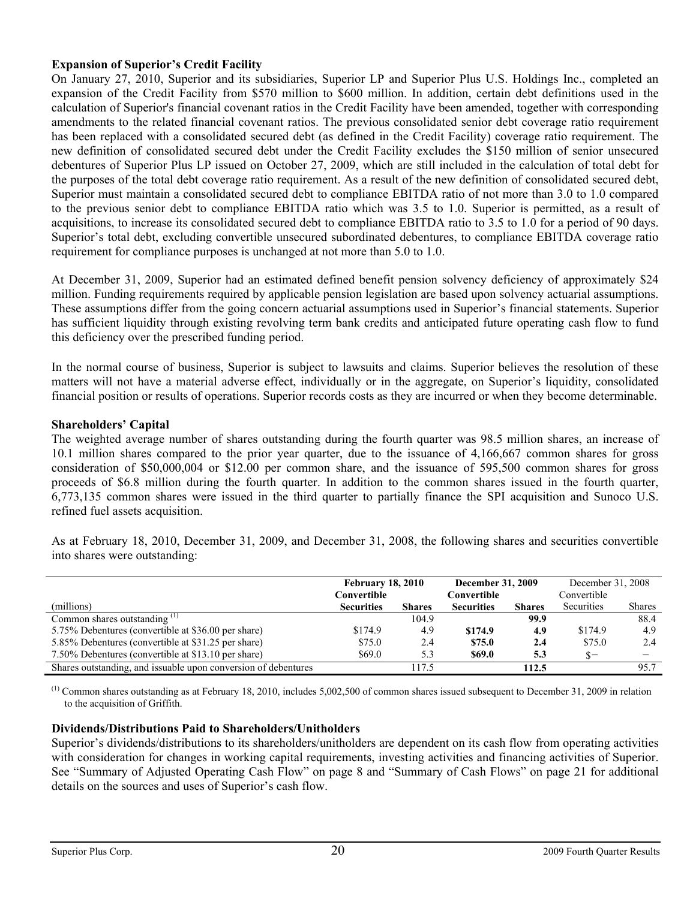### **Expansion of Superior's Credit Facility**

On January 27, 2010, Superior and its subsidiaries, Superior LP and Superior Plus U.S. Holdings Inc., completed an expansion of the Credit Facility from \$570 million to \$600 million. In addition, certain debt definitions used in the calculation of Superior's financial covenant ratios in the Credit Facility have been amended, together with corresponding amendments to the related financial covenant ratios. The previous consolidated senior debt coverage ratio requirement has been replaced with a consolidated secured debt (as defined in the Credit Facility) coverage ratio requirement. The new definition of consolidated secured debt under the Credit Facility excludes the \$150 million of senior unsecured debentures of Superior Plus LP issued on October 27, 2009, which are still included in the calculation of total debt for the purposes of the total debt coverage ratio requirement. As a result of the new definition of consolidated secured debt, Superior must maintain a consolidated secured debt to compliance EBITDA ratio of not more than 3.0 to 1.0 compared to the previous senior debt to compliance EBITDA ratio which was 3.5 to 1.0. Superior is permitted, as a result of acquisitions, to increase its consolidated secured debt to compliance EBITDA ratio to 3.5 to 1.0 for a period of 90 days. Superior's total debt, excluding convertible unsecured subordinated debentures, to compliance EBITDA coverage ratio requirement for compliance purposes is unchanged at not more than 5.0 to 1.0.

At December 31, 2009, Superior had an estimated defined benefit pension solvency deficiency of approximately \$24 million. Funding requirements required by applicable pension legislation are based upon solvency actuarial assumptions. These assumptions differ from the going concern actuarial assumptions used in Superior's financial statements. Superior has sufficient liquidity through existing revolving term bank credits and anticipated future operating cash flow to fund this deficiency over the prescribed funding period.

In the normal course of business, Superior is subject to lawsuits and claims. Superior believes the resolution of these matters will not have a material adverse effect, individually or in the aggregate, on Superior's liquidity, consolidated financial position or results of operations. Superior records costs as they are incurred or when they become determinable.

## **Shareholders' Capital**

The weighted average number of shares outstanding during the fourth quarter was 98.5 million shares, an increase of 10.1 million shares compared to the prior year quarter, due to the issuance of 4,166,667 common shares for gross consideration of \$50,000,004 or \$12.00 per common share, and the issuance of 595,500 common shares for gross proceeds of \$6.8 million during the fourth quarter. In addition to the common shares issued in the fourth quarter, 6,773,135 common shares were issued in the third quarter to partially finance the SPI acquisition and Sunoco U.S. refined fuel assets acquisition.

As at February 18, 2010, December 31, 2009, and December 31, 2008, the following shares and securities convertible into shares were outstanding:

|                                                                | <b>February 18, 2010</b> |               | <b>December 31, 2009</b> |               | December 31, 2008 |               |
|----------------------------------------------------------------|--------------------------|---------------|--------------------------|---------------|-------------------|---------------|
|                                                                | Convertible              |               | Convertible              |               | Convertible       |               |
| (millions)                                                     | <b>Securities</b>        | <b>Shares</b> | <b>Securities</b>        | <b>Shares</b> | Securities        | <b>Shares</b> |
| Common shares outstanding <sup>(1)</sup>                       |                          | 104.9         |                          | 99.9          |                   | 88.4          |
| 5.75% Debentures (convertible at \$36.00 per share)            | \$174.9                  | 4.9           | \$174.9                  | 4.9           | \$174.9           | 4.9           |
| 5.85% Debentures (convertible at \$31.25 per share)            | \$75.0                   | 2.4           | \$75.0                   | 2.4           | \$75.0            | 2.4           |
| 7.50% Debentures (convertible at \$13.10 per share)            | \$69.0                   | 5.3           | \$69.0                   | 5.3           | $S-$              |               |
| Shares outstanding, and issuable upon conversion of debentures |                          | 117.5         |                          | 112.5         |                   | 95.7          |

 $<sup>(1)</sup>$  Common shares outstanding as at February 18, 2010, includes 5,002,500 of common shares issued subsequent to December 31, 2009 in relation</sup> to the acquisition of Griffith.

### **Dividends/Distributions Paid to Shareholders/Unitholders**

Superior's dividends/distributions to its shareholders/unitholders are dependent on its cash flow from operating activities with consideration for changes in working capital requirements, investing activities and financing activities of Superior. See "Summary of Adjusted Operating Cash Flow" on page 8 and "Summary of Cash Flows" on page 21 for additional details on the sources and uses of Superior's cash flow.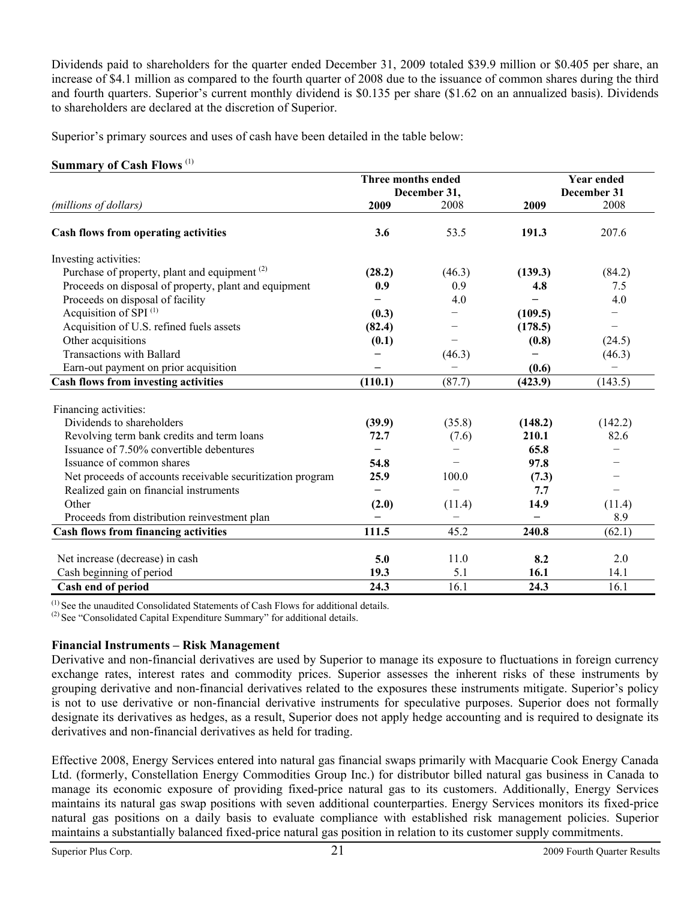Dividends paid to shareholders for the quarter ended December 31, 2009 totaled \$39.9 million or \$0.405 per share, an increase of \$4.1 million as compared to the fourth quarter of 2008 due to the issuance of common shares during the third and fourth quarters. Superior's current monthly dividend is \$0.135 per share (\$1.62 on an annualized basis). Dividends to shareholders are declared at the discretion of Superior.

Superior's primary sources and uses of cash have been detailed in the table below:

#### **Summary of Cash Flows** (1)

|                                                            | Three months ended |              | <b>Year ended</b> |                          |  |
|------------------------------------------------------------|--------------------|--------------|-------------------|--------------------------|--|
|                                                            |                    | December 31, |                   | December 31              |  |
| (millions of dollars)                                      | 2009               | 2008         | 2009              | 2008                     |  |
| <b>Cash flows from operating activities</b>                | 3.6                | 53.5         | 191.3             | 207.6                    |  |
| Investing activities:                                      |                    |              |                   |                          |  |
| Purchase of property, plant and equipment <sup>(2)</sup>   | (28.2)             | (46.3)       | (139.3)           | (84.2)                   |  |
| Proceeds on disposal of property, plant and equipment      | 0.9                | 0.9          | 4.8               | 7.5                      |  |
| Proceeds on disposal of facility                           |                    | 4.0          |                   | 4.0                      |  |
| Acquisition of SPI <sup>(1)</sup>                          | (0.3)              |              | (109.5)           |                          |  |
| Acquisition of U.S. refined fuels assets                   | (82.4)             |              | (178.5)           | —                        |  |
| Other acquisitions                                         | (0.1)              |              | (0.8)             | (24.5)                   |  |
| <b>Transactions with Ballard</b>                           |                    | (46.3)       |                   | (46.3)                   |  |
| Earn-out payment on prior acquisition                      |                    |              | (0.6)             | $\overline{\phantom{0}}$ |  |
| <b>Cash flows from investing activities</b>                | (110.1)            | (87.7)       | (423.9)           | (143.5)                  |  |
| Financing activities:                                      |                    |              |                   |                          |  |
| Dividends to shareholders                                  | (39.9)             | (35.8)       | (148.2)           | (142.2)                  |  |
| Revolving term bank credits and term loans                 | 72.7               | (7.6)        | 210.1             | 82.6                     |  |
| Issuance of 7.50% convertible debentures                   |                    |              | 65.8              |                          |  |
| Issuance of common shares                                  | 54.8               |              | 97.8              |                          |  |
| Net proceeds of accounts receivable securitization program | 25.9               | 100.0        | (7.3)             |                          |  |
| Realized gain on financial instruments                     |                    |              | 7.7               |                          |  |
| Other                                                      | (2.0)              | (11.4)       | 14.9              | (11.4)                   |  |
| Proceeds from distribution reinvestment plan               |                    |              |                   | 8.9                      |  |
| <b>Cash flows from financing activities</b>                | 111.5              | 45.2         | 240.8             | (62.1)                   |  |
|                                                            | 5.0                | 11.0         | 8.2               | 2.0                      |  |
| Net increase (decrease) in cash                            | 19.3               | 5.1          | 16.1              | 14.1                     |  |
| Cash beginning of period                                   |                    | 16.1         |                   |                          |  |
| Cash end of period                                         | 24.3               |              | 24.3              | 16.1                     |  |

(1) See the unaudited Consolidated Statements of Cash Flows for additional details.

 $^{(2)}$  See "Consolidated Capital Expenditure Summary" for additional details.

### **Financial Instruments – Risk Management**

Derivative and non-financial derivatives are used by Superior to manage its exposure to fluctuations in foreign currency exchange rates, interest rates and commodity prices. Superior assesses the inherent risks of these instruments by grouping derivative and non-financial derivatives related to the exposures these instruments mitigate. Superior's policy is not to use derivative or non-financial derivative instruments for speculative purposes. Superior does not formally designate its derivatives as hedges, as a result, Superior does not apply hedge accounting and is required to designate its derivatives and non-financial derivatives as held for trading.

Effective 2008, Energy Services entered into natural gas financial swaps primarily with Macquarie Cook Energy Canada Ltd. (formerly, Constellation Energy Commodities Group Inc.) for distributor billed natural gas business in Canada to manage its economic exposure of providing fixed-price natural gas to its customers. Additionally, Energy Services maintains its natural gas swap positions with seven additional counterparties. Energy Services monitors its fixed-price natural gas positions on a daily basis to evaluate compliance with established risk management policies. Superior maintains a substantially balanced fixed-price natural gas position in relation to its customer supply commitments.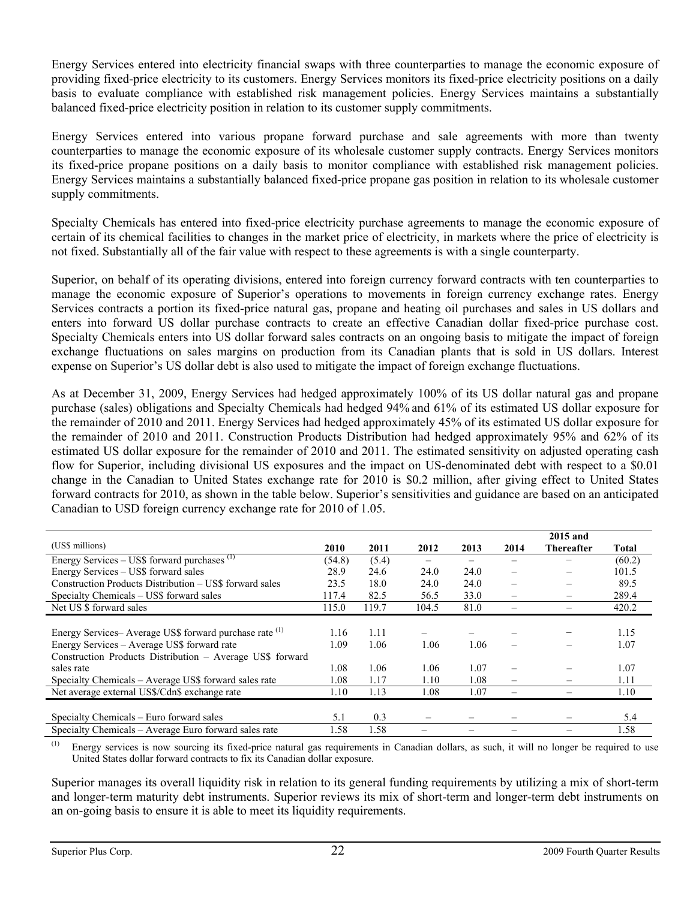Energy Services entered into electricity financial swaps with three counterparties to manage the economic exposure of providing fixed-price electricity to its customers. Energy Services monitors its fixed-price electricity positions on a daily basis to evaluate compliance with established risk management policies. Energy Services maintains a substantially balanced fixed-price electricity position in relation to its customer supply commitments.

Energy Services entered into various propane forward purchase and sale agreements with more than twenty counterparties to manage the economic exposure of its wholesale customer supply contracts. Energy Services monitors its fixed-price propane positions on a daily basis to monitor compliance with established risk management policies. Energy Services maintains a substantially balanced fixed-price propane gas position in relation to its wholesale customer supply commitments.

Specialty Chemicals has entered into fixed-price electricity purchase agreements to manage the economic exposure of certain of its chemical facilities to changes in the market price of electricity, in markets where the price of electricity is not fixed. Substantially all of the fair value with respect to these agreements is with a single counterparty.

Superior, on behalf of its operating divisions, entered into foreign currency forward contracts with ten counterparties to manage the economic exposure of Superior's operations to movements in foreign currency exchange rates. Energy Services contracts a portion its fixed-price natural gas, propane and heating oil purchases and sales in US dollars and enters into forward US dollar purchase contracts to create an effective Canadian dollar fixed-price purchase cost. Specialty Chemicals enters into US dollar forward sales contracts on an ongoing basis to mitigate the impact of foreign exchange fluctuations on sales margins on production from its Canadian plants that is sold in US dollars. Interest expense on Superior's US dollar debt is also used to mitigate the impact of foreign exchange fluctuations.

As at December 31, 2009, Energy Services had hedged approximately 100% of its US dollar natural gas and propane purchase (sales) obligations and Specialty Chemicals had hedged 94% and 61% of its estimated US dollar exposure for the remainder of 2010 and 2011. Energy Services had hedged approximately 45% of its estimated US dollar exposure for the remainder of 2010 and 2011. Construction Products Distribution had hedged approximately 95% and 62% of its estimated US dollar exposure for the remainder of 2010 and 2011. The estimated sensitivity on adjusted operating cash flow for Superior, including divisional US exposures and the impact on US-denominated debt with respect to a \$0.01 change in the Canadian to United States exchange rate for 2010 is \$0.2 million, after giving effect to United States forward contracts for 2010, as shown in the table below. Superior's sensitivities and guidance are based on an anticipated Canadian to USD foreign currency exchange rate for 2010 of 1.05.

|                                                                   |        |       |       |      |                          | 2015 and          |              |
|-------------------------------------------------------------------|--------|-------|-------|------|--------------------------|-------------------|--------------|
| (US\$ millions)                                                   | 2010   | 2011  | 2012  | 2013 | 2014                     | <b>Thereafter</b> | <b>Total</b> |
| Energy Services – US\$ forward purchases $(1)$                    | (54.8) | (5.4) |       |      |                          |                   | (60.2)       |
| Energy Services – US\$ forward sales                              | 28.9   | 24.6  | 24.0  | 24.0 |                          |                   | 101.5        |
| Construction Products Distribution – US\$ forward sales           | 23.5   | 18.0  | 24.0  | 24.0 |                          |                   | 89.5         |
| Specialty Chemicals – US\$ forward sales                          | 117.4  | 82.5  | 56.5  | 33.0 | $\overline{\phantom{0}}$ |                   | 289.4        |
| Net US \$ forward sales                                           | 115.0  | 119.7 | 104.5 | 81.0 |                          |                   | 420.2        |
|                                                                   |        |       |       |      |                          |                   |              |
| Energy Services–Average US\$ forward purchase rate <sup>(1)</sup> | 1.16   | 1.11  |       |      |                          |                   | 1.15         |
| Energy Services – Average US\$ forward rate                       | 1.09   | 1.06  | 1.06  | 1.06 |                          |                   | 1.07         |
| Construction Products Distribution - Average US\$ forward         |        |       |       |      |                          |                   |              |
| sales rate                                                        | 1.08   | 1.06  | 1.06  | 1.07 |                          |                   | 1.07         |
| Specialty Chemicals – Average US\$ forward sales rate             | 1.08   | 1.17  | 1.10  | 1.08 |                          |                   | 1.11         |
| Net average external US\$/Cdn\$ exchange rate                     | 1.10   | 1.13  | 1.08  | 1.07 |                          |                   | 1.10         |
|                                                                   |        |       |       |      |                          |                   |              |
| Specialty Chemicals – Euro forward sales                          | 5.1    | 0.3   |       |      |                          |                   | 5.4          |
| Specialty Chemicals – Average Euro forward sales rate             | 1.58   | 1.58  |       |      |                          |                   | 1.58         |

(1) Energy services is now sourcing its fixed-price natural gas requirements in Canadian dollars, as such, it will no longer be required to use United States dollar forward contracts to fix its Canadian dollar exposure.

Superior manages its overall liquidity risk in relation to its general funding requirements by utilizing a mix of short-term and longer-term maturity debt instruments. Superior reviews its mix of short-term and longer-term debt instruments on an on-going basis to ensure it is able to meet its liquidity requirements.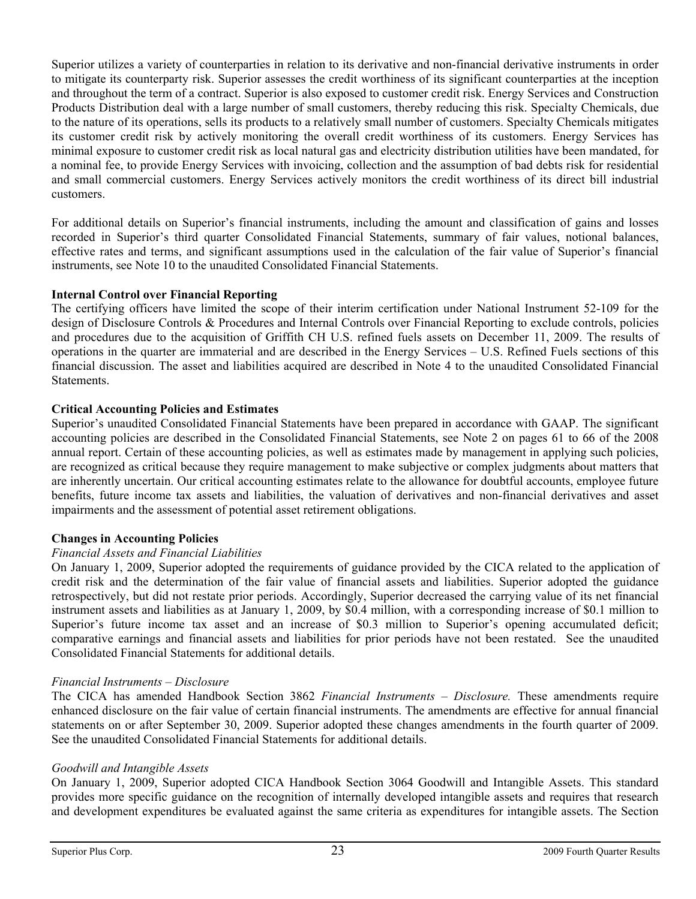Superior utilizes a variety of counterparties in relation to its derivative and non-financial derivative instruments in order to mitigate its counterparty risk. Superior assesses the credit worthiness of its significant counterparties at the inception and throughout the term of a contract. Superior is also exposed to customer credit risk. Energy Services and Construction Products Distribution deal with a large number of small customers, thereby reducing this risk. Specialty Chemicals, due to the nature of its operations, sells its products to a relatively small number of customers. Specialty Chemicals mitigates its customer credit risk by actively monitoring the overall credit worthiness of its customers. Energy Services has minimal exposure to customer credit risk as local natural gas and electricity distribution utilities have been mandated, for a nominal fee, to provide Energy Services with invoicing, collection and the assumption of bad debts risk for residential and small commercial customers. Energy Services actively monitors the credit worthiness of its direct bill industrial customers.

For additional details on Superior's financial instruments, including the amount and classification of gains and losses recorded in Superior's third quarter Consolidated Financial Statements, summary of fair values, notional balances, effective rates and terms, and significant assumptions used in the calculation of the fair value of Superior's financial instruments, see Note 10 to the unaudited Consolidated Financial Statements.

## **Internal Control over Financial Reporting**

The certifying officers have limited the scope of their interim certification under National Instrument 52-109 for the design of Disclosure Controls & Procedures and Internal Controls over Financial Reporting to exclude controls, policies and procedures due to the acquisition of Griffith CH U.S. refined fuels assets on December 11, 2009. The results of operations in the quarter are immaterial and are described in the Energy Services – U.S. Refined Fuels sections of this financial discussion. The asset and liabilities acquired are described in Note 4 to the unaudited Consolidated Financial Statements.

## **Critical Accounting Policies and Estimates**

Superior's unaudited Consolidated Financial Statements have been prepared in accordance with GAAP. The significant accounting policies are described in the Consolidated Financial Statements, see Note 2 on pages 61 to 66 of the 2008 annual report. Certain of these accounting policies, as well as estimates made by management in applying such policies, are recognized as critical because they require management to make subjective or complex judgments about matters that are inherently uncertain. Our critical accounting estimates relate to the allowance for doubtful accounts, employee future benefits, future income tax assets and liabilities, the valuation of derivatives and non-financial derivatives and asset impairments and the assessment of potential asset retirement obligations.

# **Changes in Accounting Policies**

# *Financial Assets and Financial Liabilities*

On January 1, 2009, Superior adopted the requirements of guidance provided by the CICA related to the application of credit risk and the determination of the fair value of financial assets and liabilities. Superior adopted the guidance retrospectively, but did not restate prior periods. Accordingly, Superior decreased the carrying value of its net financial instrument assets and liabilities as at January 1, 2009, by \$0.4 million, with a corresponding increase of \$0.1 million to Superior's future income tax asset and an increase of \$0.3 million to Superior's opening accumulated deficit; comparative earnings and financial assets and liabilities for prior periods have not been restated. See the unaudited Consolidated Financial Statements for additional details.

# *Financial Instruments – Disclosure*

The CICA has amended Handbook Section 3862 *Financial Instruments – Disclosure.* These amendments require enhanced disclosure on the fair value of certain financial instruments. The amendments are effective for annual financial statements on or after September 30, 2009. Superior adopted these changes amendments in the fourth quarter of 2009. See the unaudited Consolidated Financial Statements for additional details.

# *Goodwill and Intangible Assets*

On January 1, 2009, Superior adopted CICA Handbook Section 3064 Goodwill and Intangible Assets. This standard provides more specific guidance on the recognition of internally developed intangible assets and requires that research and development expenditures be evaluated against the same criteria as expenditures for intangible assets. The Section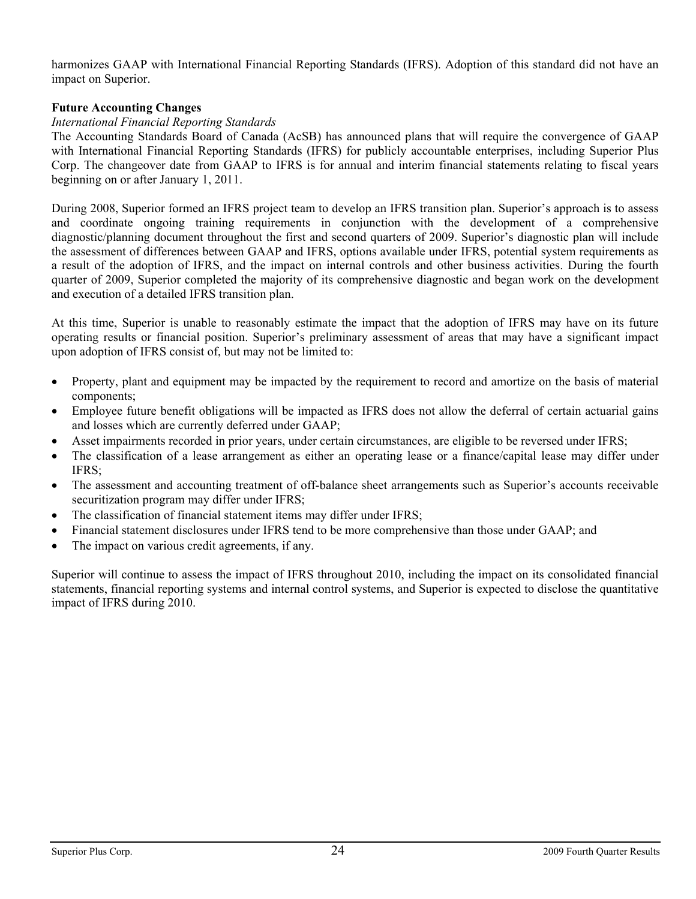harmonizes GAAP with International Financial Reporting Standards (IFRS). Adoption of this standard did not have an impact on Superior.

### **Future Accounting Changes**

### *International Financial Reporting Standards*

The Accounting Standards Board of Canada (AcSB) has announced plans that will require the convergence of GAAP with International Financial Reporting Standards (IFRS) for publicly accountable enterprises, including Superior Plus Corp. The changeover date from GAAP to IFRS is for annual and interim financial statements relating to fiscal years beginning on or after January 1, 2011.

During 2008, Superior formed an IFRS project team to develop an IFRS transition plan. Superior's approach is to assess and coordinate ongoing training requirements in conjunction with the development of a comprehensive diagnostic/planning document throughout the first and second quarters of 2009. Superior's diagnostic plan will include the assessment of differences between GAAP and IFRS, options available under IFRS, potential system requirements as a result of the adoption of IFRS, and the impact on internal controls and other business activities. During the fourth quarter of 2009, Superior completed the majority of its comprehensive diagnostic and began work on the development and execution of a detailed IFRS transition plan.

At this time, Superior is unable to reasonably estimate the impact that the adoption of IFRS may have on its future operating results or financial position. Superior's preliminary assessment of areas that may have a significant impact upon adoption of IFRS consist of, but may not be limited to:

- Property, plant and equipment may be impacted by the requirement to record and amortize on the basis of material components;
- Employee future benefit obligations will be impacted as IFRS does not allow the deferral of certain actuarial gains and losses which are currently deferred under GAAP;
- Asset impairments recorded in prior years, under certain circumstances, are eligible to be reversed under IFRS;
- The classification of a lease arrangement as either an operating lease or a finance/capital lease may differ under IFRS;
- The assessment and accounting treatment of off-balance sheet arrangements such as Superior's accounts receivable securitization program may differ under IFRS;
- The classification of financial statement items may differ under IFRS;
- Financial statement disclosures under IFRS tend to be more comprehensive than those under GAAP; and
- The impact on various credit agreements, if any.

Superior will continue to assess the impact of IFRS throughout 2010, including the impact on its consolidated financial statements, financial reporting systems and internal control systems, and Superior is expected to disclose the quantitative impact of IFRS during 2010.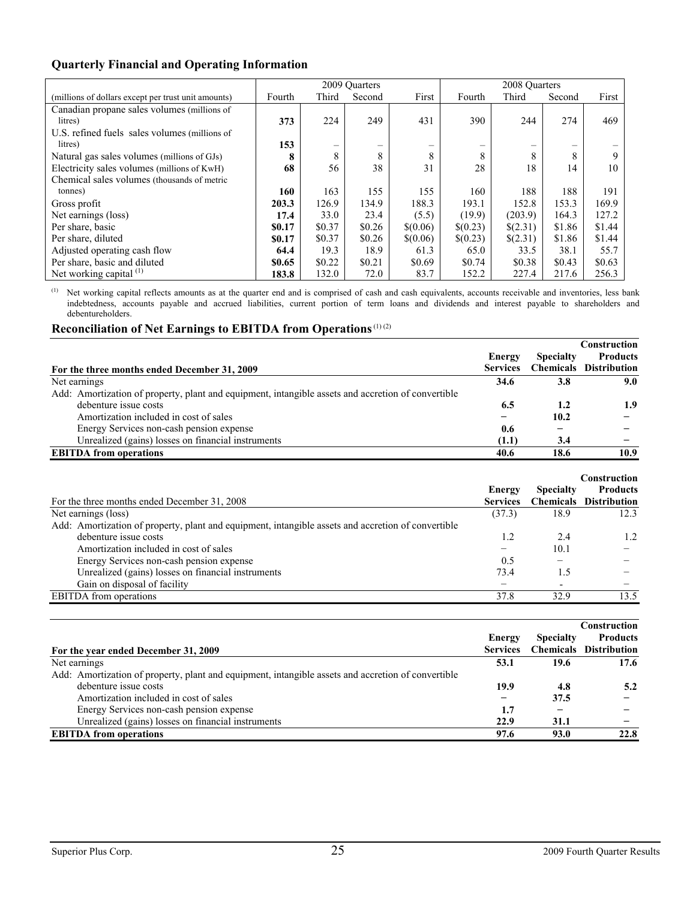## **Quarterly Financial and Operating Information**

|                                                     | 2009 Ouarters<br>2008 Ouarters |        |        |          |          |          |        |        |
|-----------------------------------------------------|--------------------------------|--------|--------|----------|----------|----------|--------|--------|
| (millions of dollars except per trust unit amounts) | Fourth                         | Third  | Second | First    | Fourth   | Third    | Second | First  |
| Canadian propane sales volumes (millions of         |                                |        |        |          |          |          |        |        |
| litres)                                             | 373                            | 224    | 249    | 431      | 390      | 244      | 274    | 469    |
| U.S. refined fuels sales volumes (millions of       |                                |        |        |          |          |          |        |        |
| litres)                                             | 153                            |        |        |          | -        |          |        |        |
| Natural gas sales volumes (millions of GJs)         | 8                              | 8      | 8      | 8        | 8        | 8        | 8      | 9      |
| Electricity sales volumes (millions of KwH)         | 68                             | 56     | 38     | 31       | 28       | 18       | 14     | 10     |
| Chemical sales volumes (thousands of metric         |                                |        |        |          |          |          |        |        |
| tonnes)                                             | 160                            | 163    | 155    | 155      | 160      | 188      | 188    | 191    |
| Gross profit                                        | 203.3                          | 126.9  | 134.9  | 188.3    | 193.1    | 152.8    | 153.3  | 169.9  |
| Net earnings (loss)                                 | 17.4                           | 33.0   | 23.4   | (5.5)    | (19.9)   | (203.9)  | 164.3  | 127.2  |
| Per share, basic                                    | \$0.17                         | \$0.37 | \$0.26 | \$(0.06) | \$(0.23) | \$(2.31) | \$1.86 | \$1.44 |
| Per share, diluted                                  | \$0.17                         | \$0.37 | \$0.26 | \$(0.06) | \$(0.23) | \$(2.31) | \$1.86 | \$1.44 |
| Adjusted operating cash flow                        | 64.4                           | 19.3   | 18.9   | 61.3     | 65.0     | 33.5     | 38.1   | 55.7   |
| Per share, basic and diluted                        | \$0.65                         | \$0.22 | \$0.21 | \$0.69   | \$0.74   | \$0.38   | \$0.43 | \$0.63 |
| Net working capital <sup>(1)</sup>                  | 183.8                          | 132.0  | 72.0   | 83.7     | 152.2    | 227.4    | 217.6  | 256.3  |

 $<sup>(1)</sup>$  Net working capital reflects amounts as at the quarter end and is comprised of cash and cash equivalents, accounts receivable and inventories, less bank</sup> indebtedness, accounts payable and accrued liabilities, current portion of term loans and dividends and interest payable to shareholders and debentureholders.

# **Reconciliation of Net Earnings to EBITDA from Operations** (1) (2)

|                                                                                                    |                 |                  | Construction                  |
|----------------------------------------------------------------------------------------------------|-----------------|------------------|-------------------------------|
|                                                                                                    | Energy          | <b>Specialty</b> | <b>Products</b>               |
| For the three months ended December 31, 2009                                                       | <b>Services</b> |                  | <b>Chemicals Distribution</b> |
| Net earnings                                                                                       | 34.6            | 3.8              | 9.0                           |
| Add: Amortization of property, plant and equipment, intangible assets and accretion of convertible |                 |                  |                               |
| debenture issue costs                                                                              | 6.5             | 1.2              | 1.9                           |
| Amortization included in cost of sales                                                             |                 | 10.2             |                               |
| Energy Services non-cash pension expense                                                           | 0.6             |                  |                               |
| Unrealized (gains) losses on financial instruments                                                 | (1.1)           | 3.4              |                               |
| <b>EBITDA</b> from operations                                                                      | 40.6            | 18.6             | 10.9                          |

|                                                                                                    |                 |                  | Construction                  |
|----------------------------------------------------------------------------------------------------|-----------------|------------------|-------------------------------|
|                                                                                                    | Energy          | <b>Specialty</b> | <b>Products</b>               |
| For the three months ended December 31, 2008                                                       | <b>Services</b> |                  | <b>Chemicals Distribution</b> |
| Net earnings (loss)                                                                                | (37.3)          | 18.9             | 12.3                          |
| Add: Amortization of property, plant and equipment, intangible assets and accretion of convertible |                 |                  |                               |
| debenture issue costs                                                                              | 1.2             | 2.4              | 1.2                           |
| Amortization included in cost of sales                                                             |                 | 10.1             |                               |
| Energy Services non-cash pension expense                                                           | 0.5             |                  |                               |
| Unrealized (gains) losses on financial instruments                                                 | 73.4            | L5               |                               |
| Gain on disposal of facility                                                                       |                 |                  |                               |
| <b>EBITDA</b> from operations                                                                      | 37.8            | 32.9             | 13.5                          |

| For the year ended December 31, 2009                                                               | Energy<br><b>Services</b> | <b>Specialty</b> | Construction<br><b>Products</b><br><b>Chemicals Distribution</b> |
|----------------------------------------------------------------------------------------------------|---------------------------|------------------|------------------------------------------------------------------|
| Net earnings                                                                                       | 53.1                      | 19.6             | 17.6                                                             |
| Add: Amortization of property, plant and equipment, intangible assets and accretion of convertible |                           |                  |                                                                  |
| debenture issue costs                                                                              | 19.9                      | 4.8              | 5.2                                                              |
| Amortization included in cost of sales                                                             |                           | 37.5             |                                                                  |
| Energy Services non-cash pension expense                                                           | 1.7                       |                  |                                                                  |
| Unrealized (gains) losses on financial instruments                                                 | 22.9                      | 31.1             |                                                                  |
| <b>EBITDA</b> from operations                                                                      | 97.6                      | 93.0             | 22.8                                                             |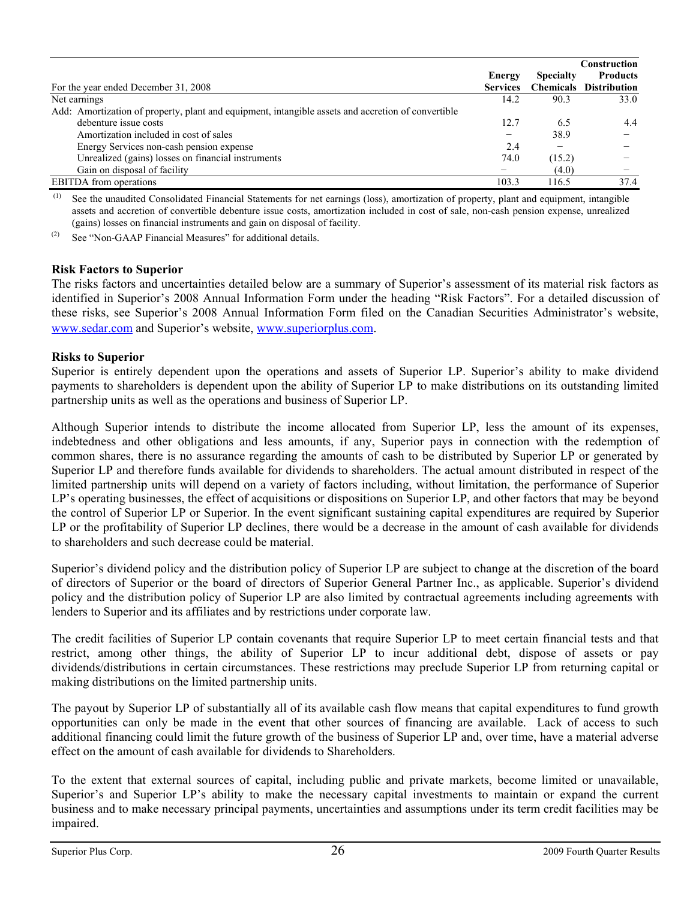|                                                                                                    |                 |                  | Construction                  |
|----------------------------------------------------------------------------------------------------|-----------------|------------------|-------------------------------|
|                                                                                                    | Energy          | <b>Specialty</b> | <b>Products</b>               |
| For the year ended December 31, 2008                                                               | <b>Services</b> |                  | <b>Chemicals Distribution</b> |
| Net earnings                                                                                       | 14.2            | 90.3             | 33.0                          |
| Add: Amortization of property, plant and equipment, intangible assets and accretion of convertible |                 |                  |                               |
| debenture issue costs                                                                              | 12.7            | 6.5              | 4.4                           |
| Amortization included in cost of sales                                                             |                 | 38.9             |                               |
| Energy Services non-cash pension expense                                                           | 2.4             | -                |                               |
| Unrealized (gains) losses on financial instruments                                                 | 74.0            | (15.2)           |                               |
| Gain on disposal of facility                                                                       |                 | (4.0)            |                               |
| <b>EBITDA</b> from operations                                                                      | 103.3           | 116.5            | 37.4                          |

 (1) See the unaudited Consolidated Financial Statements for net earnings (loss), amortization of property, plant and equipment, intangible assets and accretion of convertible debenture issue costs, amortization included in cost of sale, non-cash pension expense, unrealized (gains) losses on financial instruments and gain on disposal of facility.

 $(2)$  See "Non-GAAP Financial Measures" for additional details.

#### **Risk Factors to Superior**

The risks factors and uncertainties detailed below are a summary of Superior's assessment of its material risk factors as identified in Superior's 2008 Annual Information Form under the heading "Risk Factors". For a detailed discussion of these risks, see Superior's 2008 Annual Information Form filed on the Canadian Securities Administrator's website, www.sedar.com and Superior's website, www.superiorplus.com.

### **Risks to Superior**

Superior is entirely dependent upon the operations and assets of Superior LP. Superior's ability to make dividend payments to shareholders is dependent upon the ability of Superior LP to make distributions on its outstanding limited partnership units as well as the operations and business of Superior LP.

Although Superior intends to distribute the income allocated from Superior LP, less the amount of its expenses, indebtedness and other obligations and less amounts, if any, Superior pays in connection with the redemption of common shares, there is no assurance regarding the amounts of cash to be distributed by Superior LP or generated by Superior LP and therefore funds available for dividends to shareholders. The actual amount distributed in respect of the limited partnership units will depend on a variety of factors including, without limitation, the performance of Superior LP's operating businesses, the effect of acquisitions or dispositions on Superior LP, and other factors that may be beyond the control of Superior LP or Superior. In the event significant sustaining capital expenditures are required by Superior LP or the profitability of Superior LP declines, there would be a decrease in the amount of cash available for dividends to shareholders and such decrease could be material.

Superior's dividend policy and the distribution policy of Superior LP are subject to change at the discretion of the board of directors of Superior or the board of directors of Superior General Partner Inc., as applicable. Superior's dividend policy and the distribution policy of Superior LP are also limited by contractual agreements including agreements with lenders to Superior and its affiliates and by restrictions under corporate law.

The credit facilities of Superior LP contain covenants that require Superior LP to meet certain financial tests and that restrict, among other things, the ability of Superior LP to incur additional debt, dispose of assets or pay dividends/distributions in certain circumstances. These restrictions may preclude Superior LP from returning capital or making distributions on the limited partnership units.

The payout by Superior LP of substantially all of its available cash flow means that capital expenditures to fund growth opportunities can only be made in the event that other sources of financing are available. Lack of access to such additional financing could limit the future growth of the business of Superior LP and, over time, have a material adverse effect on the amount of cash available for dividends to Shareholders.

To the extent that external sources of capital, including public and private markets, become limited or unavailable, Superior's and Superior LP's ability to make the necessary capital investments to maintain or expand the current business and to make necessary principal payments, uncertainties and assumptions under its term credit facilities may be impaired.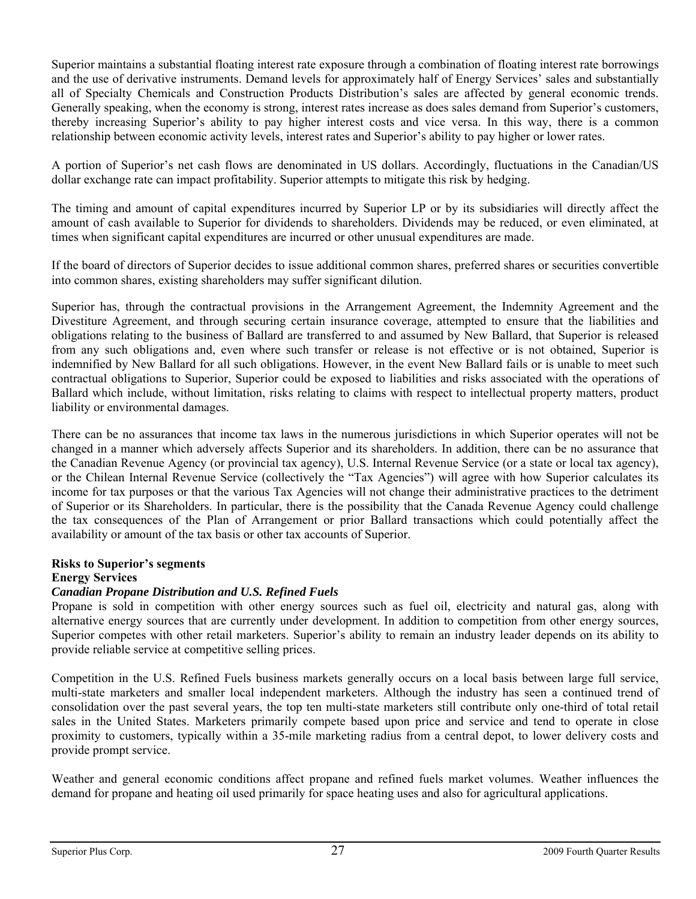Superior maintains a substantial floating interest rate exposure through a combination of floating interest rate borrowings and the use of derivative instruments. Demand levels for approximately half of Energy Services' sales and substantially all of Specialty Chemicals and Construction Products Distribution's sales are affected by general economic trends. Generally speaking, when the economy is strong, interest rates increase as does sales demand from Superior's customers, thereby increasing Superior's ability to pay higher interest costs and vice versa. In this way, there is a common relationship between economic activity levels, interest rates and Superior's ability to pay higher or lower rates.

A portion of Superior's net cash flows are denominated in US dollars. Accordingly, fluctuations in the Canadian/US dollar exchange rate can impact profitability. Superior attempts to mitigate this risk by hedging.

The timing and amount of capital expenditures incurred by Superior LP or by its subsidiaries will directly affect the amount of cash available to Superior for dividends to shareholders. Dividends may be reduced, or even eliminated, at times when significant capital expenditures are incurred or other unusual expenditures are made.

If the board of directors of Superior decides to issue additional common shares, preferred shares or securities convertible into common shares, existing shareholders may suffer significant dilution.

Superior has, through the contractual provisions in the Arrangement Agreement, the Indemnity Agreement and the Divestiture Agreement, and through securing certain insurance coverage, attempted to ensure that the liabilities and obligations relating to the business of Ballard are transferred to and assumed by New Ballard, that Superior is released from any such obligations and, even where such transfer or release is not effective or is not obtained, Superior is indemnified by New Ballard for all such obligations. However, in the event New Ballard fails or is unable to meet such contractual obligations to Superior, Superior could be exposed to liabilities and risks associated with the operations of Ballard which include, without limitation, risks relating to claims with respect to intellectual property matters, product liability or environmental damages.

There can be no assurances that income tax laws in the numerous jurisdictions in which Superior operates will not be changed in a manner which adversely affects Superior and its shareholders. In addition, there can be no assurance that the Canadian Revenue Agency (or provincial tax agency), U.S. Internal Revenue Service (or a state or local tax agency), or the Chilean Internal Revenue Service (collectively the "Tax Agencies") will agree with how Superior calculates its income for tax purposes or that the various Tax Agencies will not change their administrative practices to the detriment of Superior or its Shareholders. In particular, there is the possibility that the Canada Revenue Agency could challenge the tax consequences of the Plan of Arrangement or prior Ballard transactions which could potentially affect the availability or amount of the tax basis or other tax accounts of Superior.

### **Risks to Superior's segments**

### **Energy Services**

### *Canadian Propane Distribution and U.S. Refined Fuels*

Propane is sold in competition with other energy sources such as fuel oil, electricity and natural gas, along with alternative energy sources that are currently under development. In addition to competition from other energy sources, Superior competes with other retail marketers. Superior's ability to remain an industry leader depends on its ability to provide reliable service at competitive selling prices.

Competition in the U.S. Refined Fuels business markets generally occurs on a local basis between large full service, multi-state marketers and smaller local independent marketers. Although the industry has seen a continued trend of consolidation over the past several years, the top ten multi-state marketers still contribute only one-third of total retail sales in the United States. Marketers primarily compete based upon price and service and tend to operate in close proximity to customers, typically within a 35-mile marketing radius from a central depot, to lower delivery costs and provide prompt service.

Weather and general economic conditions affect propane and refined fuels market volumes. Weather influences the demand for propane and heating oil used primarily for space heating uses and also for agricultural applications.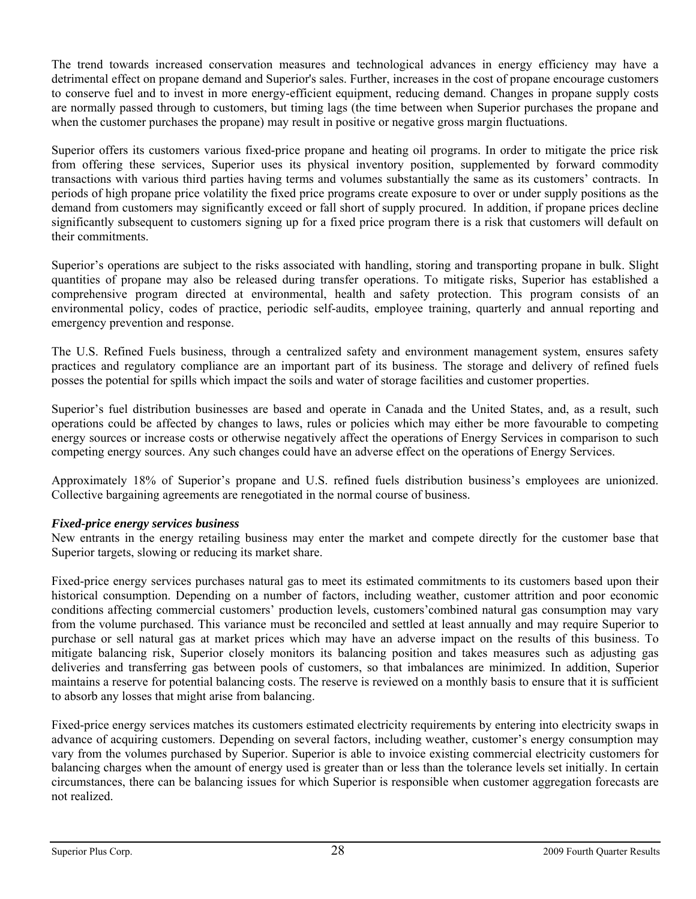The trend towards increased conservation measures and technological advances in energy efficiency may have a detrimental effect on propane demand and Superior's sales. Further, increases in the cost of propane encourage customers to conserve fuel and to invest in more energy-efficient equipment, reducing demand. Changes in propane supply costs are normally passed through to customers, but timing lags (the time between when Superior purchases the propane and when the customer purchases the propane) may result in positive or negative gross margin fluctuations.

Superior offers its customers various fixed-price propane and heating oil programs. In order to mitigate the price risk from offering these services, Superior uses its physical inventory position, supplemented by forward commodity transactions with various third parties having terms and volumes substantially the same as its customers' contracts. In periods of high propane price volatility the fixed price programs create exposure to over or under supply positions as the demand from customers may significantly exceed or fall short of supply procured. In addition, if propane prices decline significantly subsequent to customers signing up for a fixed price program there is a risk that customers will default on their commitments.

Superior's operations are subject to the risks associated with handling, storing and transporting propane in bulk. Slight quantities of propane may also be released during transfer operations. To mitigate risks, Superior has established a comprehensive program directed at environmental, health and safety protection. This program consists of an environmental policy, codes of practice, periodic self-audits, employee training, quarterly and annual reporting and emergency prevention and response.

The U.S. Refined Fuels business, through a centralized safety and environment management system, ensures safety practices and regulatory compliance are an important part of its business. The storage and delivery of refined fuels posses the potential for spills which impact the soils and water of storage facilities and customer properties.

Superior's fuel distribution businesses are based and operate in Canada and the United States, and, as a result, such operations could be affected by changes to laws, rules or policies which may either be more favourable to competing energy sources or increase costs or otherwise negatively affect the operations of Energy Services in comparison to such competing energy sources. Any such changes could have an adverse effect on the operations of Energy Services.

Approximately 18% of Superior's propane and U.S. refined fuels distribution business's employees are unionized. Collective bargaining agreements are renegotiated in the normal course of business.

### *Fixed-price energy services business*

New entrants in the energy retailing business may enter the market and compete directly for the customer base that Superior targets, slowing or reducing its market share.

Fixed-price energy services purchases natural gas to meet its estimated commitments to its customers based upon their historical consumption. Depending on a number of factors, including weather, customer attrition and poor economic conditions affecting commercial customers' production levels, customers'combined natural gas consumption may vary from the volume purchased. This variance must be reconciled and settled at least annually and may require Superior to purchase or sell natural gas at market prices which may have an adverse impact on the results of this business. To mitigate balancing risk, Superior closely monitors its balancing position and takes measures such as adjusting gas deliveries and transferring gas between pools of customers, so that imbalances are minimized. In addition, Superior maintains a reserve for potential balancing costs. The reserve is reviewed on a monthly basis to ensure that it is sufficient to absorb any losses that might arise from balancing.

Fixed-price energy services matches its customers estimated electricity requirements by entering into electricity swaps in advance of acquiring customers. Depending on several factors, including weather, customer's energy consumption may vary from the volumes purchased by Superior. Superior is able to invoice existing commercial electricity customers for balancing charges when the amount of energy used is greater than or less than the tolerance levels set initially. In certain circumstances, there can be balancing issues for which Superior is responsible when customer aggregation forecasts are not realized.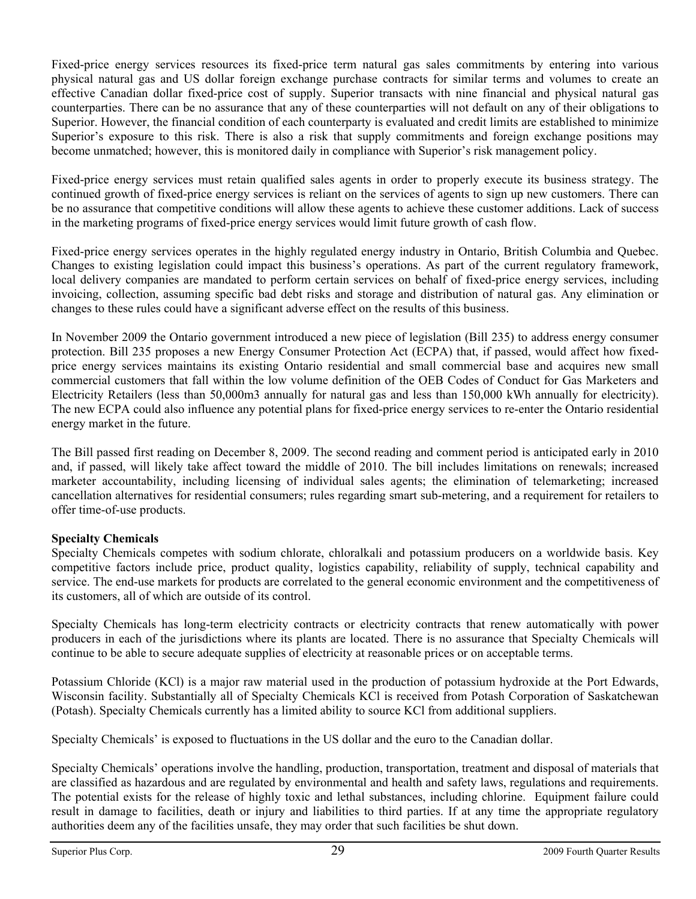Fixed-price energy services resources its fixed-price term natural gas sales commitments by entering into various physical natural gas and US dollar foreign exchange purchase contracts for similar terms and volumes to create an effective Canadian dollar fixed-price cost of supply. Superior transacts with nine financial and physical natural gas counterparties. There can be no assurance that any of these counterparties will not default on any of their obligations to Superior. However, the financial condition of each counterparty is evaluated and credit limits are established to minimize Superior's exposure to this risk. There is also a risk that supply commitments and foreign exchange positions may become unmatched; however, this is monitored daily in compliance with Superior's risk management policy.

Fixed-price energy services must retain qualified sales agents in order to properly execute its business strategy. The continued growth of fixed-price energy services is reliant on the services of agents to sign up new customers. There can be no assurance that competitive conditions will allow these agents to achieve these customer additions. Lack of success in the marketing programs of fixed-price energy services would limit future growth of cash flow.

Fixed-price energy services operates in the highly regulated energy industry in Ontario, British Columbia and Quebec. Changes to existing legislation could impact this business's operations. As part of the current regulatory framework, local delivery companies are mandated to perform certain services on behalf of fixed-price energy services, including invoicing, collection, assuming specific bad debt risks and storage and distribution of natural gas. Any elimination or changes to these rules could have a significant adverse effect on the results of this business.

In November 2009 the Ontario government introduced a new piece of legislation (Bill 235) to address energy consumer protection. Bill 235 proposes a new Energy Consumer Protection Act (ECPA) that, if passed, would affect how fixedprice energy services maintains its existing Ontario residential and small commercial base and acquires new small commercial customers that fall within the low volume definition of the OEB Codes of Conduct for Gas Marketers and Electricity Retailers (less than 50,000m3 annually for natural gas and less than 150,000 kWh annually for electricity). The new ECPA could also influence any potential plans for fixed-price energy services to re-enter the Ontario residential energy market in the future.

The Bill passed first reading on December 8, 2009. The second reading and comment period is anticipated early in 2010 and, if passed, will likely take affect toward the middle of 2010. The bill includes limitations on renewals; increased marketer accountability, including licensing of individual sales agents; the elimination of telemarketing; increased cancellation alternatives for residential consumers; rules regarding smart sub-metering, and a requirement for retailers to offer time-of-use products.

# **Specialty Chemicals**

Specialty Chemicals competes with sodium chlorate, chloralkali and potassium producers on a worldwide basis. Key competitive factors include price, product quality, logistics capability, reliability of supply, technical capability and service. The end-use markets for products are correlated to the general economic environment and the competitiveness of its customers, all of which are outside of its control.

Specialty Chemicals has long-term electricity contracts or electricity contracts that renew automatically with power producers in each of the jurisdictions where its plants are located. There is no assurance that Specialty Chemicals will continue to be able to secure adequate supplies of electricity at reasonable prices or on acceptable terms.

Potassium Chloride (KCl) is a major raw material used in the production of potassium hydroxide at the Port Edwards, Wisconsin facility. Substantially all of Specialty Chemicals KCl is received from Potash Corporation of Saskatchewan (Potash). Specialty Chemicals currently has a limited ability to source KCl from additional suppliers.

Specialty Chemicals' is exposed to fluctuations in the US dollar and the euro to the Canadian dollar.

Specialty Chemicals' operations involve the handling, production, transportation, treatment and disposal of materials that are classified as hazardous and are regulated by environmental and health and safety laws, regulations and requirements. The potential exists for the release of highly toxic and lethal substances, including chlorine. Equipment failure could result in damage to facilities, death or injury and liabilities to third parties. If at any time the appropriate regulatory authorities deem any of the facilities unsafe, they may order that such facilities be shut down.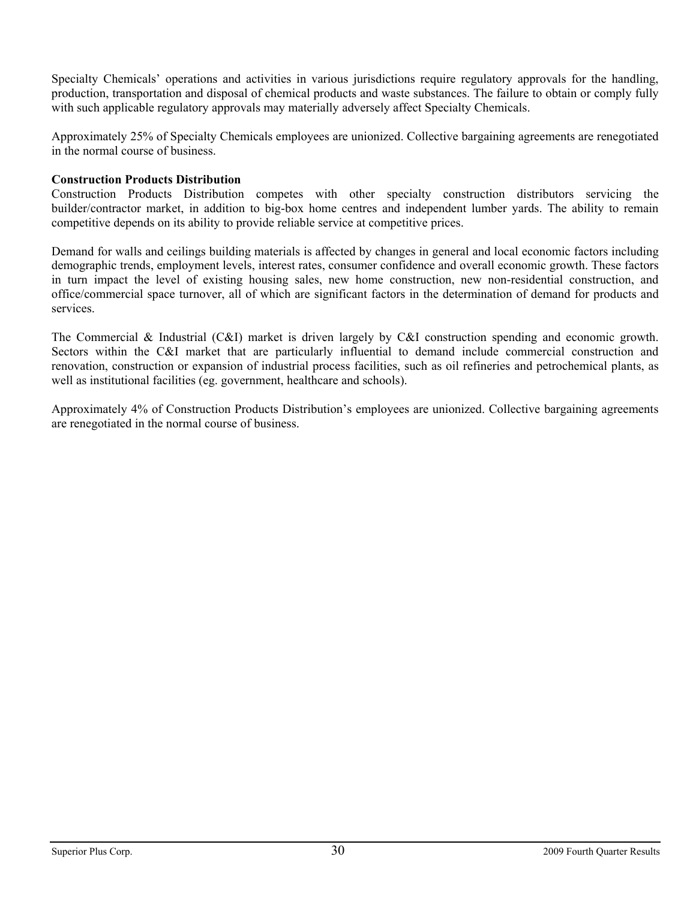Specialty Chemicals' operations and activities in various jurisdictions require regulatory approvals for the handling, production, transportation and disposal of chemical products and waste substances. The failure to obtain or comply fully with such applicable regulatory approvals may materially adversely affect Specialty Chemicals.

Approximately 25% of Specialty Chemicals employees are unionized. Collective bargaining agreements are renegotiated in the normal course of business.

#### **Construction Products Distribution**

Construction Products Distribution competes with other specialty construction distributors servicing the builder/contractor market, in addition to big-box home centres and independent lumber yards. The ability to remain competitive depends on its ability to provide reliable service at competitive prices.

Demand for walls and ceilings building materials is affected by changes in general and local economic factors including demographic trends, employment levels, interest rates, consumer confidence and overall economic growth. These factors in turn impact the level of existing housing sales, new home construction, new non-residential construction, and office/commercial space turnover, all of which are significant factors in the determination of demand for products and services.

The Commercial & Industrial (C&I) market is driven largely by C&I construction spending and economic growth. Sectors within the C&I market that are particularly influential to demand include commercial construction and renovation, construction or expansion of industrial process facilities, such as oil refineries and petrochemical plants, as well as institutional facilities (eg. government, healthcare and schools).

Approximately 4% of Construction Products Distribution's employees are unionized. Collective bargaining agreements are renegotiated in the normal course of business.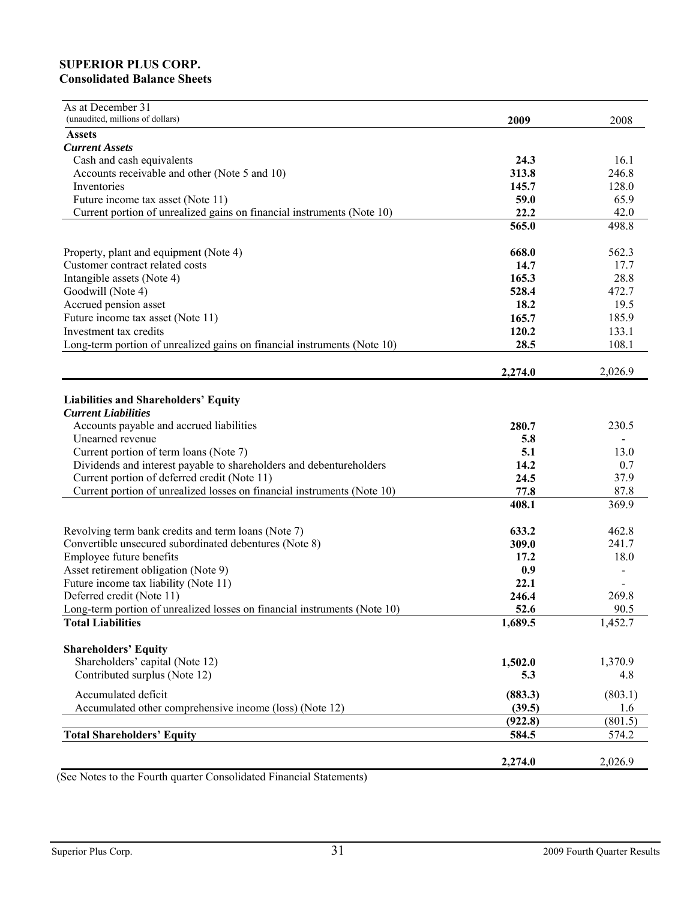# **SUPERIOR PLUS CORP. Consolidated Balance Sheets**

| As at December 31<br>(unaudited, millions of dollars)                                                                                                                                                                                                                                                                                                                                 | 2009                                        | 2008                                 |
|---------------------------------------------------------------------------------------------------------------------------------------------------------------------------------------------------------------------------------------------------------------------------------------------------------------------------------------------------------------------------------------|---------------------------------------------|--------------------------------------|
| <b>Assets</b>                                                                                                                                                                                                                                                                                                                                                                         |                                             |                                      |
| <b>Current Assets</b>                                                                                                                                                                                                                                                                                                                                                                 |                                             |                                      |
| Cash and cash equivalents                                                                                                                                                                                                                                                                                                                                                             | 24.3                                        | 16.1                                 |
| Accounts receivable and other (Note 5 and 10)                                                                                                                                                                                                                                                                                                                                         | 313.8                                       | 246.8                                |
| Inventories                                                                                                                                                                                                                                                                                                                                                                           | 145.7                                       | 128.0                                |
| Future income tax asset (Note 11)                                                                                                                                                                                                                                                                                                                                                     | 59.0                                        | 65.9                                 |
| Current portion of unrealized gains on financial instruments (Note 10)                                                                                                                                                                                                                                                                                                                | 22.2                                        | 42.0                                 |
|                                                                                                                                                                                                                                                                                                                                                                                       | 565.0                                       | 498.8                                |
| Property, plant and equipment (Note 4)                                                                                                                                                                                                                                                                                                                                                | 668.0                                       | 562.3                                |
| Customer contract related costs                                                                                                                                                                                                                                                                                                                                                       | 14.7                                        | 17.7                                 |
| Intangible assets (Note 4)                                                                                                                                                                                                                                                                                                                                                            | 165.3                                       | 28.8                                 |
| Goodwill (Note 4)                                                                                                                                                                                                                                                                                                                                                                     | 528.4                                       | 472.7                                |
| Accrued pension asset                                                                                                                                                                                                                                                                                                                                                                 | 18.2                                        | 19.5                                 |
| Future income tax asset (Note 11)                                                                                                                                                                                                                                                                                                                                                     | 165.7                                       | 185.9                                |
| Investment tax credits                                                                                                                                                                                                                                                                                                                                                                | 120.2                                       | 133.1                                |
| Long-term portion of unrealized gains on financial instruments (Note 10)                                                                                                                                                                                                                                                                                                              | 28.5                                        | 108.1                                |
|                                                                                                                                                                                                                                                                                                                                                                                       | 2,274.0                                     | 2,026.9                              |
| <b>Liabilities and Shareholders' Equity</b><br><b>Current Liabilities</b><br>Accounts payable and accrued liabilities<br>Unearned revenue<br>Current portion of term loans (Note 7)<br>Dividends and interest payable to shareholders and debentureholders<br>Current portion of deferred credit (Note 11)<br>Current portion of unrealized losses on financial instruments (Note 10) | 280.7<br>5.8<br>5.1<br>14.2<br>24.5<br>77.8 | 230.5<br>13.0<br>0.7<br>37.9<br>87.8 |
|                                                                                                                                                                                                                                                                                                                                                                                       | 408.1                                       | 369.9                                |
| Revolving term bank credits and term loans (Note 7)                                                                                                                                                                                                                                                                                                                                   | 633.2                                       | 462.8                                |
| Convertible unsecured subordinated debentures (Note 8)                                                                                                                                                                                                                                                                                                                                | 309.0                                       | 241.7                                |
| Employee future benefits                                                                                                                                                                                                                                                                                                                                                              | 17.2                                        | 18.0                                 |
| Asset retirement obligation (Note 9)                                                                                                                                                                                                                                                                                                                                                  | 0.9                                         |                                      |
| Future income tax liability (Note 11)                                                                                                                                                                                                                                                                                                                                                 | 22.1                                        |                                      |
| Deferred credit (Note 11)                                                                                                                                                                                                                                                                                                                                                             | 246.4                                       | 269.8                                |
| Long-term portion of unrealized losses on financial instruments (Note 10)                                                                                                                                                                                                                                                                                                             | 52.6                                        | 90.5                                 |
| <b>Total Liabilities</b>                                                                                                                                                                                                                                                                                                                                                              | 1,689.5                                     | 1,452.7                              |
| <b>Shareholders' Equity</b>                                                                                                                                                                                                                                                                                                                                                           |                                             |                                      |
| Shareholders' capital (Note 12)                                                                                                                                                                                                                                                                                                                                                       | 1,502.0                                     | 1,370.9                              |
| Contributed surplus (Note 12)                                                                                                                                                                                                                                                                                                                                                         | 5.3                                         | 4.8                                  |
| Accumulated deficit                                                                                                                                                                                                                                                                                                                                                                   | (883.3)                                     | (803.1)                              |
| Accumulated other comprehensive income (loss) (Note 12)                                                                                                                                                                                                                                                                                                                               | (39.5)                                      | 1.6                                  |
|                                                                                                                                                                                                                                                                                                                                                                                       | (922.8)                                     | (801.5)                              |
| <b>Total Shareholders' Equity</b>                                                                                                                                                                                                                                                                                                                                                     | 584.5                                       | 574.2                                |
|                                                                                                                                                                                                                                                                                                                                                                                       |                                             |                                      |
|                                                                                                                                                                                                                                                                                                                                                                                       | 2,274.0                                     | 2,026.9                              |

(See Notes to the Fourth quarter Consolidated Financial Statements)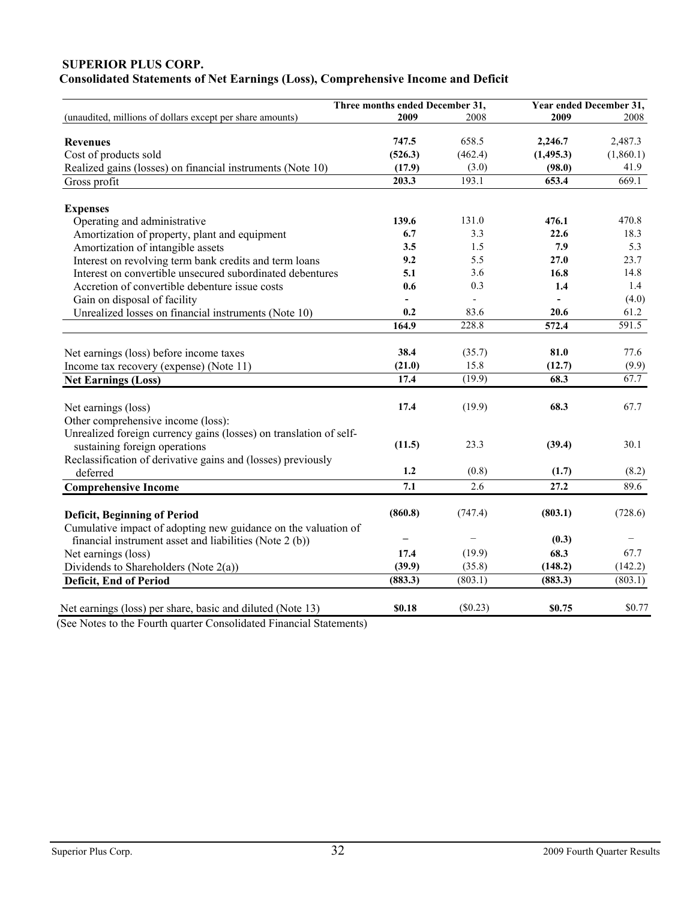### **SUPERIOR PLUS CORP. Consolidated Statements of Net Earnings (Loss), Comprehensive Income and Deficit**

|                                                                                                       | Three months ended December 31, |                          | Year ended December 31, |           |
|-------------------------------------------------------------------------------------------------------|---------------------------------|--------------------------|-------------------------|-----------|
| (unaudited, millions of dollars except per share amounts)                                             | 2009                            | 2008                     | 2009                    | 2008      |
|                                                                                                       | 747.5                           | 658.5                    | 2,246.7                 | 2,487.3   |
| <b>Revenues</b><br>Cost of products sold                                                              | (526.3)                         | (462.4)                  | (1, 495.3)              | (1,860.1) |
| Realized gains (losses) on financial instruments (Note 10)                                            | (17.9)                          | (3.0)                    | (98.0)                  | 41.9      |
| Gross profit                                                                                          | 203.3                           | 193.1                    | 653.4                   | 669.1     |
|                                                                                                       |                                 |                          |                         |           |
| <b>Expenses</b>                                                                                       |                                 |                          |                         |           |
| Operating and administrative                                                                          | 139.6                           | 131.0                    | 476.1                   | 470.8     |
| Amortization of property, plant and equipment                                                         | 6.7                             | 3.3                      | 22.6                    | 18.3      |
| Amortization of intangible assets                                                                     | 3.5                             | 1.5                      | 7.9                     | 5.3       |
| Interest on revolving term bank credits and term loans                                                | 9.2                             | 5.5                      | 27.0                    | 23.7      |
| Interest on convertible unsecured subordinated debentures                                             | 5.1                             | 3.6                      | 16.8                    | 14.8      |
| Accretion of convertible debenture issue costs                                                        | 0.6                             | 0.3                      | 1.4                     | 1.4       |
| Gain on disposal of facility                                                                          |                                 | $\overline{a}$           |                         | (4.0)     |
| Unrealized losses on financial instruments (Note 10)                                                  | 0.2                             | 83.6                     | 20.6                    | 61.2      |
|                                                                                                       | 164.9                           | 228.8                    | 572.4                   | 591.5     |
|                                                                                                       |                                 |                          |                         |           |
| Net earnings (loss) before income taxes                                                               | 38.4                            | (35.7)                   | 81.0                    | 77.6      |
| Income tax recovery (expense) (Note 11)                                                               | (21.0)                          | 15.8                     | (12.7)                  | (9.9)     |
| <b>Net Earnings (Loss)</b>                                                                            | 17.4                            | (19.9)                   | 68.3                    | 67.7      |
|                                                                                                       |                                 |                          |                         |           |
| Net earnings (loss)                                                                                   | 17.4                            | (19.9)                   | 68.3                    | 67.7      |
| Other comprehensive income (loss):                                                                    |                                 |                          |                         |           |
| Unrealized foreign currency gains (losses) on translation of self-                                    |                                 |                          |                         | 30.1      |
| sustaining foreign operations                                                                         | (11.5)                          | 23.3                     | (39.4)                  |           |
| Reclassification of derivative gains and (losses) previously                                          | 1.2                             | (0.8)                    | (1.7)                   | (8.2)     |
| deferred                                                                                              | 7.1                             | 2.6                      |                         | 89.6      |
| <b>Comprehensive Income</b>                                                                           |                                 |                          | 27.2                    |           |
|                                                                                                       | (860.8)                         | (747.4)                  | (803.1)                 | (728.6)   |
| <b>Deficit, Beginning of Period</b><br>Cumulative impact of adopting new guidance on the valuation of |                                 |                          |                         |           |
| financial instrument asset and liabilities (Note 2 (b))                                               |                                 | $\overline{\phantom{0}}$ | (0.3)                   |           |
| Net earnings (loss)                                                                                   | 17.4                            | (19.9)                   | 68.3                    | 67.7      |
| Dividends to Shareholders (Note $2(a)$ )                                                              | (39.9)                          | (35.8)                   | (148.2)                 | (142.2)   |
| Deficit, End of Period                                                                                | (883.3)                         | (803.1)                  | (883.3)                 | (803.1)   |
|                                                                                                       |                                 |                          |                         |           |
| Net earnings (loss) per share, basic and diluted (Note 13)                                            | \$0.18                          | (\$0.23)                 | \$0.75                  | \$0.77    |

(See Notes to the Fourth quarter Consolidated Financial Statements)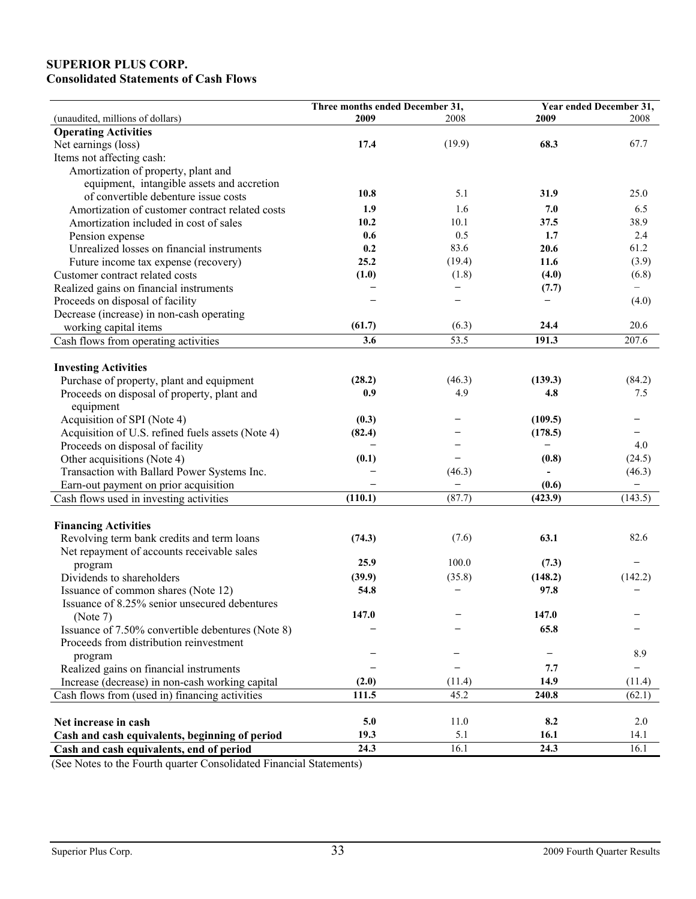### **SUPERIOR PLUS CORP. Consolidated Statements of Cash Flows**

|                                                   | Three months ended December 31, |                   |         | Year ended December 31,  |
|---------------------------------------------------|---------------------------------|-------------------|---------|--------------------------|
| (unaudited, millions of dollars)                  | 2009                            | 2008              | 2009    | 2008                     |
| <b>Operating Activities</b>                       |                                 |                   |         |                          |
| Net earnings (loss)                               | 17.4                            | (19.9)            | 68.3    | 67.7                     |
| Items not affecting cash:                         |                                 |                   |         |                          |
| Amortization of property, plant and               |                                 |                   |         |                          |
| equipment, intangible assets and accretion        |                                 |                   |         |                          |
| of convertible debenture issue costs              | 10.8                            | 5.1               | 31.9    | 25.0                     |
| Amortization of customer contract related costs   | 1.9                             | 1.6               | 7.0     | 6.5                      |
| Amortization included in cost of sales            | 10.2                            | 10.1              | 37.5    | 38.9                     |
| Pension expense                                   | 0.6                             | 0.5               | 1.7     | 2.4                      |
| Unrealized losses on financial instruments        | 0.2                             | 83.6              | 20.6    | 61.2                     |
| Future income tax expense (recovery)              | 25.2                            | (19.4)            | 11.6    | (3.9)                    |
| Customer contract related costs                   | (1.0)                           | (1.8)             | (4.0)   | (6.8)                    |
| Realized gains on financial instruments           |                                 |                   | (7.7)   |                          |
| Proceeds on disposal of facility                  |                                 |                   |         | (4.0)                    |
| Decrease (increase) in non-cash operating         |                                 |                   |         |                          |
| working capital items                             | (61.7)                          | (6.3)             | 24.4    | 20.6                     |
| Cash flows from operating activities              | $\overline{3.6}$                | $\overline{53.5}$ | 191.3   | 207.6                    |
|                                                   |                                 |                   |         |                          |
| <b>Investing Activities</b>                       |                                 |                   |         |                          |
| Purchase of property, plant and equipment         | (28.2)                          | (46.3)            | (139.3) | (84.2)                   |
| Proceeds on disposal of property, plant and       | 0.9                             | 4.9               | 4.8     | 7.5                      |
| equipment                                         |                                 |                   |         |                          |
| Acquisition of SPI (Note 4)                       | (0.3)                           |                   | (109.5) |                          |
| Acquisition of U.S. refined fuels assets (Note 4) | (82.4)                          |                   | (178.5) |                          |
| Proceeds on disposal of facility                  |                                 |                   |         | 4.0                      |
| Other acquisitions (Note 4)                       | (0.1)                           |                   | (0.8)   | (24.5)                   |
| Transaction with Ballard Power Systems Inc.       |                                 | (46.3)            |         | (46.3)                   |
| Earn-out payment on prior acquisition             |                                 | $\equiv$          | (0.6)   | $\overline{\phantom{0}}$ |
| Cash flows used in investing activities           | (110.1)                         | (87.7)            | (423.9) | (143.5)                  |
|                                                   |                                 |                   |         |                          |
| <b>Financing Activities</b>                       |                                 |                   |         |                          |
| Revolving term bank credits and term loans        | (74.3)                          | (7.6)             | 63.1    | 82.6                     |
| Net repayment of accounts receivable sales        | 25.9                            | 100.0             |         |                          |
| program                                           |                                 |                   | (7.3)   |                          |
| Dividends to shareholders                         | (39.9)                          | (35.8)            | (148.2) | (142.2)                  |
| Issuance of common shares (Note 12)               | 54.8                            |                   | 97.8    |                          |
| Issuance of 8.25% senior unsecured debentures     | 147.0                           |                   | 147.0   |                          |
| (Note 7)                                          |                                 |                   |         |                          |
| Issuance of 7.50% convertible debentures (Note 8) |                                 |                   | 65.8    |                          |
| Proceeds from distribution reinvestment           |                                 |                   | -       | 8.9                      |
| program                                           |                                 |                   | 7.7     | -                        |
| Realized gains on financial instruments           |                                 |                   |         |                          |
| Increase (decrease) in non-cash working capital   | (2.0)                           | (11.4)            | 14.9    | (11.4)                   |
| Cash flows from (used in) financing activities    | 111.5                           | 45.2              | 240.8   | (62.1)                   |
| Net increase in cash                              | 5.0                             | 11.0              | 8.2     | $2.0$                    |
| Cash and cash equivalents, beginning of period    | 19.3                            | 5.1               | 16.1    | 14.1                     |
| Cash and cash equivalents, end of period          | 24.3                            | 16.1              | 24.3    | 16.1                     |
|                                                   |                                 |                   |         |                          |

(See Notes to the Fourth quarter Consolidated Financial Statements)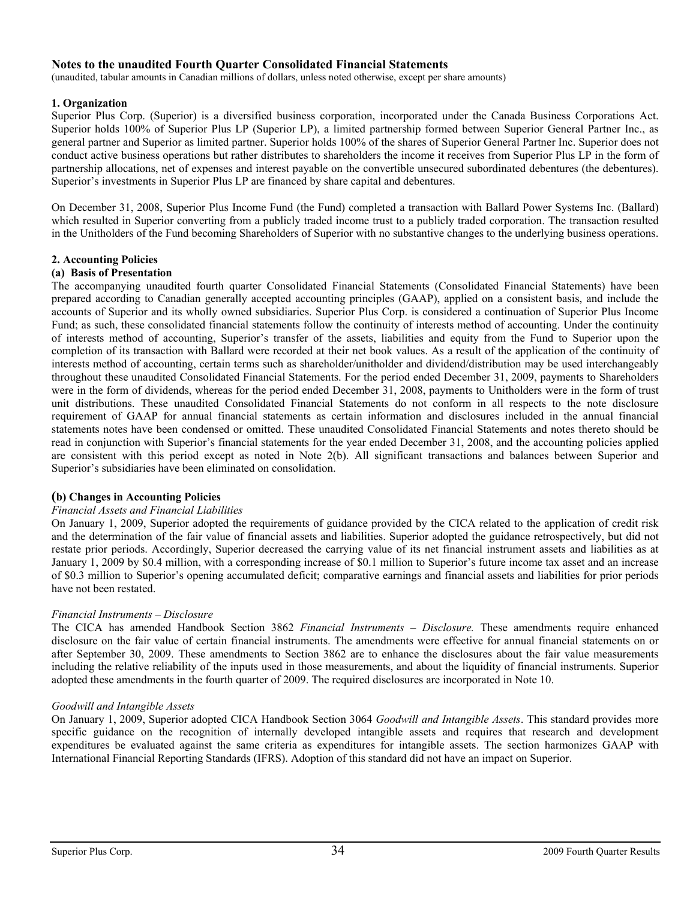#### **Notes to the unaudited Fourth Quarter Consolidated Financial Statements**

(unaudited, tabular amounts in Canadian millions of dollars, unless noted otherwise, except per share amounts)

#### **1. Organization**

Superior Plus Corp. (Superior) is a diversified business corporation, incorporated under the Canada Business Corporations Act. Superior holds 100% of Superior Plus LP (Superior LP), a limited partnership formed between Superior General Partner Inc., as general partner and Superior as limited partner. Superior holds 100% of the shares of Superior General Partner Inc. Superior does not conduct active business operations but rather distributes to shareholders the income it receives from Superior Plus LP in the form of partnership allocations, net of expenses and interest payable on the convertible unsecured subordinated debentures (the debentures). Superior's investments in Superior Plus LP are financed by share capital and debentures.

On December 31, 2008, Superior Plus Income Fund (the Fund) completed a transaction with Ballard Power Systems Inc. (Ballard) which resulted in Superior converting from a publicly traded income trust to a publicly traded corporation. The transaction resulted in the Unitholders of the Fund becoming Shareholders of Superior with no substantive changes to the underlying business operations.

#### **2. Accounting Policies**

#### **(a) Basis of Presentation**

The accompanying unaudited fourth quarter Consolidated Financial Statements (Consolidated Financial Statements) have been prepared according to Canadian generally accepted accounting principles (GAAP), applied on a consistent basis, and include the accounts of Superior and its wholly owned subsidiaries. Superior Plus Corp. is considered a continuation of Superior Plus Income Fund; as such, these consolidated financial statements follow the continuity of interests method of accounting. Under the continuity of interests method of accounting, Superior's transfer of the assets, liabilities and equity from the Fund to Superior upon the completion of its transaction with Ballard were recorded at their net book values. As a result of the application of the continuity of interests method of accounting, certain terms such as shareholder/unitholder and dividend/distribution may be used interchangeably throughout these unaudited Consolidated Financial Statements. For the period ended December 31, 2009, payments to Shareholders were in the form of dividends, whereas for the period ended December 31, 2008, payments to Unitholders were in the form of trust unit distributions. These unaudited Consolidated Financial Statements do not conform in all respects to the note disclosure requirement of GAAP for annual financial statements as certain information and disclosures included in the annual financial statements notes have been condensed or omitted. These unaudited Consolidated Financial Statements and notes thereto should be read in conjunction with Superior's financial statements for the year ended December 31, 2008, and the accounting policies applied are consistent with this period except as noted in Note 2(b). All significant transactions and balances between Superior and Superior's subsidiaries have been eliminated on consolidation.

#### **(b) Changes in Accounting Policies**

#### *Financial Assets and Financial Liabilities*

On January 1, 2009, Superior adopted the requirements of guidance provided by the CICA related to the application of credit risk and the determination of the fair value of financial assets and liabilities. Superior adopted the guidance retrospectively, but did not restate prior periods. Accordingly, Superior decreased the carrying value of its net financial instrument assets and liabilities as at January 1, 2009 by \$0.4 million, with a corresponding increase of \$0.1 million to Superior's future income tax asset and an increase of \$0.3 million to Superior's opening accumulated deficit; comparative earnings and financial assets and liabilities for prior periods have not been restated.

#### *Financial Instruments – Disclosure*

The CICA has amended Handbook Section 3862 *Financial Instruments – Disclosure.* These amendments require enhanced disclosure on the fair value of certain financial instruments. The amendments were effective for annual financial statements on or after September 30, 2009. These amendments to Section 3862 are to enhance the disclosures about the fair value measurements including the relative reliability of the inputs used in those measurements, and about the liquidity of financial instruments. Superior adopted these amendments in the fourth quarter of 2009. The required disclosures are incorporated in Note 10.

#### *Goodwill and Intangible Assets*

On January 1, 2009, Superior adopted CICA Handbook Section 3064 *Goodwill and Intangible Assets*. This standard provides more specific guidance on the recognition of internally developed intangible assets and requires that research and development expenditures be evaluated against the same criteria as expenditures for intangible assets. The section harmonizes GAAP with International Financial Reporting Standards (IFRS). Adoption of this standard did not have an impact on Superior.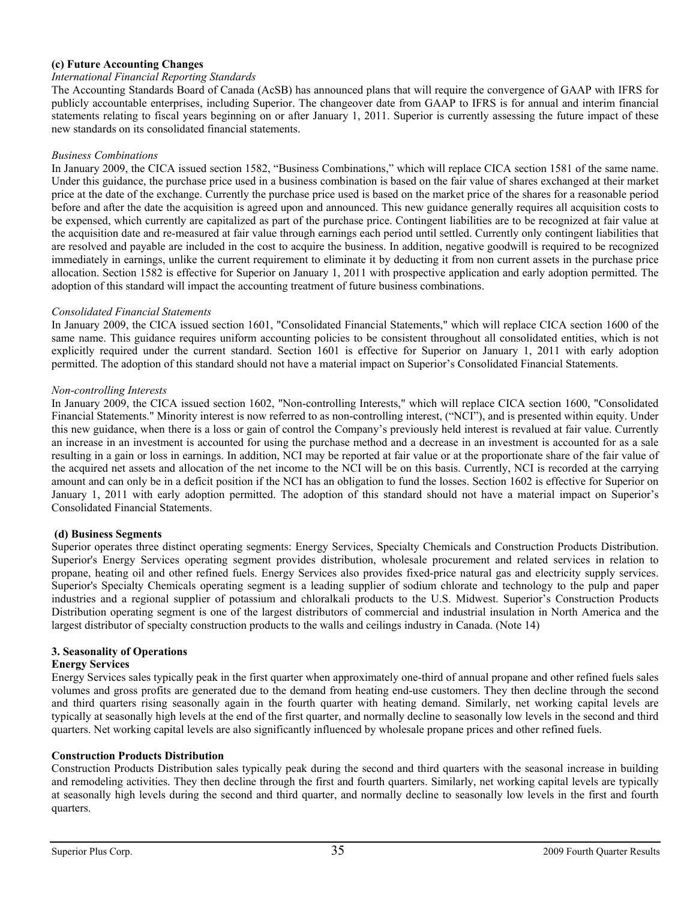#### **(c) Future Accounting Changes**

#### *International Financial Reporting Standards*

The Accounting Standards Board of Canada (AcSB) has announced plans that will require the convergence of GAAP with IFRS for publicly accountable enterprises, including Superior. The changeover date from GAAP to IFRS is for annual and interim financial statements relating to fiscal years beginning on or after January 1, 2011. Superior is currently assessing the future impact of these new standards on its consolidated financial statements.

#### *Business Combinations*

In January 2009, the CICA issued section 1582, "Business Combinations," which will replace CICA section 1581 of the same name. Under this guidance, the purchase price used in a business combination is based on the fair value of shares exchanged at their market price at the date of the exchange. Currently the purchase price used is based on the market price of the shares for a reasonable period before and after the date the acquisition is agreed upon and announced. This new guidance generally requires all acquisition costs to be expensed, which currently are capitalized as part of the purchase price. Contingent liabilities are to be recognized at fair value at the acquisition date and re-measured at fair value through earnings each period until settled. Currently only contingent liabilities that are resolved and payable are included in the cost to acquire the business. In addition, negative goodwill is required to be recognized immediately in earnings, unlike the current requirement to eliminate it by deducting it from non current assets in the purchase price allocation. Section 1582 is effective for Superior on January 1, 2011 with prospective application and early adoption permitted. The adoption of this standard will impact the accounting treatment of future business combinations.

#### *Consolidated Financial Statements*

In January 2009, the CICA issued section 1601, "Consolidated Financial Statements," which will replace CICA section 1600 of the same name. This guidance requires uniform accounting policies to be consistent throughout all consolidated entities, which is not explicitly required under the current standard. Section 1601 is effective for Superior on January 1, 2011 with early adoption permitted. The adoption of this standard should not have a material impact on Superior's Consolidated Financial Statements.

#### *Non-controlling Interests*

In January 2009, the CICA issued section 1602, "Non-controlling Interests," which will replace CICA section 1600, "Consolidated Financial Statements." Minority interest is now referred to as non-controlling interest, ("NCI"), and is presented within equity. Under this new guidance, when there is a loss or gain of control the Company's previously held interest is revalued at fair value. Currently an increase in an investment is accounted for using the purchase method and a decrease in an investment is accounted for as a sale resulting in a gain or loss in earnings. In addition, NCI may be reported at fair value or at the proportionate share of the fair value of the acquired net assets and allocation of the net income to the NCI will be on this basis. Currently, NCI is recorded at the carrying amount and can only be in a deficit position if the NCI has an obligation to fund the losses. Section 1602 is effective for Superior on January 1, 2011 with early adoption permitted. The adoption of this standard should not have a material impact on Superior's Consolidated Financial Statements.

#### **(d) Business Segments**

Superior operates three distinct operating segments: Energy Services, Specialty Chemicals and Construction Products Distribution. Superior's Energy Services operating segment provides distribution, wholesale procurement and related services in relation to propane, heating oil and other refined fuels. Energy Services also provides fixed-price natural gas and electricity supply services. Superior's Specialty Chemicals operating segment is a leading supplier of sodium chlorate and technology to the pulp and paper industries and a regional supplier of potassium and chloralkali products to the U.S. Midwest. Superior's Construction Products Distribution operating segment is one of the largest distributors of commercial and industrial insulation in North America and the largest distributor of specialty construction products to the walls and ceilings industry in Canada. (Note 14)

#### **3. Seasonality of Operations**

#### **Energy Services**

Energy Services sales typically peak in the first quarter when approximately one-third of annual propane and other refined fuels sales volumes and gross profits are generated due to the demand from heating end-use customers. They then decline through the second and third quarters rising seasonally again in the fourth quarter with heating demand. Similarly, net working capital levels are typically at seasonally high levels at the end of the first quarter, and normally decline to seasonally low levels in the second and third quarters. Net working capital levels are also significantly influenced by wholesale propane prices and other refined fuels.

#### **Construction Products Distribution**

Construction Products Distribution sales typically peak during the second and third quarters with the seasonal increase in building and remodeling activities. They then decline through the first and fourth quarters. Similarly, net working capital levels are typically at seasonally high levels during the second and third quarter, and normally decline to seasonally low levels in the first and fourth quarters.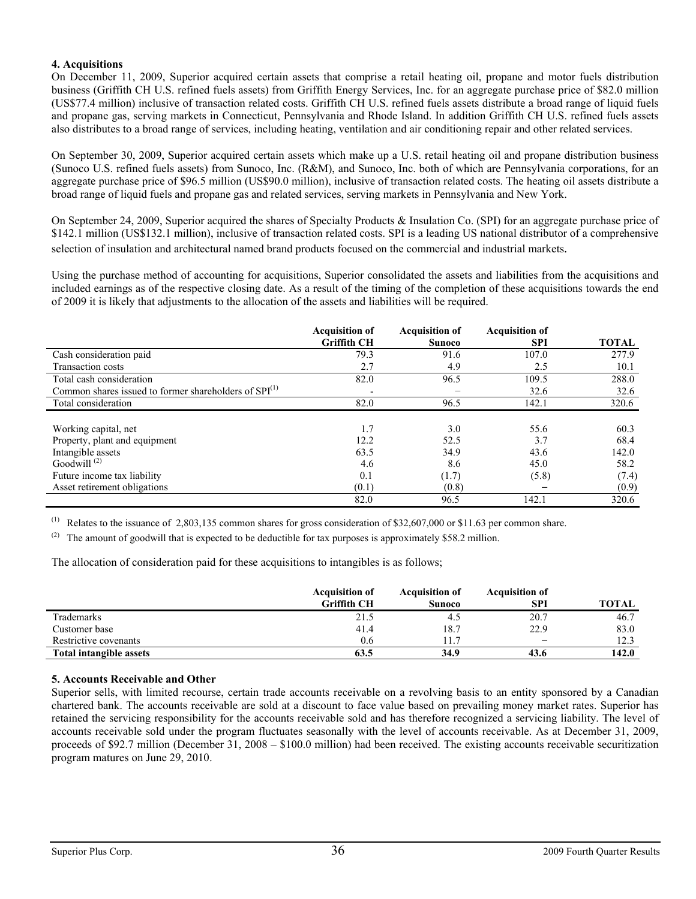#### **4. Acquisitions**

On December 11, 2009, Superior acquired certain assets that comprise a retail heating oil, propane and motor fuels distribution business (Griffith CH U.S. refined fuels assets) from Griffith Energy Services, Inc. for an aggregate purchase price of \$82.0 million (US\$77.4 million) inclusive of transaction related costs. Griffith CH U.S. refined fuels assets distribute a broad range of liquid fuels and propane gas, serving markets in Connecticut, Pennsylvania and Rhode Island. In addition Griffith CH U.S. refined fuels assets also distributes to a broad range of services, including heating, ventilation and air conditioning repair and other related services.

On September 30, 2009, Superior acquired certain assets which make up a U.S. retail heating oil and propane distribution business (Sunoco U.S. refined fuels assets) from Sunoco, Inc. (R&M), and Sunoco, Inc. both of which are Pennsylvania corporations, for an aggregate purchase price of \$96.5 million (US\$90.0 million), inclusive of transaction related costs. The heating oil assets distribute a broad range of liquid fuels and propane gas and related services, serving markets in Pennsylvania and New York.

On September 24, 2009, Superior acquired the shares of Specialty Products & Insulation Co. (SPI) for an aggregate purchase price of \$142.1 million (US\$132.1 million), inclusive of transaction related costs. SPI is a leading US national distributor of a comprehensive selection of insulation and architectural named brand products focused on the commercial and industrial markets.

Using the purchase method of accounting for acquisitions, Superior consolidated the assets and liabilities from the acquisitions and included earnings as of the respective closing date. As a result of the timing of the completion of these acquisitions towards the end of 2009 it is likely that adjustments to the allocation of the assets and liabilities will be required.

|                                                            | <b>Acquisition of</b><br><b>Griffith CH</b> | <b>Acquisition of</b><br><b>Sunoco</b> | <b>Acquisition of</b><br><b>SPI</b> | <b>TOTAL</b> |
|------------------------------------------------------------|---------------------------------------------|----------------------------------------|-------------------------------------|--------------|
| Cash consideration paid                                    | 79.3                                        | 91.6                                   | 107.0                               | 277.9        |
| <b>Transaction costs</b>                                   | 2.7                                         | 4.9                                    | 2.5                                 | 10.1         |
| Total cash consideration                                   | 82.0                                        | 96.5                                   | 109.5                               | 288.0        |
| Common shares issued to former shareholders of $SPI^{(1)}$ |                                             |                                        | 32.6                                | 32.6         |
| Total consideration                                        | 82.0                                        | 96.5                                   | 142.1                               | 320.6        |
|                                                            |                                             |                                        |                                     |              |
| Working capital, net                                       | 1.7                                         | 3.0                                    | 55.6                                | 60.3         |
| Property, plant and equipment                              | 12.2                                        | 52.5                                   | 3.7                                 | 68.4         |
| Intangible assets                                          | 63.5                                        | 34.9                                   | 43.6                                | 142.0        |
| Goodwill $(2)$                                             | 4.6                                         | 8.6                                    | 45.0                                | 58.2         |
| Future income tax liability                                | 0.1                                         | (1.7)                                  | (5.8)                               | (7.4)        |
| Asset retirement obligations                               | (0.1)                                       | (0.8)                                  |                                     | (0.9)        |
|                                                            | 82.0                                        | 96.5                                   | 142.1                               | 320.6        |

 $^{(1)}$  Relates to the issuance of 2,803,135 common shares for gross consideration of \$32,607,000 or \$11.63 per common share.

(2) The amount of goodwill that is expected to be deductible for tax purposes is approximately \$58.2 million.

The allocation of consideration paid for these acquisitions to intangibles is as follows;

|                         | <b>Acquisition of</b><br>Griffith CH | <b>Acquisition of</b><br><b>Sunoco</b> | <b>Acquisition of</b><br><b>SPI</b> | <b>TOTAL</b> |
|-------------------------|--------------------------------------|----------------------------------------|-------------------------------------|--------------|
| Trademarks              | 21.5                                 | 4.1                                    | 20.7                                | 46.7         |
| Customer base           | 41.4                                 | 18.7                                   | 22.9                                | 83.0         |
| Restrictive covenants   | 0.6                                  | 11.7                                   |                                     | 12.3         |
| Total intangible assets | 63.5                                 | 34.9                                   | 43.6                                | 142.0        |

#### **5. Accounts Receivable and Other**

Superior sells, with limited recourse, certain trade accounts receivable on a revolving basis to an entity sponsored by a Canadian chartered bank. The accounts receivable are sold at a discount to face value based on prevailing money market rates. Superior has retained the servicing responsibility for the accounts receivable sold and has therefore recognized a servicing liability. The level of accounts receivable sold under the program fluctuates seasonally with the level of accounts receivable. As at December 31, 2009, proceeds of \$92.7 million (December 31, 2008 – \$100.0 million) had been received. The existing accounts receivable securitization program matures on June 29, 2010.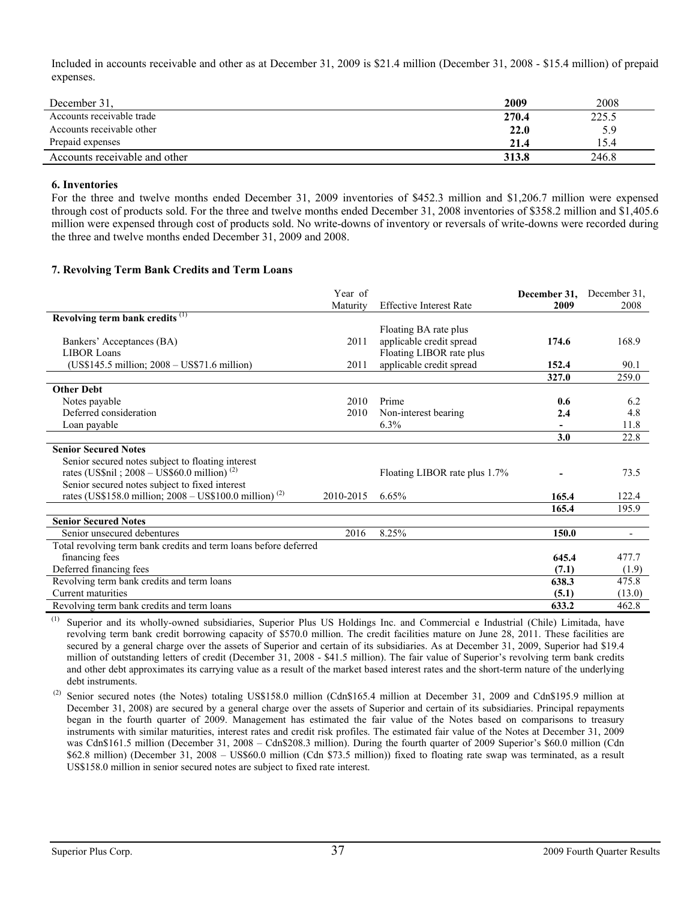Included in accounts receivable and other as at December 31, 2009 is \$21.4 million (December 31, 2008 - \$15.4 million) of prepaid expenses.

| December 31.                  | 2009  | 2008  |
|-------------------------------|-------|-------|
| Accounts receivable trade     | 270.4 | 225.5 |
| Accounts receivable other     | 22.0  | 5.9   |
| Prepaid expenses              | 21.4  | 15.4  |
| Accounts receivable and other | 313.8 | 246.8 |

#### **6. Inventories**

For the three and twelve months ended December 31, 2009 inventories of \$452.3 million and \$1,206.7 million were expensed through cost of products sold. For the three and twelve months ended December 31, 2008 inventories of \$358.2 million and \$1,405.6 million were expensed through cost of products sold. No write-downs of inventory or reversals of write-downs were recorded during the three and twelve months ended December 31, 2009 and 2008.

#### **7. Revolving Term Bank Credits and Term Loans**

|                                                                     | Year of   |                                | December 31. | December 31, |
|---------------------------------------------------------------------|-----------|--------------------------------|--------------|--------------|
|                                                                     | Maturity  | <b>Effective Interest Rate</b> | 2009         | 2008         |
| Revolving term bank credits $(1)$                                   |           |                                |              |              |
|                                                                     |           | Floating BA rate plus          |              |              |
| Bankers' Acceptances (BA)                                           | 2011      | applicable credit spread       | 174.6        | 168.9        |
| <b>LIBOR Loans</b>                                                  |           | Floating LIBOR rate plus       |              |              |
| $(US$145.5 million; 2008 – US$71.6 million)$                        | 2011      | applicable credit spread       | 152.4        | 90.1         |
|                                                                     |           |                                | 327.0        | 259.0        |
| <b>Other Debt</b>                                                   |           |                                |              |              |
| Notes payable                                                       | 2010      | Prime                          | 0.6          | 6.2          |
| Deferred consideration                                              | 2010      | Non-interest bearing           | 2.4          | 4.8          |
| Loan payable                                                        |           | 6.3%                           |              | 11.8         |
|                                                                     |           |                                | 3.0          | 22.8         |
| <b>Senior Secured Notes</b>                                         |           |                                |              |              |
| Senior secured notes subject to floating interest                   |           |                                |              |              |
| rates (US\$nil ; $2008 - US$60.0$ million) <sup>(2)</sup>           |           | Floating LIBOR rate plus 1.7%  |              | 73.5         |
| Senior secured notes subject to fixed interest                      |           |                                |              |              |
| rates (US\$158.0 million; $2008 - US$100.0$ million) <sup>(2)</sup> | 2010-2015 | 6.65%                          | 165.4        | 122.4        |
|                                                                     |           |                                | 165.4        | 195.9        |
| <b>Senior Secured Notes</b>                                         |           |                                |              |              |
| Senior unsecured debentures                                         | 2016      | 8.25%                          | 150.0        |              |
| Total revolving term bank credits and term loans before deferred    |           |                                |              |              |
| financing fees                                                      |           |                                | 645.4        | 477.7        |
| Deferred financing fees                                             |           |                                | (7.1)        | (1.9)        |
| Revolving term bank credits and term loans                          |           |                                | 638.3        | 475.8        |
| Current maturities                                                  |           |                                | (5.1)        | (13.0)       |
| Revolving term bank credits and term loans                          |           |                                | 633.2        | 462.8        |

(1) Superior and its wholly-owned subsidiaries, Superior Plus US Holdings Inc. and Commercial e Industrial (Chile) Limitada, have revolving term bank credit borrowing capacity of \$570.0 million. The credit facilities mature on June 28, 2011. These facilities are secured by a general charge over the assets of Superior and certain of its subsidiaries. As at December 31, 2009, Superior had \$19.4 million of outstanding letters of credit (December 31, 2008 - \$41.5 million). The fair value of Superior's revolving term bank credits and other debt approximates its carrying value as a result of the market based interest rates and the short-term nature of the underlying debt instruments.

(2) Senior secured notes (the Notes) totaling US\$158.0 million (Cdn\$165.4 million at December 31, 2009 and Cdn\$195.9 million at December 31, 2008) are secured by a general charge over the assets of Superior and certain of its subsidiaries. Principal repayments began in the fourth quarter of 2009. Management has estimated the fair value of the Notes based on comparisons to treasury instruments with similar maturities, interest rates and credit risk profiles. The estimated fair value of the Notes at December 31, 2009 was Cdn\$161.5 million (December 31, 2008 – Cdn\$208.3 million). During the fourth quarter of 2009 Superior's \$60.0 million (Cdn \$62.8 million) (December 31, 2008 – US\$60.0 million (Cdn \$73.5 million)) fixed to floating rate swap was terminated, as a result US\$158.0 million in senior secured notes are subject to fixed rate interest.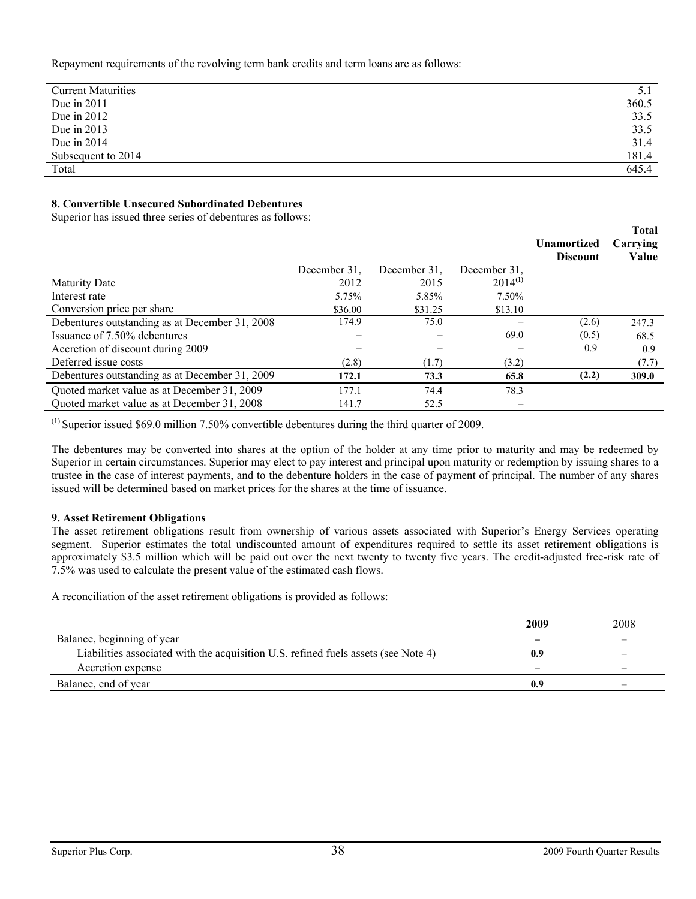Repayment requirements of the revolving term bank credits and term loans are as follows:

| <b>Current Maturities</b> | 5.1   |
|---------------------------|-------|
| Due in $2011$             | 360.5 |
| Due in $2012$             | 33.5  |
| Due in $2013$             | 33.5  |
| Due in $2014$             | 31.4  |
| Subsequent to 2014        | 181.4 |
| Total                     | 645.4 |

#### **8. Convertible Unsecured Subordinated Debentures**

Superior has issued three series of debentures as follows:

|                                                |              |              |                          | <b>Unamortized</b><br><b>Discount</b> | <b>Total</b><br>Carrying<br>Value |
|------------------------------------------------|--------------|--------------|--------------------------|---------------------------------------|-----------------------------------|
|                                                | December 31, | December 31, | December 31.             |                                       |                                   |
| <b>Maturity Date</b>                           | 2012         | 2015         | $2014^{(1)}$             |                                       |                                   |
| Interest rate                                  | 5.75%        | 5.85%        | 7.50%                    |                                       |                                   |
| Conversion price per share                     | \$36.00      | \$31.25      | \$13.10                  |                                       |                                   |
| Debentures outstanding as at December 31, 2008 | 174.9        | 75.0         |                          | (2.6)                                 | 247.3                             |
| Issuance of 7.50% debentures                   |              |              | 69.0                     | (0.5)                                 | 68.5                              |
| Accretion of discount during 2009              |              |              |                          | 0.9                                   | 0.9                               |
| Deferred issue costs                           | (2.8)        | (1.7)        | (3.2)                    |                                       | (7.7)                             |
| Debentures outstanding as at December 31, 2009 | 172.1        | 73.3         | 65.8                     | (2.2)                                 | 309.0                             |
| Quoted market value as at December 31, 2009    | 177.1        | 74.4         | 78.3                     |                                       |                                   |
| Quoted market value as at December 31, 2008    | 141.7        | 52.5         | $\overline{\phantom{0}}$ |                                       |                                   |

 $<sup>(1)</sup>$  Superior issued \$69.0 million 7.50% convertible debentures during the third quarter of 2009.</sup>

The debentures may be converted into shares at the option of the holder at any time prior to maturity and may be redeemed by Superior in certain circumstances. Superior may elect to pay interest and principal upon maturity or redemption by issuing shares to a trustee in the case of interest payments, and to the debenture holders in the case of payment of principal. The number of any shares issued will be determined based on market prices for the shares at the time of issuance.

#### **9. Asset Retirement Obligations**

The asset retirement obligations result from ownership of various assets associated with Superior's Energy Services operating segment. Superior estimates the total undiscounted amount of expenditures required to settle its asset retirement obligations is approximately \$3.5 million which will be paid out over the next twenty to twenty five years. The credit-adjusted free-risk rate of 7.5% was used to calculate the present value of the estimated cash flows.

A reconciliation of the asset retirement obligations is provided as follows:

|                                                                                    | 2009 | 2008 |
|------------------------------------------------------------------------------------|------|------|
| Balance, beginning of year                                                         |      |      |
| Liabilities associated with the acquisition U.S. refined fuels assets (see Note 4) | 0.9  |      |
| Accretion expense                                                                  |      |      |
| Balance, end of year                                                               | 0.9  |      |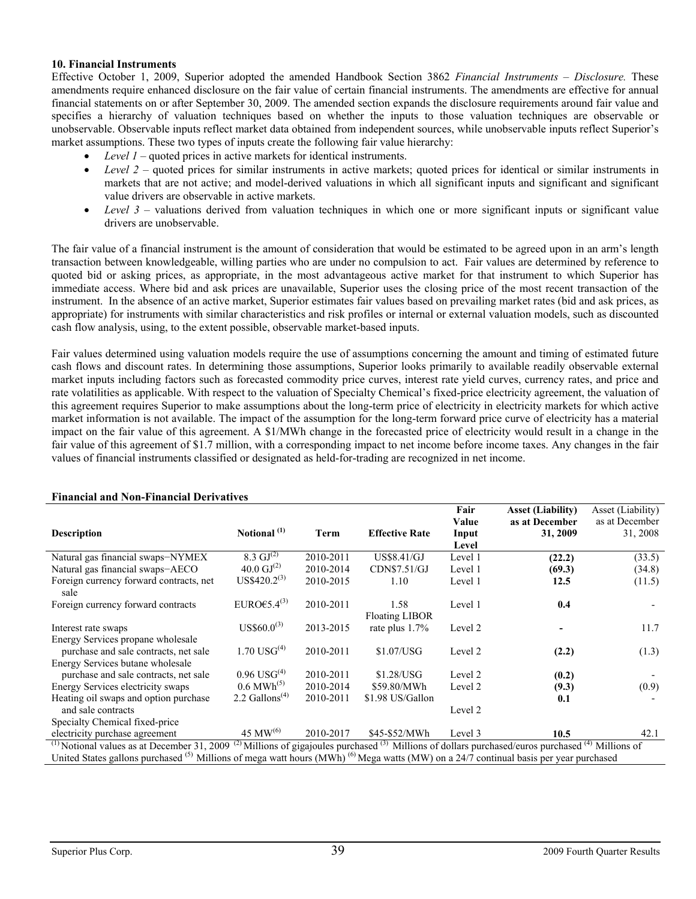#### **10. Financial Instruments**

Effective October 1, 2009, Superior adopted the amended Handbook Section 3862 *Financial Instruments – Disclosure.* These amendments require enhanced disclosure on the fair value of certain financial instruments. The amendments are effective for annual financial statements on or after September 30, 2009. The amended section expands the disclosure requirements around fair value and specifies a hierarchy of valuation techniques based on whether the inputs to those valuation techniques are observable or unobservable. Observable inputs reflect market data obtained from independent sources, while unobservable inputs reflect Superior's market assumptions. These two types of inputs create the following fair value hierarchy:

- *Level 1* quoted prices in active markets for identical instruments.
- *Level 2* quoted prices for similar instruments in active markets; quoted prices for identical or similar instruments in markets that are not active; and model-derived valuations in which all significant inputs and significant and significant value drivers are observable in active markets.
- *Level 3* valuations derived from valuation techniques in which one or more significant inputs or significant value drivers are unobservable.

The fair value of a financial instrument is the amount of consideration that would be estimated to be agreed upon in an arm's length transaction between knowledgeable, willing parties who are under no compulsion to act. Fair values are determined by reference to quoted bid or asking prices, as appropriate, in the most advantageous active market for that instrument to which Superior has immediate access. Where bid and ask prices are unavailable, Superior uses the closing price of the most recent transaction of the instrument. In the absence of an active market, Superior estimates fair values based on prevailing market rates (bid and ask prices, as appropriate) for instruments with similar characteristics and risk profiles or internal or external valuation models, such as discounted cash flow analysis, using, to the extent possible, observable market-based inputs.

Fair values determined using valuation models require the use of assumptions concerning the amount and timing of estimated future cash flows and discount rates. In determining those assumptions, Superior looks primarily to available readily observable external market inputs including factors such as forecasted commodity price curves, interest rate yield curves, currency rates, and price and rate volatilities as applicable. With respect to the valuation of Specialty Chemical's fixed-price electricity agreement, the valuation of this agreement requires Superior to make assumptions about the long-term price of electricity in electricity markets for which active market information is not available. The impact of the assumption for the long-term forward price curve of electricity has a material impact on the fair value of this agreement. A \$1/MWh change in the forecasted price of electricity would result in a change in the fair value of this agreement of \$1.7 million, with a corresponding impact to net income before income taxes. Any changes in the fair values of financial instruments classified or designated as held-for-trading are recognized in net income.

|                                                                                                                                                                                                |                                         |           |                       | Fair    | <b>Asset (Liability)</b> | Asset (Liability) |
|------------------------------------------------------------------------------------------------------------------------------------------------------------------------------------------------|-----------------------------------------|-----------|-----------------------|---------|--------------------------|-------------------|
|                                                                                                                                                                                                |                                         |           |                       | Value   | as at December           | as at December    |
| <b>Description</b>                                                                                                                                                                             | Notional <sup>(1)</sup>                 | Term      | <b>Effective Rate</b> | Input   | 31, 2009                 | 31, 2008          |
|                                                                                                                                                                                                |                                         |           |                       | Level   |                          |                   |
| Natural gas financial swaps-NYMEX                                                                                                                                                              | 8.3 $GI^{(2)}$                          | 2010-2011 | <b>US\$8.41/GJ</b>    | Level 1 | (22.2)                   | (33.5)            |
| Natural gas financial swaps-AECO                                                                                                                                                               | 40.0 $\mathrm{GJ}^{(2)}$                | 2010-2014 | CDN\$7.51/GJ          | Level 1 | (69.3)                   | (34.8)            |
| Foreign currency forward contracts, net                                                                                                                                                        | $US$420.2^{(3)}$                        | 2010-2015 | 1.10                  | Level 1 | 12.5                     | (11.5)            |
| sale                                                                                                                                                                                           |                                         |           |                       |         |                          |                   |
| Foreign currency forward contracts                                                                                                                                                             | EURO€5.4 $(3)$                          | 2010-2011 | 1.58                  | Level 1 | 0.4                      |                   |
|                                                                                                                                                                                                |                                         |           | <b>Floating LIBOR</b> |         |                          |                   |
| Interest rate swaps                                                                                                                                                                            | $US$60.0^{(3)}$                         | 2013-2015 | rate plus 1.7%        | Level 2 |                          | 11.7              |
| Energy Services propane wholesale                                                                                                                                                              |                                         |           |                       |         |                          |                   |
| purchase and sale contracts, net sale                                                                                                                                                          | $1.70$ USG <sup>(4)</sup>               | 2010-2011 | \$1.07/USG            | Level 2 | (2.2)                    | (1.3)             |
| Energy Services butane wholesale                                                                                                                                                               |                                         |           |                       |         |                          |                   |
| purchase and sale contracts, net sale                                                                                                                                                          | $0.96$ USG <sup>(4)</sup>               | 2010-2011 | \$1.28/USG            | Level 2 | (0.2)                    |                   |
| Energy Services electricity swaps                                                                                                                                                              | $0.6 \text{ MWh}^{(5)}$                 | 2010-2014 | \$59.80/MWh           | Level 2 | (9.3)                    | (0.9)             |
| Heating oil swaps and option purchase                                                                                                                                                          | 2.2 Gallons <sup><math>(4)</math></sup> | 2010-2011 | \$1.98 US/Gallon      |         | 0.1                      |                   |
| and sale contracts                                                                                                                                                                             |                                         |           |                       | Level 2 |                          |                   |
| Specialty Chemical fixed-price                                                                                                                                                                 |                                         |           |                       |         |                          |                   |
| electricity purchase agreement                                                                                                                                                                 | 45 MW $^{(6)}$                          | 2010-2017 | \$45-\$52/MWh         | Level 3 | 10.5                     | 42.1              |
| <sup>(1)</sup> Notional values as at December 31, 2009 <sup>(2)</sup> Millions of gigajoules purchased <sup>(3)</sup> Millions of dollars purchased/euros purchased <sup>(4)</sup> Millions of |                                         |           |                       |         |                          |                   |
| United States gallons purchased <sup>(5)</sup> Millions of mega watt hours (MWh) <sup>(6)</sup> Mega watts (MW) on a 24/7 continual basis per year purchased                                   |                                         |           |                       |         |                          |                   |

#### **Financial and Non-Financial Derivatives**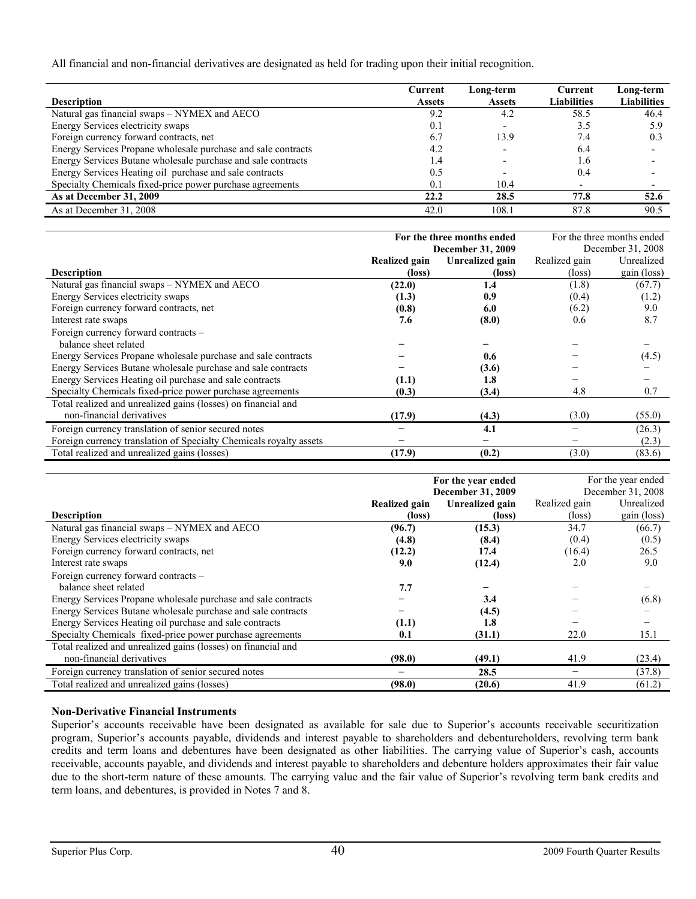All financial and non-financial derivatives are designated as held for trading upon their initial recognition.

| <b>Description</b>                                            | Current<br><b>Assets</b> | Long-term<br><b>Assets</b> | Current<br>Liabilities | Long-term<br><b>Liabilities</b> |
|---------------------------------------------------------------|--------------------------|----------------------------|------------------------|---------------------------------|
| Natural gas financial swaps – NYMEX and AECO                  | 9.2                      | 4.2                        | 58.5                   | 46.4                            |
| Energy Services electricity swaps                             | 0.1                      |                            | 3.5                    | 5.9                             |
| Foreign currency forward contracts, net                       | 6.7                      | 13.9                       | 7.4                    | 0.3                             |
| Energy Services Propane wholesale purchase and sale contracts | 4.2                      |                            | 6.4                    |                                 |
| Energy Services Butane wholesale purchase and sale contracts  | 1.4                      |                            | 1.6                    |                                 |
| Energy Services Heating oil purchase and sale contracts       | 0.5                      |                            | 0.4                    |                                 |
| Specialty Chemicals fixed-price power purchase agreements     | 0.1                      | 10.4                       |                        |                                 |
| As at December 31, 2009                                       | 22.2                     | 28.5                       | 77.8                   | 52.6                            |
| As at December 31, 2008                                       | 42.0                     | 108.1                      | 87.8                   | 90.5                            |

|                                                                    | For the three months ended |                          |                 | For the three months ended |
|--------------------------------------------------------------------|----------------------------|--------------------------|-----------------|----------------------------|
|                                                                    |                            | <b>December 31, 2009</b> |                 | December 31, 2008          |
|                                                                    | Realized gain              | Unrealized gain          | Realized gain   | Unrealized                 |
| <b>Description</b>                                                 | (loss)                     | (loss)                   | $(\text{loss})$ | gain (loss)                |
| Natural gas financial swaps - NYMEX and AECO                       | (22.0)                     | 1.4                      | (1.8)           | (67.7)                     |
| Energy Services electricity swaps                                  | (1.3)                      | 0.9                      | (0.4)           | (1.2)                      |
| Foreign currency forward contracts, net                            | (0.8)                      | 6.0                      | (6.2)           | 9.0                        |
| Interest rate swaps                                                | 7.6                        | (8.0)                    | 0.6             | 8.7                        |
| Foreign currency forward contracts –                               |                            |                          |                 |                            |
| balance sheet related                                              |                            |                          |                 |                            |
| Energy Services Propane wholesale purchase and sale contracts      |                            | 0.6                      |                 | (4.5)                      |
| Energy Services Butane wholesale purchase and sale contracts       |                            | (3.6)                    |                 |                            |
| Energy Services Heating oil purchase and sale contracts            | (1.1)                      | 1.8                      |                 |                            |
| Specialty Chemicals fixed-price power purchase agreements          | (0.3)                      | (3.4)                    | 4.8             | 0.7                        |
| Total realized and unrealized gains (losses) on financial and      |                            |                          |                 |                            |
| non-financial derivatives                                          | (17.9)                     | (4.3)                    | (3.0)           | (55.0)                     |
| Foreign currency translation of senior secured notes               |                            | 4.1                      |                 | (26.3)                     |
| Foreign currency translation of Specialty Chemicals royalty assets |                            |                          |                 | (2.3)                      |
| Total realized and unrealized gains (losses)                       | (17.9)                     | (0.2)                    | (3.0)           | (83.6)                     |

|                                                               |               | For the year ended |               | For the year ended |  |
|---------------------------------------------------------------|---------------|--------------------|---------------|--------------------|--|
|                                                               |               | December 31, 2009  |               | December 31, 2008  |  |
|                                                               |               |                    |               |                    |  |
|                                                               | Realized gain | Unrealized gain    | Realized gain | Unrealized         |  |
| <b>Description</b>                                            | (loss)        | (loss)             | (loss)        | gain (loss)        |  |
| Natural gas financial swaps - NYMEX and AECO                  | (96.7)        | (15.3)             | 34.7          | (66.7)             |  |
| Energy Services electricity swaps                             | (4.8)         | (8.4)              | (0.4)         | (0.5)              |  |
| Foreign currency forward contracts, net                       | (12.2)        | 17.4               | (16.4)        | 26.5               |  |
| Interest rate swaps                                           | 9.0           | (12.4)             | 2.0           | 9.0                |  |
| Foreign currency forward contracts -                          |               |                    |               |                    |  |
| balance sheet related                                         | 7.7           |                    |               |                    |  |
| Energy Services Propane wholesale purchase and sale contracts |               | 3.4                |               | (6.8)              |  |
| Energy Services Butane wholesale purchase and sale contracts  |               | (4.5)              |               |                    |  |
| Energy Services Heating oil purchase and sale contracts       | (1.1)         | 1.8                |               |                    |  |
| Specialty Chemicals fixed-price power purchase agreements     | 0.1           | (31.1)             | 22.0          | 15.1               |  |
| Total realized and unrealized gains (losses) on financial and |               |                    |               |                    |  |
| non-financial derivatives                                     | (98.0)        | (49.1)             | 41.9          | (23.4)             |  |
| Foreign currency translation of senior secured notes          |               | 28.5               |               | (37.8)             |  |
| Total realized and unrealized gains (losses)                  | (98.0)        | (20.6)             | 41.9          | (61.2)             |  |

#### **Non-Derivative Financial Instruments**

Superior's accounts receivable have been designated as available for sale due to Superior's accounts receivable securitization program, Superior's accounts payable, dividends and interest payable to shareholders and debentureholders, revolving term bank credits and term loans and debentures have been designated as other liabilities. The carrying value of Superior's cash, accounts receivable, accounts payable, and dividends and interest payable to shareholders and debenture holders approximates their fair value due to the short-term nature of these amounts. The carrying value and the fair value of Superior's revolving term bank credits and term loans, and debentures, is provided in Notes 7 and 8.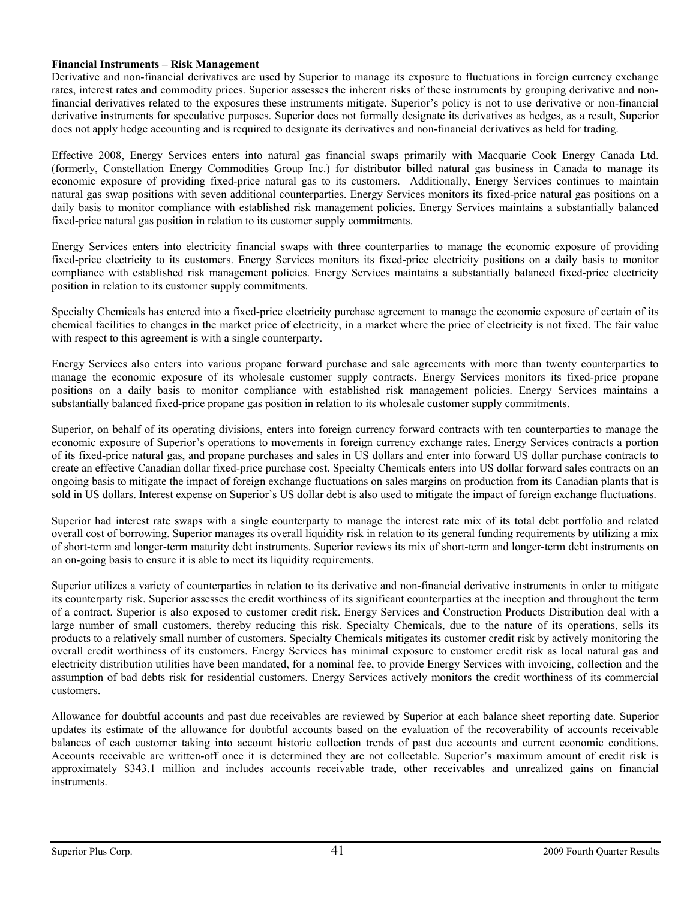#### **Financial Instruments – Risk Management**

Derivative and non-financial derivatives are used by Superior to manage its exposure to fluctuations in foreign currency exchange rates, interest rates and commodity prices. Superior assesses the inherent risks of these instruments by grouping derivative and nonfinancial derivatives related to the exposures these instruments mitigate. Superior's policy is not to use derivative or non-financial derivative instruments for speculative purposes. Superior does not formally designate its derivatives as hedges, as a result, Superior does not apply hedge accounting and is required to designate its derivatives and non-financial derivatives as held for trading.

Effective 2008, Energy Services enters into natural gas financial swaps primarily with Macquarie Cook Energy Canada Ltd. (formerly, Constellation Energy Commodities Group Inc.) for distributor billed natural gas business in Canada to manage its economic exposure of providing fixed-price natural gas to its customers. Additionally, Energy Services continues to maintain natural gas swap positions with seven additional counterparties. Energy Services monitors its fixed-price natural gas positions on a daily basis to monitor compliance with established risk management policies. Energy Services maintains a substantially balanced fixed-price natural gas position in relation to its customer supply commitments.

Energy Services enters into electricity financial swaps with three counterparties to manage the economic exposure of providing fixed-price electricity to its customers. Energy Services monitors its fixed-price electricity positions on a daily basis to monitor compliance with established risk management policies. Energy Services maintains a substantially balanced fixed-price electricity position in relation to its customer supply commitments.

Specialty Chemicals has entered into a fixed-price electricity purchase agreement to manage the economic exposure of certain of its chemical facilities to changes in the market price of electricity, in a market where the price of electricity is not fixed. The fair value with respect to this agreement is with a single counterparty.

Energy Services also enters into various propane forward purchase and sale agreements with more than twenty counterparties to manage the economic exposure of its wholesale customer supply contracts. Energy Services monitors its fixed-price propane positions on a daily basis to monitor compliance with established risk management policies. Energy Services maintains a substantially balanced fixed-price propane gas position in relation to its wholesale customer supply commitments.

Superior, on behalf of its operating divisions, enters into foreign currency forward contracts with ten counterparties to manage the economic exposure of Superior's operations to movements in foreign currency exchange rates. Energy Services contracts a portion of its fixed-price natural gas, and propane purchases and sales in US dollars and enter into forward US dollar purchase contracts to create an effective Canadian dollar fixed-price purchase cost. Specialty Chemicals enters into US dollar forward sales contracts on an ongoing basis to mitigate the impact of foreign exchange fluctuations on sales margins on production from its Canadian plants that is sold in US dollars. Interest expense on Superior's US dollar debt is also used to mitigate the impact of foreign exchange fluctuations.

Superior had interest rate swaps with a single counterparty to manage the interest rate mix of its total debt portfolio and related overall cost of borrowing. Superior manages its overall liquidity risk in relation to its general funding requirements by utilizing a mix of short-term and longer-term maturity debt instruments. Superior reviews its mix of short-term and longer-term debt instruments on an on-going basis to ensure it is able to meet its liquidity requirements.

Superior utilizes a variety of counterparties in relation to its derivative and non-financial derivative instruments in order to mitigate its counterparty risk. Superior assesses the credit worthiness of its significant counterparties at the inception and throughout the term of a contract. Superior is also exposed to customer credit risk. Energy Services and Construction Products Distribution deal with a large number of small customers, thereby reducing this risk. Specialty Chemicals, due to the nature of its operations, sells its products to a relatively small number of customers. Specialty Chemicals mitigates its customer credit risk by actively monitoring the overall credit worthiness of its customers. Energy Services has minimal exposure to customer credit risk as local natural gas and electricity distribution utilities have been mandated, for a nominal fee, to provide Energy Services with invoicing, collection and the assumption of bad debts risk for residential customers. Energy Services actively monitors the credit worthiness of its commercial customers.

Allowance for doubtful accounts and past due receivables are reviewed by Superior at each balance sheet reporting date. Superior updates its estimate of the allowance for doubtful accounts based on the evaluation of the recoverability of accounts receivable balances of each customer taking into account historic collection trends of past due accounts and current economic conditions. Accounts receivable are written-off once it is determined they are not collectable. Superior's maximum amount of credit risk is approximately \$343.1 million and includes accounts receivable trade, other receivables and unrealized gains on financial instruments.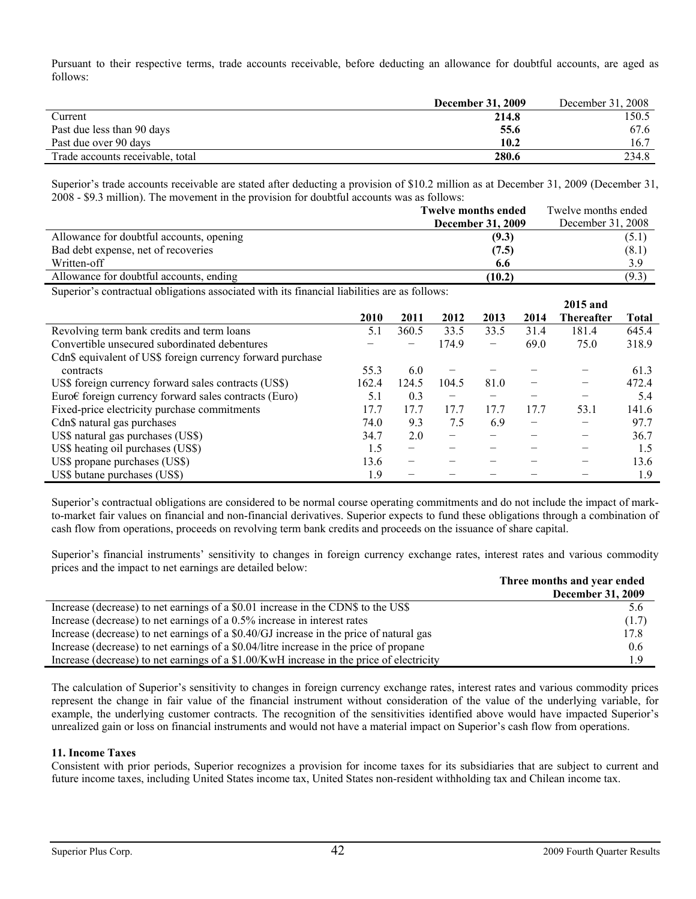Pursuant to their respective terms, trade accounts receivable, before deducting an allowance for doubtful accounts, are aged as follows:

|                                  | <b>December 31, 2009</b> | December 31, 2008 |
|----------------------------------|--------------------------|-------------------|
| Current                          | 214.8                    | 150.5             |
| Past due less than 90 days       | 55.6                     | 67.6              |
| Past due over 90 days            | 10.2                     | 16.7              |
| Trade accounts receivable, total | 280.6                    | 234.8             |

Superior's trade accounts receivable are stated after deducting a provision of \$10.2 million as at December 31, 2009 (December 31, 2008 - \$9.3 million). The movement in the provision for doubtful accounts was as follows:

|                                          | <b>Twelve months ended</b> | Twelve months ended |
|------------------------------------------|----------------------------|---------------------|
|                                          | <b>December 31, 2009</b>   | December 31, 2008   |
| Allowance for doubtful accounts, opening | (9.3)                      | (5.1)               |
| Bad debt expense, net of recoveries      | (7.5)                      | (8.1)               |
| Written-off                              | 6.6                        | 3.9                 |
| Allowance for doubtful accounts, ending  | (10.2)                     | (9.3)               |

Superior's contractual obligations associated with its financial liabilities are as follows:

|                                                                 |       |                          |       |                   |                          | 2015 and          |       |
|-----------------------------------------------------------------|-------|--------------------------|-------|-------------------|--------------------------|-------------------|-------|
|                                                                 | 2010  | 2011                     | 2012  | 2013              | 2014                     | <b>Thereafter</b> | Total |
| Revolving term bank credits and term loans                      | 5.1   | 360.5                    | 33.5  | 33.5              | 31.4                     | 181.4             | 645.4 |
| Convertible unsecured subordinated debentures                   |       | -                        | 174.9 | $\qquad \qquad -$ | 69.0                     | 75.0              | 318.9 |
| Cdn\$ equivalent of US\$ foreign currency forward purchase      |       |                          |       |                   |                          |                   |       |
| contracts                                                       | 55.3  | 6.0                      |       |                   |                          |                   | 61.3  |
| US\$ foreign currency forward sales contracts (US\$)            | 162.4 | 124.5                    | 104.5 | 81.0              | $\overline{\phantom{0}}$ |                   | 472.4 |
| Euro $\epsilon$ foreign currency forward sales contracts (Euro) | 5.1   | 0.3                      | -     | –                 |                          |                   | 5.4   |
| Fixed-price electricity purchase commitments                    | 17.7  | 17.7                     | 17.7  | 17.7              | 17.7                     | 53.1              | 141.6 |
| Cdn\$ natural gas purchases                                     | 74.0  | 9.3                      | 7.5   | 6.9               | —                        |                   | 97.7  |
| US\$ natural gas purchases (US\$)                               | 34.7  | 2.0                      | -     |                   |                          |                   | 36.7  |
| US\$ heating oil purchases (US\$)                               | 1.5   |                          |       |                   |                          |                   | 1.5   |
| US\$ propane purchases (US\$)                                   | 13.6  | $\overline{\phantom{0}}$ |       |                   |                          |                   | 13.6  |
| US\$ butane purchases (US\$)                                    | 1.9   |                          |       |                   |                          |                   | 1.9   |

Superior's contractual obligations are considered to be normal course operating commitments and do not include the impact of markto-market fair values on financial and non-financial derivatives. Superior expects to fund these obligations through a combination of cash flow from operations, proceeds on revolving term bank credits and proceeds on the issuance of share capital.

Superior's financial instruments' sensitivity to changes in foreign currency exchange rates, interest rates and various commodity prices and the impact to net earnings are detailed below:

|                                                                                          | Three months and year ended<br><b>December 31, 2009</b> |
|------------------------------------------------------------------------------------------|---------------------------------------------------------|
| Increase (decrease) to net earnings of a \$0.01 increase in the CDN\$ to the US\$        | 5.6                                                     |
| Increase (decrease) to net earnings of a 0.5% increase in interest rates                 | (1.7)                                                   |
| Increase (decrease) to net earnings of a \$0.40/GJ increase in the price of natural gas  | 17.8                                                    |
| Increase (decrease) to net earnings of a \$0.04/litre increase in the price of propane   | 0.6                                                     |
| Increase (decrease) to net earnings of a \$1.00/KwH increase in the price of electricity | 1 Q                                                     |

The calculation of Superior's sensitivity to changes in foreign currency exchange rates, interest rates and various commodity prices represent the change in fair value of the financial instrument without consideration of the value of the underlying variable, for example, the underlying customer contracts. The recognition of the sensitivities identified above would have impacted Superior's unrealized gain or loss on financial instruments and would not have a material impact on Superior's cash flow from operations.

#### **11. Income Taxes**

Consistent with prior periods, Superior recognizes a provision for income taxes for its subsidiaries that are subject to current and future income taxes, including United States income tax, United States non-resident withholding tax and Chilean income tax.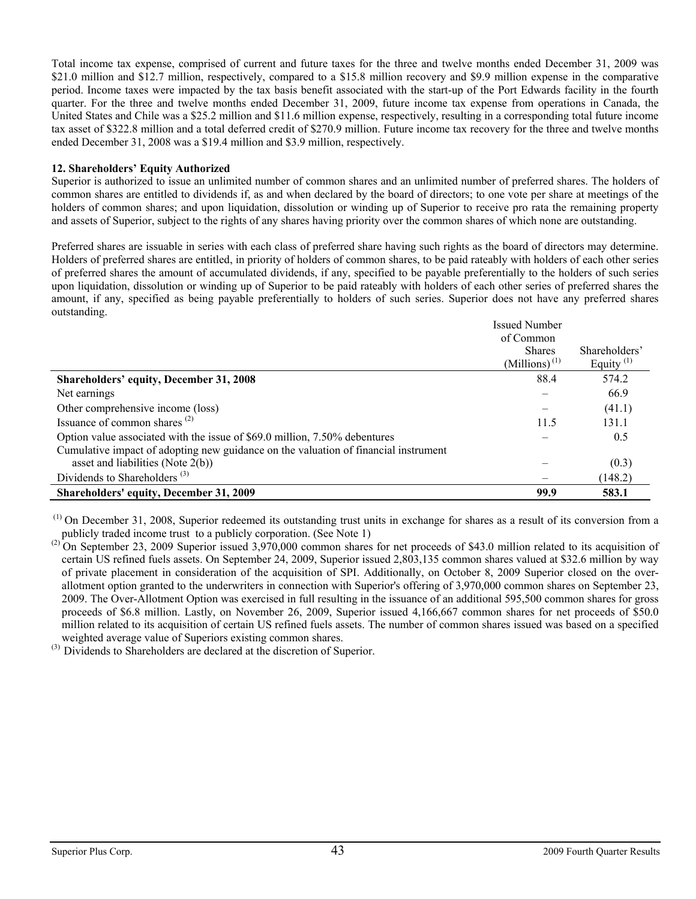Total income tax expense, comprised of current and future taxes for the three and twelve months ended December 31, 2009 was \$21.0 million and \$12.7 million, respectively, compared to a \$15.8 million recovery and \$9.9 million expense in the comparative period. Income taxes were impacted by the tax basis benefit associated with the start-up of the Port Edwards facility in the fourth quarter. For the three and twelve months ended December 31, 2009, future income tax expense from operations in Canada, the United States and Chile was a \$25.2 million and \$11.6 million expense, respectively, resulting in a corresponding total future income tax asset of \$322.8 million and a total deferred credit of \$270.9 million. Future income tax recovery for the three and twelve months ended December 31, 2008 was a \$19.4 million and \$3.9 million, respectively.

#### **12. Shareholders' Equity Authorized**

Superior is authorized to issue an unlimited number of common shares and an unlimited number of preferred shares. The holders of common shares are entitled to dividends if, as and when declared by the board of directors; to one vote per share at meetings of the holders of common shares; and upon liquidation, dissolution or winding up of Superior to receive pro rata the remaining property and assets of Superior, subject to the rights of any shares having priority over the common shares of which none are outstanding.

Preferred shares are issuable in series with each class of preferred share having such rights as the board of directors may determine. Holders of preferred shares are entitled, in priority of holders of common shares, to be paid rateably with holders of each other series of preferred shares the amount of accumulated dividends, if any, specified to be payable preferentially to the holders of such series upon liquidation, dissolution or winding up of Superior to be paid rateably with holders of each other series of preferred shares the amount, if any, specified as being payable preferentially to holders of such series. Superior does not have any preferred shares outstanding.

|                                                                                     | <b>Issued Number</b>        |               |
|-------------------------------------------------------------------------------------|-----------------------------|---------------|
|                                                                                     | of Common                   |               |
|                                                                                     | <b>Shares</b>               | Shareholders' |
|                                                                                     | $(Millions)$ <sup>(1)</sup> | Equity $(1)$  |
| <b>Shareholders' equity, December 31, 2008</b>                                      | 88.4                        | 574.2         |
| Net earnings                                                                        |                             | 66.9          |
| Other comprehensive income (loss)                                                   |                             | (41.1)        |
| Issuance of common shares <sup>(2)</sup>                                            | 11.5                        | 131.1         |
| Option value associated with the issue of \$69.0 million, 7.50% debentures          |                             | 0.5           |
| Cumulative impact of adopting new guidance on the valuation of financial instrument |                             |               |
| asset and liabilities (Note $2(b)$ )                                                |                             | (0.3)         |
| Dividends to Shareholders <sup><math>(3)</math></sup>                               |                             | (148.2)       |
| <b>Shareholders' equity, December 31, 2009</b>                                      | 99.9                        | 583.1         |

 $<sup>(1)</sup>$  On December 31, 2008, Superior redeemed its outstanding trust units in exchange for shares as a result of its conversion from a</sup> publicly traded income trust to a publicly corporation. (See Note 1)

(2) On September 23, 2009 Superior issued 3,970,000 common shares for net proceeds of \$43.0 million related to its acquisition of certain US refined fuels assets. On September 24, 2009, Superior issued 2,803,135 common shares valued at \$32.6 million by way of private placement in consideration of the acquisition of SPI. Additionally, on October 8, 2009 Superior closed on the overallotment option granted to the underwriters in connection with Superior's offering of 3,970,000 common shares on September 23, 2009. The Over-Allotment Option was exercised in full resulting in the issuance of an additional 595,500 common shares for gross proceeds of \$6.8 million. Lastly, on November 26, 2009, Superior issued 4,166,667 common shares for net proceeds of \$50.0 million related to its acquisition of certain US refined fuels assets. The number of common shares issued was based on a specified weighted average value of Superiors existing common shares.

<sup>(3)</sup> Dividends to Shareholders are declared at the discretion of Superior.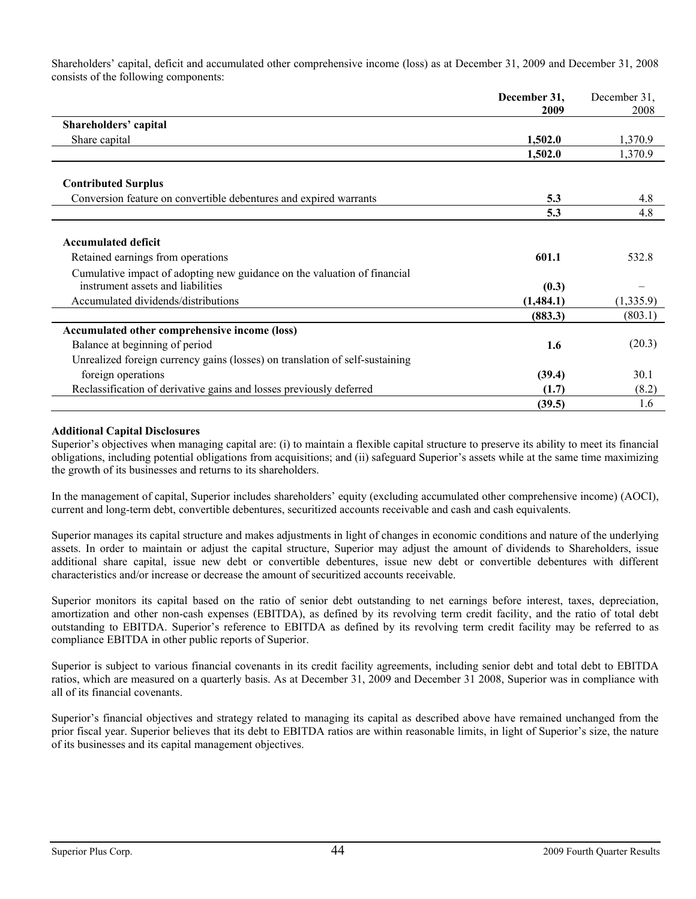Shareholders' capital, deficit and accumulated other comprehensive income (loss) as at December 31, 2009 and December 31, 2008 consists of the following components:

|                                                                              | December 31, | December 31, |
|------------------------------------------------------------------------------|--------------|--------------|
|                                                                              | 2009         | 2008         |
| Shareholders' capital                                                        |              |              |
| Share capital                                                                | 1,502.0      | 1,370.9      |
|                                                                              | 1,502.0      | 1,370.9      |
| <b>Contributed Surplus</b>                                                   |              |              |
| Conversion feature on convertible debentures and expired warrants            | 5.3          | 4.8          |
|                                                                              | 5.3          | 4.8          |
| <b>Accumulated deficit</b>                                                   |              |              |
| Retained earnings from operations                                            | 601.1        | 532.8        |
| Cumulative impact of adopting new guidance on the valuation of financial     |              |              |
| instrument assets and liabilities                                            | (0.3)        |              |
| Accumulated dividends/distributions                                          | (1,484.1)    | (1,335.9)    |
|                                                                              | (883.3)      | (803.1)      |
| Accumulated other comprehensive income (loss)                                |              |              |
| Balance at beginning of period                                               | 1.6          | (20.3)       |
| Unrealized foreign currency gains (losses) on translation of self-sustaining |              |              |
| foreign operations                                                           | (39.4)       | 30.1         |
| Reclassification of derivative gains and losses previously deferred          | (1.7)        | (8.2)        |
|                                                                              | (39.5)       | 1.6          |

#### **Additional Capital Disclosures**

Superior's objectives when managing capital are: (i) to maintain a flexible capital structure to preserve its ability to meet its financial obligations, including potential obligations from acquisitions; and (ii) safeguard Superior's assets while at the same time maximizing the growth of its businesses and returns to its shareholders.

In the management of capital, Superior includes shareholders' equity (excluding accumulated other comprehensive income) (AOCI), current and long-term debt, convertible debentures, securitized accounts receivable and cash and cash equivalents.

Superior manages its capital structure and makes adjustments in light of changes in economic conditions and nature of the underlying assets. In order to maintain or adjust the capital structure, Superior may adjust the amount of dividends to Shareholders, issue additional share capital, issue new debt or convertible debentures, issue new debt or convertible debentures with different characteristics and/or increase or decrease the amount of securitized accounts receivable.

Superior monitors its capital based on the ratio of senior debt outstanding to net earnings before interest, taxes, depreciation, amortization and other non-cash expenses (EBITDA), as defined by its revolving term credit facility, and the ratio of total debt outstanding to EBITDA. Superior's reference to EBITDA as defined by its revolving term credit facility may be referred to as compliance EBITDA in other public reports of Superior.

Superior is subject to various financial covenants in its credit facility agreements, including senior debt and total debt to EBITDA ratios, which are measured on a quarterly basis. As at December 31, 2009 and December 31 2008, Superior was in compliance with all of its financial covenants.

Superior's financial objectives and strategy related to managing its capital as described above have remained unchanged from the prior fiscal year. Superior believes that its debt to EBITDA ratios are within reasonable limits, in light of Superior's size, the nature of its businesses and its capital management objectives.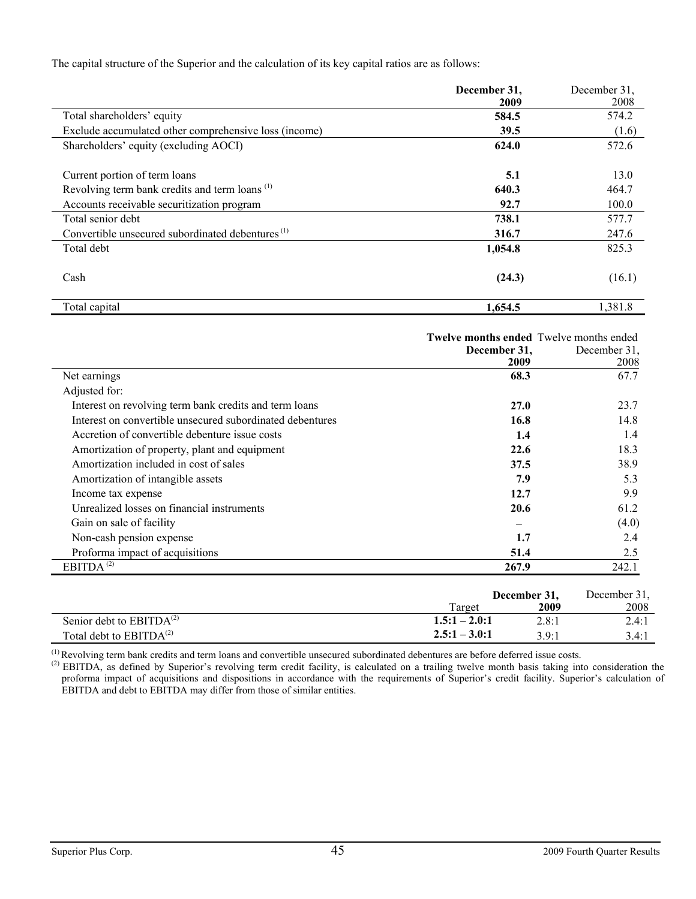The capital structure of the Superior and the calculation of its key capital ratios are as follows:

|                                                              | December 31,<br>2009 | December 31,<br>2008 |
|--------------------------------------------------------------|----------------------|----------------------|
| Total shareholders' equity                                   | 584.5                | 574.2                |
| Exclude accumulated other comprehensive loss (income)        | 39.5                 | (1.6)                |
| Shareholders' equity (excluding AOCI)                        | 624.0                | 572.6                |
| Current portion of term loans                                | 5.1                  | 13.0                 |
| Revolving term bank credits and term loans <sup>(1)</sup>    | 640.3                | 464.7                |
| Accounts receivable securitization program                   | 92.7                 | 100.0                |
| Total senior debt                                            | 738.1                | 577.7                |
| Convertible unsecured subordinated debentures <sup>(1)</sup> | 316.7                | 247.6                |
| Total debt                                                   | 1,054.8              | 825.3                |
| Cash                                                         | (24.3)               | (16.1)               |
| Total capital                                                | 1,654.5              | 1,381.8              |

| 68.3<br>Net earnings<br>Adjusted for:<br>Interest on revolving term bank credits and term loans<br>27.0<br>Interest on convertible unsecured subordinated debentures<br>16.8<br>Accretion of convertible debenture issue costs<br>1.4<br>22.6<br>Amortization of property, plant and equipment<br>Amortization included in cost of sales<br>37.5<br>7.9<br>Amortization of intangible assets<br>12.7<br>Income tax expense<br>20.6<br>Unrealized losses on financial instruments<br>Gain on sale of facility<br>Non-cash pension expense<br>1.7<br>Proforma impact of acquisitions<br>51.4 |              | <b>Twelve months ended</b> Twelve months ended<br>December 31,<br>2009 | December 31,<br>2008 |
|--------------------------------------------------------------------------------------------------------------------------------------------------------------------------------------------------------------------------------------------------------------------------------------------------------------------------------------------------------------------------------------------------------------------------------------------------------------------------------------------------------------------------------------------------------------------------------------------|--------------|------------------------------------------------------------------------|----------------------|
|                                                                                                                                                                                                                                                                                                                                                                                                                                                                                                                                                                                            |              |                                                                        | 67.7                 |
|                                                                                                                                                                                                                                                                                                                                                                                                                                                                                                                                                                                            |              |                                                                        |                      |
|                                                                                                                                                                                                                                                                                                                                                                                                                                                                                                                                                                                            |              |                                                                        | 23.7                 |
|                                                                                                                                                                                                                                                                                                                                                                                                                                                                                                                                                                                            |              |                                                                        | 14.8                 |
|                                                                                                                                                                                                                                                                                                                                                                                                                                                                                                                                                                                            |              |                                                                        | 1.4                  |
|                                                                                                                                                                                                                                                                                                                                                                                                                                                                                                                                                                                            |              |                                                                        | 18.3                 |
|                                                                                                                                                                                                                                                                                                                                                                                                                                                                                                                                                                                            |              |                                                                        | 38.9                 |
|                                                                                                                                                                                                                                                                                                                                                                                                                                                                                                                                                                                            |              |                                                                        | 5.3                  |
|                                                                                                                                                                                                                                                                                                                                                                                                                                                                                                                                                                                            |              |                                                                        | 9.9                  |
|                                                                                                                                                                                                                                                                                                                                                                                                                                                                                                                                                                                            |              |                                                                        | 61.2                 |
|                                                                                                                                                                                                                                                                                                                                                                                                                                                                                                                                                                                            |              |                                                                        | (4.0)                |
|                                                                                                                                                                                                                                                                                                                                                                                                                                                                                                                                                                                            |              |                                                                        | 2.4                  |
|                                                                                                                                                                                                                                                                                                                                                                                                                                                                                                                                                                                            |              |                                                                        | 2.5                  |
|                                                                                                                                                                                                                                                                                                                                                                                                                                                                                                                                                                                            | EBITDA $(2)$ | 267.9                                                                  | 242.1                |

|                            |                 | December 31, |       |
|----------------------------|-----------------|--------------|-------|
|                            | Target          | 2009         | 2008  |
| Senior debt to $EBITDA(2)$ | $1.5:1 - 2.0:1$ | 2.8:1        | 2.4:1 |
| Total debt to $EBITDA(2)$  | $2.5:1 - 3.0:1$ | 3.9:1        | 3.4:1 |

(1) Revolving term bank credits and term loans and convertible unsecured subordinated debentures are before deferred issue costs.

(2) EBITDA, as defined by Superior's revolving term credit facility, is calculated on a trailing twelve month basis taking into consideration the proforma impact of acquisitions and dispositions in accordance with the requirements of Superior's credit facility. Superior's calculation of EBITDA and debt to EBITDA may differ from those of similar entities.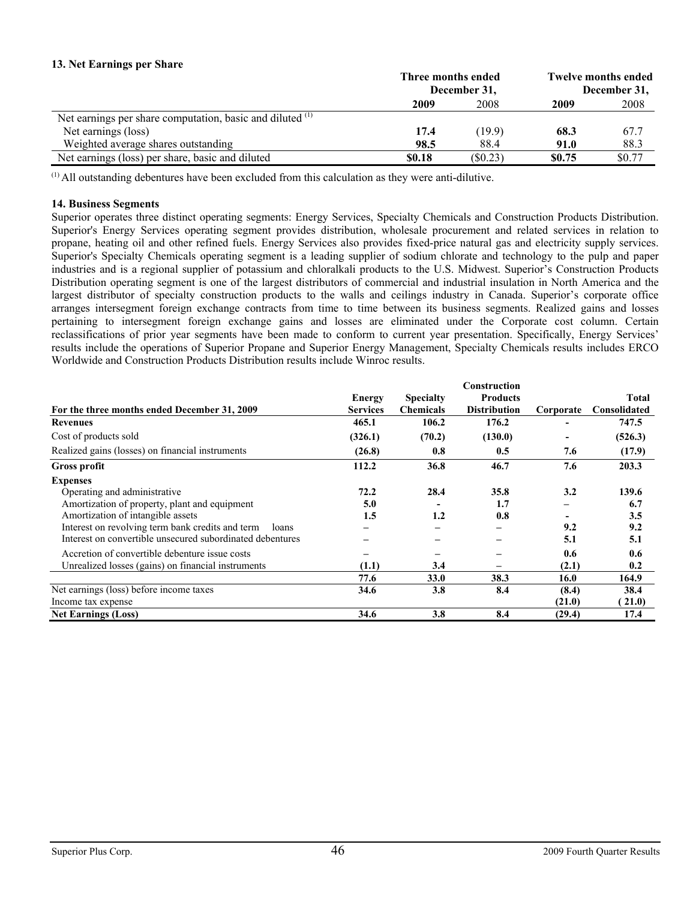#### **13. Net Earnings per Share**

|                                                                      | Three months ended<br>December 31, |         | <b>Twelve months ended</b><br>December 31, |        |
|----------------------------------------------------------------------|------------------------------------|---------|--------------------------------------------|--------|
|                                                                      | 2009                               | 2008    | 2009                                       | 2008   |
| Net earnings per share computation, basic and diluted <sup>(1)</sup> |                                    |         |                                            |        |
| Net earnings (loss)                                                  | 17.4                               | (19.9)  | 68.3                                       | 67.7   |
| Weighted average shares outstanding                                  | 98.5                               | 88.4    | 91.0                                       | 88.3   |
| Net earnings (loss) per share, basic and diluted                     | \$0.18                             | (S0.23) | <b>S0.75</b>                               | \$0.77 |

(1) All outstanding debentures have been excluded from this calculation as they were anti-dilutive.

#### **14. Business Segments**

Superior operates three distinct operating segments: Energy Services, Specialty Chemicals and Construction Products Distribution. Superior's Energy Services operating segment provides distribution, wholesale procurement and related services in relation to propane, heating oil and other refined fuels. Energy Services also provides fixed-price natural gas and electricity supply services. Superior's Specialty Chemicals operating segment is a leading supplier of sodium chlorate and technology to the pulp and paper industries and is a regional supplier of potassium and chloralkali products to the U.S. Midwest. Superior's Construction Products Distribution operating segment is one of the largest distributors of commercial and industrial insulation in North America and the largest distributor of specialty construction products to the walls and ceilings industry in Canada. Superior's corporate office arranges intersegment foreign exchange contracts from time to time between its business segments. Realized gains and losses pertaining to intersegment foreign exchange gains and losses are eliminated under the Corporate cost column. Certain reclassifications of prior year segments have been made to conform to current year presentation. Specifically, Energy Services' results include the operations of Superior Propane and Superior Energy Management, Specialty Chemicals results includes ERCO Worldwide and Construction Products Distribution results include Winroc results.

|                                                           |                 |                  | Construction        |           |              |
|-----------------------------------------------------------|-----------------|------------------|---------------------|-----------|--------------|
|                                                           | <b>Energy</b>   | <b>Specialty</b> | <b>Products</b>     |           | Total        |
| For the three months ended December 31, 2009              | <b>Services</b> | <b>Chemicals</b> | <b>Distribution</b> | Corporate | Consolidated |
| <b>Revenues</b>                                           | 465.1           | 106.2            | 176.2               |           | 747.5        |
| Cost of products sold                                     | (326.1)         | (70.2)           | (130.0)             |           | (526.3)      |
| Realized gains (losses) on financial instruments          | (26.8)          | 0.8              | 0.5                 | 7.6       | (17.9)       |
| <b>Gross profit</b>                                       | 112.2           | 36.8             | 46.7                | 7.6       | 203.3        |
| <b>Expenses</b>                                           |                 |                  |                     |           |              |
| Operating and administrative                              | 72.2            | 28.4             | 35.8                | 3.2       | 139.6        |
| Amortization of property, plant and equipment             | 5.0             |                  | 1.7                 |           | 6.7          |
| Amortization of intangible assets                         | 1.5             | $1.2\,$          | 0.8                 |           | 3.5          |
| Interest on revolving term bank credits and term<br>loans |                 |                  |                     | 9.2       | 9.2          |
| Interest on convertible unsecured subordinated debentures |                 |                  |                     | 5.1       | 5.1          |
| Accretion of convertible debenture issue costs            |                 |                  |                     | 0.6       | 0.6          |
| Unrealized losses (gains) on financial instruments        | (1.1)           | 3.4              |                     | (2.1)     | 0.2          |
|                                                           | 77.6            | 33.0             | 38.3                | 16.0      | 164.9        |
| Net earnings (loss) before income taxes                   | 34.6            | 3.8              | 8.4                 | (8.4)     | 38.4         |
| Income tax expense                                        |                 |                  |                     | (21.0)    | 21.0)        |
| <b>Net Earnings (Loss)</b>                                | 34.6            | 3.8              | 8.4                 | (29.4)    | 17.4         |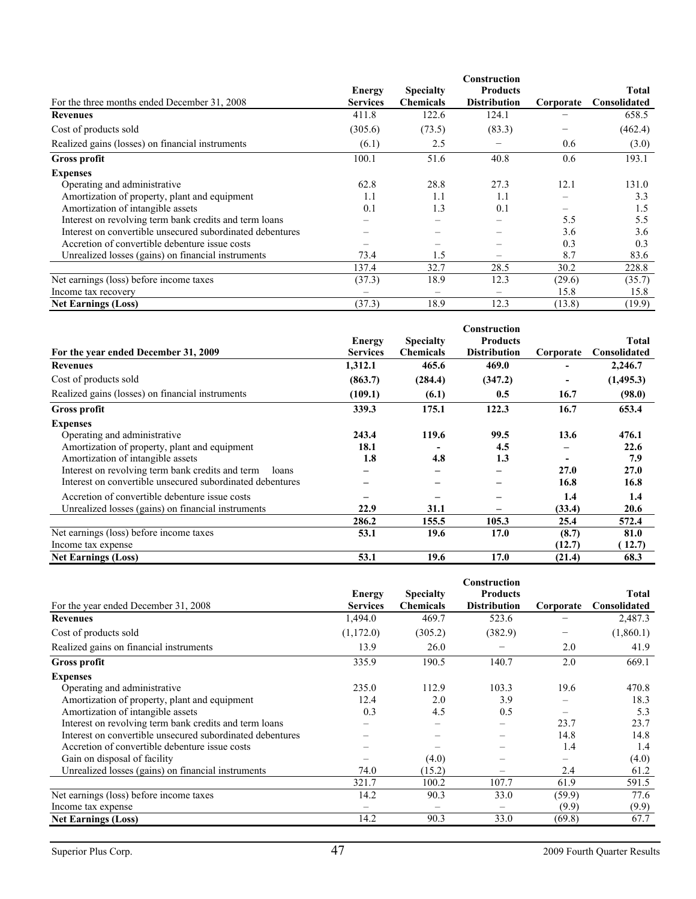|                                                           |                 |                          | <b>Construction</b> |           |              |
|-----------------------------------------------------------|-----------------|--------------------------|---------------------|-----------|--------------|
|                                                           | <b>Energy</b>   | <b>Specialty</b>         | <b>Products</b>     |           | Total        |
| For the three months ended December 31, 2008              | <b>Services</b> | <b>Chemicals</b>         | <b>Distribution</b> | Corporate | Consolidated |
| <b>Revenues</b>                                           | 411.8           | 122.6                    | 124.1               |           | 658.5        |
| Cost of products sold                                     | (305.6)         | (73.5)                   | (83.3)              |           | (462.4)      |
| Realized gains (losses) on financial instruments          | (6.1)           | 2.5                      |                     | 0.6       | (3.0)        |
| <b>Gross profit</b>                                       | 100.1           | 51.6                     | 40.8                | 0.6       | 193.1        |
| <b>Expenses</b>                                           |                 |                          |                     |           |              |
| Operating and administrative                              | 62.8            | 28.8                     | 27.3                | 12.1      | 131.0        |
| Amortization of property, plant and equipment             | 1.1             | 1.1                      | 1.1                 |           | 3.3          |
| Amortization of intangible assets                         | 0.1             | 1.3                      | 0.1                 |           | 1.5          |
| Interest on revolving term bank credits and term loans    |                 |                          |                     | 5.5       | 5.5          |
| Interest on convertible unsecured subordinated debentures |                 |                          |                     | 3.6       | 3.6          |
| Accretion of convertible debenture issue costs            |                 |                          |                     | 0.3       | 0.3          |
| Unrealized losses (gains) on financial instruments        | 73.4            | 1.5                      |                     | 8.7       | 83.6         |
|                                                           | 137.4           | 32.7                     | 28.5                | 30.2      | 228.8        |
| Net earnings (loss) before income taxes                   | (37.3)          | 18.9                     | 12.3                | (29.6)    | (35.7)       |
| Income tax recovery                                       |                 | $\overline{\phantom{0}}$ |                     | 15.8      | 15.8         |
| <b>Net Earnings (Loss)</b>                                | (37.3)          | 18.9                     | 12.3                | (13.8)    | (19.9)       |

|                                                           |                 |                  | Construction        |           |                  |
|-----------------------------------------------------------|-----------------|------------------|---------------------|-----------|------------------|
|                                                           | <b>Energy</b>   | <b>Specialty</b> | <b>Products</b>     |           | Total            |
| For the year ended December 31, 2009                      | <b>Services</b> | <b>Chemicals</b> | <b>Distribution</b> | Corporate | Consolidated     |
| <b>Revenues</b>                                           | 1,312.1         | 465.6            | 469.0               |           | 2,246.7          |
| Cost of products sold                                     | (863.7)         | (284.4)          | (347.2)             |           | (1, 495.3)       |
| Realized gains (losses) on financial instruments          | (109.1)         | (6.1)            | 0.5                 | 16.7      | (98.0)           |
| <b>Gross profit</b>                                       | 339.3           | 175.1            | 122.3               | 16.7      | 653.4            |
| <b>Expenses</b>                                           |                 |                  |                     |           |                  |
| Operating and administrative                              | 243.4           | 119.6            | 99.5                | 13.6      | 476.1            |
| Amortization of property, plant and equipment             | 18.1            |                  | 4.5                 |           | 22.6             |
| Amortization of intangible assets                         | 1.8             | 4.8              | 1.3                 |           | 7.9              |
| Interest on revolving term bank credits and term<br>loans |                 |                  | —                   | 27.0      | 27.0             |
| Interest on convertible unsecured subordinated debentures |                 |                  |                     | 16.8      | 16.8             |
| Accretion of convertible debenture issue costs            |                 |                  |                     | 1.4       | $1.4\phantom{0}$ |
| Unrealized losses (gains) on financial instruments        | 22.9            | 31.1             |                     | (33.4)    | 20.6             |
|                                                           | 286.2           | 155.5            | 105.3               | 25.4      | 572.4            |
| Net earnings (loss) before income taxes                   | 53.1            | 19.6             | 17.0                | (8.7)     | 81.0             |
| Income tax expense                                        |                 |                  |                     | (12.7)    | 12.7)            |
| <b>Net Earnings (Loss)</b>                                | 53.1            | 19.6             | 17.0                | (21.4)    | 68.3             |

|                                                           |                 |                  | <b>Construction</b> |           |              |
|-----------------------------------------------------------|-----------------|------------------|---------------------|-----------|--------------|
|                                                           | Energy          | <b>Specialty</b> | <b>Products</b>     |           | Total        |
| For the year ended December 31, 2008                      | <b>Services</b> | <b>Chemicals</b> | <b>Distribution</b> | Corporate | Consolidated |
| <b>Revenues</b>                                           | 1,494.0         | 469.7            | 523.6               |           | 2,487.3      |
| Cost of products sold                                     | (1,172.0)       | (305.2)          | (382.9)             |           | (1,860.1)    |
| Realized gains on financial instruments                   | 13.9            | 26.0             |                     | 2.0       | 41.9         |
| <b>Gross profit</b>                                       | 335.9           | 190.5            | 140.7               | 2.0       | 669.1        |
| <b>Expenses</b>                                           |                 |                  |                     |           |              |
| Operating and administrative                              | 235.0           | 112.9            | 103.3               | 19.6      | 470.8        |
| Amortization of property, plant and equipment             | 12.4            | 2.0              | 3.9                 |           | 18.3         |
| Amortization of intangible assets                         | 0.3             | 4.5              | 0.5                 |           | 5.3          |
| Interest on revolving term bank credits and term loans    |                 |                  |                     | 23.7      | 23.7         |
| Interest on convertible unsecured subordinated debentures |                 |                  |                     | 14.8      | 14.8         |
| Accretion of convertible debenture issue costs            |                 |                  |                     | 1.4       | 1.4          |
| Gain on disposal of facility                              |                 | (4.0)            |                     |           | (4.0)        |
| Unrealized losses (gains) on financial instruments        | 74.0            | (15.2)           |                     | 2.4       | 61.2         |
|                                                           | 321.7           | 100.2            | 107.7               | 61.9      | 591.5        |
| Net earnings (loss) before income taxes                   | 14.2            | 90.3             | 33.0                | (59.9)    | 77.6         |
| Income tax expense                                        |                 |                  |                     | (9.9)     | (9.9)        |
| <b>Net Earnings (Loss)</b>                                | 14.2            | 90.3             | 33.0                | (69.8)    | 67.7         |